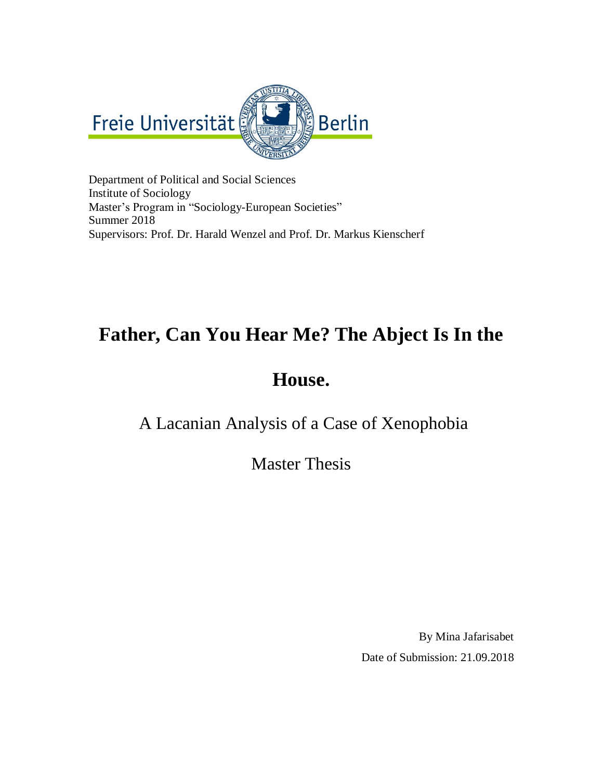

Department of Political and Social Sciences Institute of Sociology Master's Program in "Sociology-European Societies" Summer 2018 Supervisors: Prof. Dr. Harald Wenzel and Prof. Dr. Markus Kienscherf

# **Father, Can You Hear Me? The Abject Is In the**

# **House.**

A Lacanian Analysis of a Case of Xenophobia

Master Thesis

By Mina Jafarisabet Date of Submission: 21.09.2018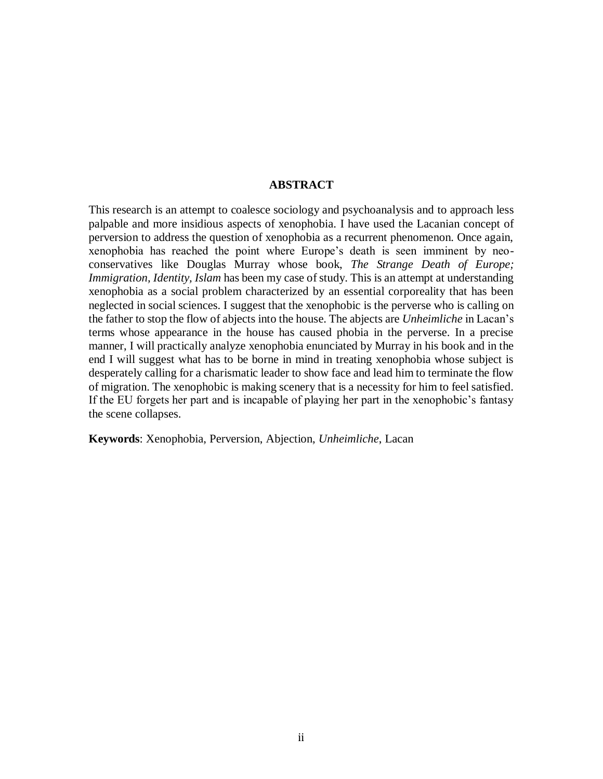#### **ABSTRACT**

This research is an attempt to coalesce sociology and psychoanalysis and to approach less palpable and more insidious aspects of xenophobia. I have used the Lacanian concept of perversion to address the question of xenophobia as a recurrent phenomenon. Once again, xenophobia has reached the point where Europe's death is seen imminent by neoconservatives like Douglas Murray whose book, *The Strange Death of Europe; Immigration, Identity, Islam* has been my case of study. This is an attempt at understanding xenophobia as a social problem characterized by an essential corporeality that has been neglected in social sciences. I suggest that the xenophobic is the perverse who is calling on the father to stop the flow of abjects into the house. The abjects are *Unheimliche* in Lacan's terms whose appearance in the house has caused phobia in the perverse. In a precise manner, I will practically analyze xenophobia enunciated by Murray in his book and in the end I will suggest what has to be borne in mind in treating xenophobia whose subject is desperately calling for a charismatic leader to show face and lead him to terminate the flow of migration. The xenophobic is making scenery that is a necessity for him to feel satisfied. If the EU forgets her part and is incapable of playing her part in the xenophobic's fantasy the scene collapses.

**Keywords**: Xenophobia, Perversion, Abjection, *Unheimliche*, Lacan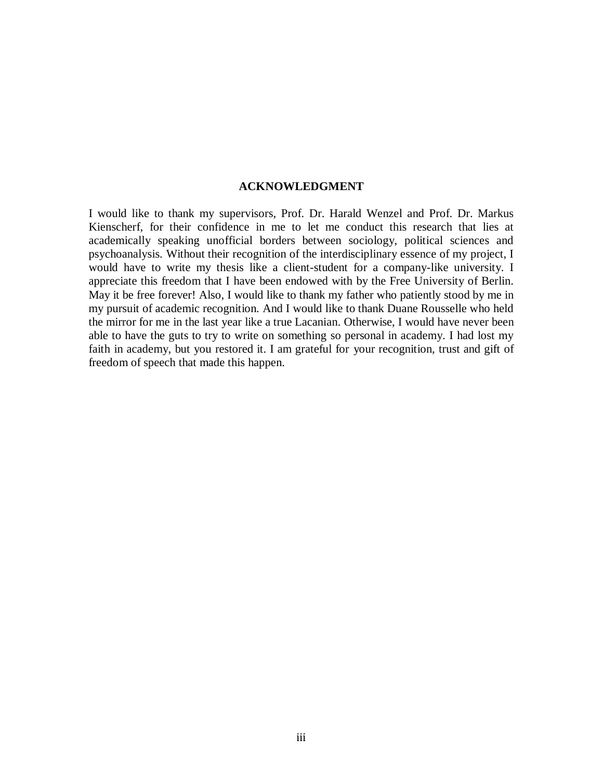#### **ACKNOWLEDGMENT**

I would like to thank my supervisors, Prof. Dr. Harald Wenzel and Prof. Dr. Markus Kienscherf, for their confidence in me to let me conduct this research that lies at academically speaking unofficial borders between sociology, political sciences and psychoanalysis. Without their recognition of the interdisciplinary essence of my project, I would have to write my thesis like a client-student for a company-like university. I appreciate this freedom that I have been endowed with by the Free University of Berlin. May it be free forever! Also, I would like to thank my father who patiently stood by me in my pursuit of academic recognition. And I would like to thank Duane Rousselle who held the mirror for me in the last year like a true Lacanian. Otherwise, I would have never been able to have the guts to try to write on something so personal in academy. I had lost my faith in academy, but you restored it. I am grateful for your recognition, trust and gift of freedom of speech that made this happen.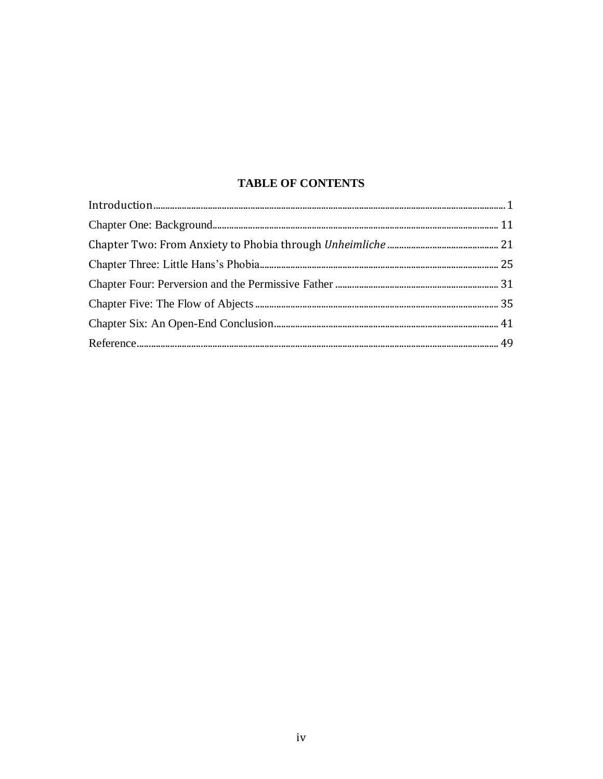#### **TABLE OF CONTENTS**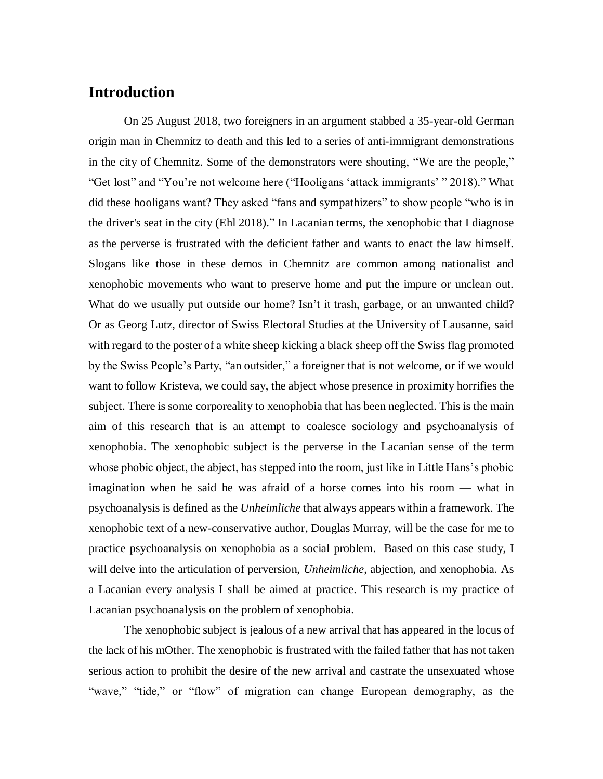#### **Introduction**

On 25 August 2018, two foreigners in an argument stabbed a 35-year-old German origin man in Chemnitz to death and this led to a series of anti-immigrant demonstrations in the city of Chemnitz. Some of the demonstrators were shouting, "We are the people," "Get lost" and "You're not welcome here ("Hooligans 'attack immigrants' " 2018)." What did these hooligans want? They asked "fans and sympathizers" to show people "who is in the driver's seat in the city (Ehl 2018)." In Lacanian terms, the xenophobic that I diagnose as the perverse is frustrated with the deficient father and wants to enact the law himself. Slogans like those in these demos in Chemnitz are common among nationalist and xenophobic movements who want to preserve home and put the impure or unclean out. What do we usually put outside our home? Isn't it trash, garbage, or an unwanted child? Or as Georg Lutz, director of Swiss Electoral Studies at the University of Lausanne, said with regard to the poster of a white sheep kicking a black sheep off the Swiss flag promoted by the Swiss People's Party, "an outsider," a foreigner that is not welcome, or if we would want to follow Kristeva, we could say, the abject whose presence in proximity horrifies the subject. There is some corporeality to xenophobia that has been neglected. This is the main aim of this research that is an attempt to coalesce sociology and psychoanalysis of xenophobia. The xenophobic subject is the perverse in the Lacanian sense of the term whose phobic object, the abject, has stepped into the room, just like in Little Hans's phobic imagination when he said he was afraid of a horse comes into his room — what in psychoanalysis is defined as the *Unheimliche* that always appears within a framework. The xenophobic text of a new-conservative author, Douglas Murray, will be the case for me to practice psychoanalysis on xenophobia as a social problem. Based on this case study, I will delve into the articulation of perversion, *Unheimliche*, abjection, and xenophobia. As a Lacanian every analysis I shall be aimed at practice. This research is my practice of Lacanian psychoanalysis on the problem of xenophobia.

The xenophobic subject is jealous of a new arrival that has appeared in the locus of the lack of his mOther. The xenophobic is frustrated with the failed father that has not taken serious action to prohibit the desire of the new arrival and castrate the unsexuated whose "wave," "tide," or "flow" of migration can change European demography, as the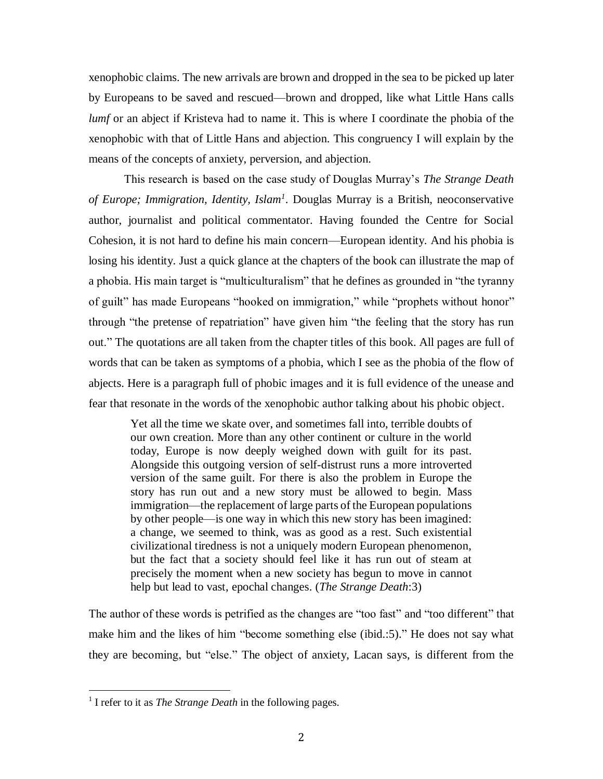xenophobic claims. The new arrivals are brown and dropped in the sea to be picked up later by Europeans to be saved and rescued—brown and dropped, like what Little Hans calls *lumf* or an abject if Kristeva had to name it. This is where I coordinate the phobia of the xenophobic with that of Little Hans and abjection. This congruency I will explain by the means of the concepts of anxiety, perversion, and abjection.

This research is based on the case study of Douglas Murray's *The Strange Death of Europe; Immigration, Identity, Islam<sup>1</sup>* . Douglas Murray is a British, neoconservative author, journalist and political commentator. Having founded the Centre for Social Cohesion, it is not hard to define his main concern—European identity. And his phobia is losing his identity. Just a quick glance at the chapters of the book can illustrate the map of a phobia. His main target is "multiculturalism" that he defines as grounded in "the tyranny of guilt" has made Europeans "hooked on immigration," while "prophets without honor" through "the pretense of repatriation" have given him "the feeling that the story has run out." The quotations are all taken from the chapter titles of this book. All pages are full of words that can be taken as symptoms of a phobia, which I see as the phobia of the flow of abjects. Here is a paragraph full of phobic images and it is full evidence of the unease and fear that resonate in the words of the xenophobic author talking about his phobic object.

Yet all the time we skate over, and sometimes fall into, terrible doubts of our own creation. More than any other continent or culture in the world today, Europe is now deeply weighed down with guilt for its past. Alongside this outgoing version of self-distrust runs a more introverted version of the same guilt. For there is also the problem in Europe the story has run out and a new story must be allowed to begin. Mass immigration—the replacement of large parts of the European populations by other people—is one way in which this new story has been imagined: a change, we seemed to think, was as good as a rest. Such existential civilizational tiredness is not a uniquely modern European phenomenon, but the fact that a society should feel like it has run out of steam at precisely the moment when a new society has begun to move in cannot help but lead to vast, epochal changes. (*The Strange Death*:3)

The author of these words is petrified as the changes are "too fast" and "too different" that make him and the likes of him "become something else (ibid.:5)." He does not say what they are becoming, but "else." The object of anxiety, Lacan says, is different from the

l

<sup>&</sup>lt;sup>1</sup> I refer to it as *The Strange Death* in the following pages.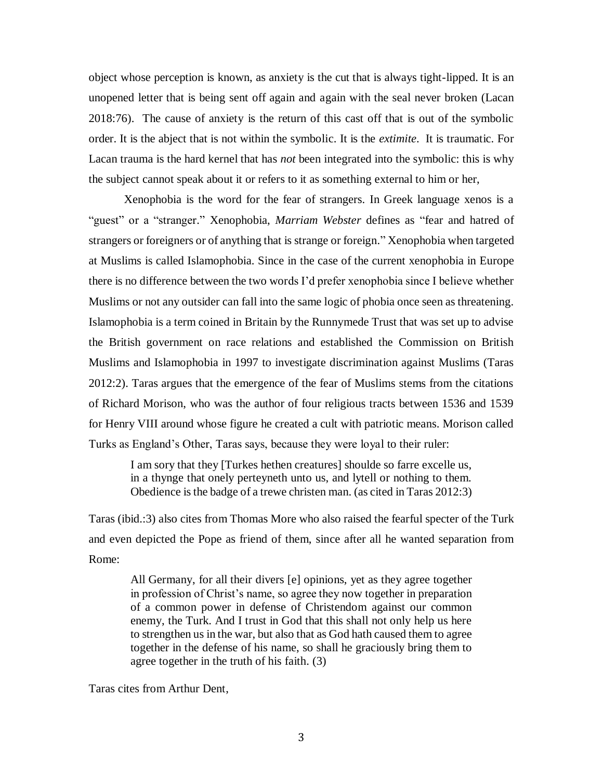object whose perception is known, as anxiety is the cut that is always tight-lipped. It is an unopened letter that is being sent off again and again with the seal never broken (Lacan 2018:76). The cause of anxiety is the return of this cast off that is out of the symbolic order. It is the abject that is not within the symbolic. It is the *extimite*. It is traumatic. For Lacan trauma is the hard kernel that has *not* been integrated into the symbolic: this is why the subject cannot speak about it or refers to it as something external to him or her,

Xenophobia is the word for the fear of strangers. In Greek language xenos is a "guest" or a "stranger." Xenophobia, *Marriam Webster* defines as "fear and hatred of strangers or foreigners or of anything that is strange or foreign." Xenophobia when targeted at Muslims is called Islamophobia. Since in the case of the current xenophobia in Europe there is no difference between the two words I'd prefer xenophobia since I believe whether Muslims or not any outsider can fall into the same logic of phobia once seen as threatening. Islamophobia is a term coined in Britain by the Runnymede Trust that was set up to advise the British government on race relations and established the Commission on British Muslims and Islamophobia in 1997 to investigate discrimination against Muslims (Taras 2012:2). Taras argues that the emergence of the fear of Muslims stems from the citations of Richard Morison, who was the author of four religious tracts between 1536 and 1539 for Henry VIII around whose figure he created a cult with patriotic means. Morison called Turks as England's Other, Taras says, because they were loyal to their ruler:

I am sory that they [Turkes hethen creatures] shoulde so farre excelle us, in a thynge that onely perteyneth unto us, and lytell or nothing to them. Obedience is the badge of a trewe christen man. (as cited in Taras 2012:3)

Taras (ibid.:3) also cites from Thomas More who also raised the fearful specter of the Turk and even depicted the Pope as friend of them, since after all he wanted separation from Rome:

All Germany, for all their divers [e] opinions, yet as they agree together in profession of Christ's name, so agree they now together in preparation of a common power in defense of Christendom against our common enemy, the Turk. And I trust in God that this shall not only help us here to strengthen us in the war, but also that as God hath caused them to agree together in the defense of his name, so shall he graciously bring them to agree together in the truth of his faith. (3)

Taras cites from Arthur Dent,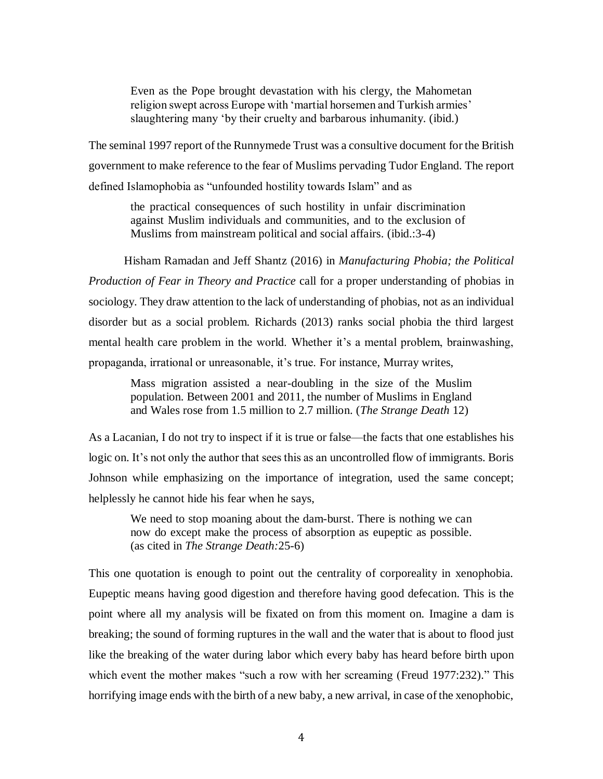Even as the Pope brought devastation with his clergy, the Mahometan religion swept across Europe with 'martial horsemen and Turkish armies' slaughtering many 'by their cruelty and barbarous inhumanity. (ibid.)

The seminal 1997 report of the Runnymede Trust was a consultive document for the British government to make reference to the fear of Muslims pervading Tudor England. The report defined Islamophobia as "unfounded hostility towards Islam" and as

the practical consequences of such hostility in unfair discrimination against Muslim individuals and communities, and to the exclusion of Muslims from mainstream political and social affairs. (ibid.:3-4)

Hisham Ramadan and Jeff Shantz (2016) in *Manufacturing Phobia; the Political Production of Fear in Theory and Practice* call for a proper understanding of phobias in sociology. They draw attention to the lack of understanding of phobias, not as an individual disorder but as a social problem. Richards (2013) ranks social phobia the third largest mental health care problem in the world. Whether it's a mental problem, brainwashing, propaganda, irrational or unreasonable, it's true. For instance, Murray writes,

Mass migration assisted a near-doubling in the size of the Muslim population. Between 2001 and 2011, the number of Muslims in England and Wales rose from 1.5 million to 2.7 million. (*The Strange Death* 12)

As a Lacanian, I do not try to inspect if it is true or false—the facts that one establishes his logic on. It's not only the author that sees this as an uncontrolled flow of immigrants. Boris Johnson while emphasizing on the importance of integration, used the same concept; helplessly he cannot hide his fear when he says,

We need to stop moaning about the dam-burst. There is nothing we can now do except make the process of absorption as eupeptic as possible. (as cited in *The Strange Death:*25-6)

This one quotation is enough to point out the centrality of corporeality in xenophobia. Eupeptic means having good digestion and therefore having good defecation. This is the point where all my analysis will be fixated on from this moment on. Imagine a dam is breaking; the sound of forming ruptures in the wall and the water that is about to flood just like the breaking of the water during labor which every baby has heard before birth upon which event the mother makes "such a row with her screaming (Freud 1977:232)." This horrifying image ends with the birth of a new baby, a new arrival, in case of the xenophobic,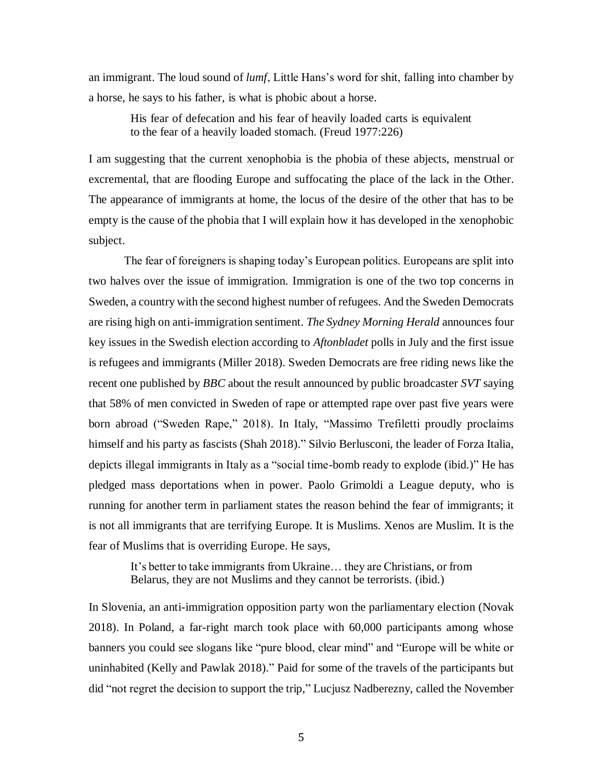an immigrant. The loud sound of *lumf*, Little Hans's word for shit, falling into chamber by a horse, he says to his father, is what is phobic about a horse.

His fear of defecation and his fear of heavily loaded carts is equivalent to the fear of a heavily loaded stomach. (Freud 1977:226)

I am suggesting that the current xenophobia is the phobia of these abjects, menstrual or excremental, that are flooding Europe and suffocating the place of the lack in the Other. The appearance of immigrants at home, the locus of the desire of the other that has to be empty is the cause of the phobia that I will explain how it has developed in the xenophobic subject.

The fear of foreigners is shaping today's European politics. Europeans are split into two halves over the issue of immigration. Immigration is one of the two top concerns in Sweden, a country with the second highest number of refugees. And the Sweden Democrats are rising high on anti-immigration sentiment. *The Sydney Morning Herald* announces four key issues in the Swedish election according to *Aftonbladet* polls in July and the first issue is refugees and immigrants (Miller 2018). Sweden Democrats are free riding news like the recent one published by *BBC* about the result announced by public broadcaster *SVT* saying that 58% of men convicted in Sweden of rape or attempted rape over past five years were born abroad ("Sweden Rape," 2018). In Italy, "Massimo Trefiletti proudly proclaims himself and his party as fascists (Shah 2018)." Silvio Berlusconi, the leader of Forza Italia, depicts illegal immigrants in Italy as a "social time-bomb ready to explode (ibid.)" He has pledged mass deportations when in power. Paolo Grimoldi a League deputy, who is running for another term in parliament states the reason behind the fear of immigrants; it is not all immigrants that are terrifying Europe. It is Muslims. Xenos are Muslim. It is the fear of Muslims that is overriding Europe. He says,

It's better to take immigrants from Ukraine… they are Christians, or from Belarus, they are not Muslims and they cannot be terrorists. (ibid.)

In Slovenia, an anti-immigration opposition party won the parliamentary election (Novak 2018). In Poland, a far-right march took place with 60,000 participants among whose banners you could see slogans like "pure blood, clear mind" and "Europe will be white or uninhabited (Kelly and Pawlak 2018)." Paid for some of the travels of the participants but did "not regret the decision to support the trip," Lucjusz Nadberezny, called the November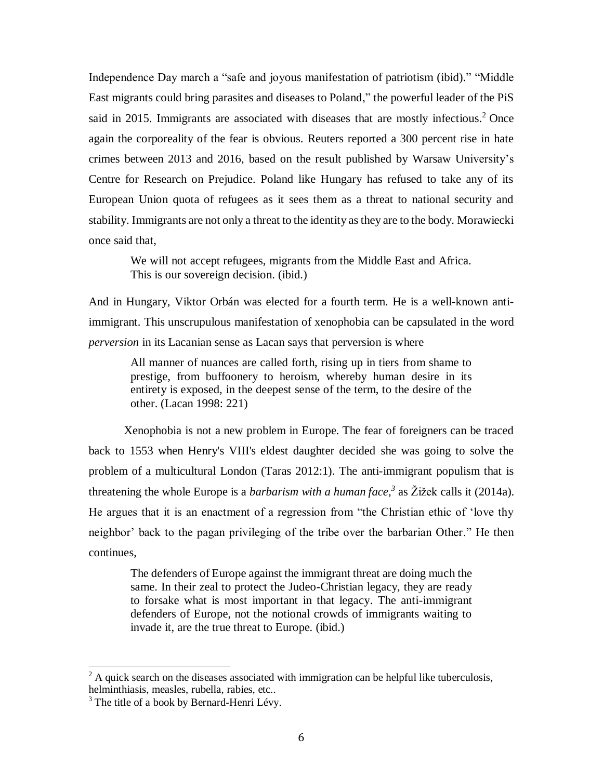Independence Day march a "safe and joyous manifestation of patriotism (ibid)." "Middle East migrants could bring parasites and diseases to Poland," the powerful leader of the PiS said in 2015. Immigrants are associated with diseases that are mostly infectious.<sup>2</sup> Once again the corporeality of the fear is obvious. Reuters reported a 300 percent rise in hate crimes between 2013 and 2016, based on the result published by Warsaw University's Centre for Research on Prejudice. Poland like Hungary has refused to take any of its European Union quota of refugees as it sees them as a threat to national security and stability. Immigrants are not only a threat to the identity as they are to the body. Morawiecki once said that,

We will not accept refugees, migrants from the Middle East and Africa. This is our sovereign decision. (ibid.)

And in Hungary, Viktor Orbán was elected for a fourth term. He is a well-known antiimmigrant. This unscrupulous manifestation of xenophobia can be capsulated in the word *perversion* in its Lacanian sense as Lacan says that perversion is where

All manner of nuances are called forth, rising up in tiers from shame to prestige, from buffoonery to heroism, whereby human desire in its entirety is exposed, in the deepest sense of the term, to the desire of the other. (Lacan 1998: 221)

Xenophobia is not a new problem in Europe. The fear of foreigners can be traced back to 1553 when Henry's VIII's eldest daughter decided she was going to solve the problem of a multicultural London (Taras 2012:1). The anti-immigrant populism that is threatening the whole Europe is a *barbarism with a human face, 3* as Žižek calls it (2014a). He argues that it is an enactment of a regression from "the Christian ethic of 'love thy neighbor' back to the pagan privileging of the tribe over the barbarian Other." He then continues,

The defenders of Europe against the immigrant threat are doing much the same. In their zeal to protect the Judeo-Christian legacy, they are ready to forsake what is most important in that legacy. The anti-immigrant defenders of Europe, not the notional crowds of immigrants waiting to invade it, are the true threat to Europe. (ibid.)

 $\overline{a}$ 

 $2 \text{ A quick search on the diseases associated with immigration can be helpful like tuberculosis,}$ helminthiasis, measles, rubella, rabies, etc..

 $3$  The title of a book by Bernard-Henri Lévy.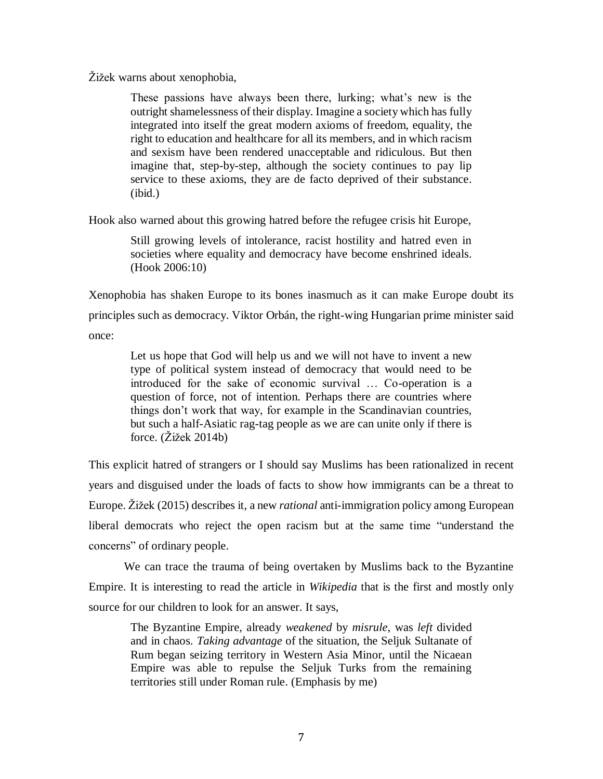Žižek warns about xenophobia,

These passions have always been there, lurking; what's new is the outright shamelessness of their display. Imagine a society which has fully integrated into itself the great modern axioms of freedom, equality, the right to education and healthcare for all its members, and in which racism and sexism have been rendered unacceptable and ridiculous. But then imagine that, step-by-step, although the society continues to pay lip service to these axioms, they are de facto deprived of their substance. (ibid.)

Hook also warned about this growing hatred before the refugee crisis hit Europe,

Still growing levels of intolerance, racist hostility and hatred even in societies where equality and democracy have become enshrined ideals. (Hook 2006:10)

Xenophobia has shaken Europe to its bones inasmuch as it can make Europe doubt its principles such as democracy. Viktor Orbán, the right-wing Hungarian prime minister said once:

Let us hope that God will help us and we will not have to invent a new type of political system instead of democracy that would need to be introduced for the sake of economic survival … Co-operation is a question of force, not of intention. Perhaps there are countries where things don't work that way, for example in the Scandinavian countries, but such a half-Asiatic rag-tag people as we are can unite only if there is force. (Žižek 2014b)

This explicit hatred of strangers or I should say Muslims has been rationalized in recent years and disguised under the loads of facts to show how immigrants can be a threat to Europe. Žižek (2015) describes it, a new *rational* anti-immigration policy among European liberal democrats who reject the open racism but at the same time "understand the concerns" of ordinary people.

We can trace the trauma of being overtaken by Muslims back to the Byzantine Empire. It is interesting to read the article in *Wikipedia* that is the first and mostly only source for our children to look for an answer. It says,

The Byzantine Empire, already *weakened* by *misrule*, was *left* divided and in chaos. *Taking advantage* of the situation, the Seljuk Sultanate of Rum began seizing territory in Western Asia Minor, until the Nicaean Empire was able to repulse the Seljuk Turks from the remaining territories still under Roman rule. (Emphasis by me)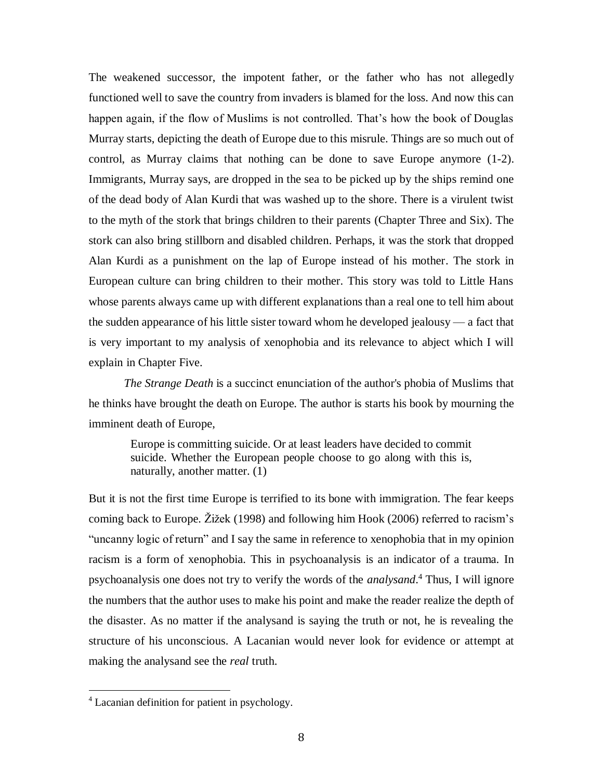The weakened successor, the impotent father, or the father who has not allegedly functioned well to save the country from invaders is blamed for the loss. And now this can happen again, if the flow of Muslims is not controlled. That's how the book of Douglas Murray starts, depicting the death of Europe due to this misrule. Things are so much out of control, as Murray claims that nothing can be done to save Europe anymore (1-2). Immigrants, Murray says, are dropped in the sea to be picked up by the ships remind one of the dead body of Alan Kurdi that was washed up to the shore. There is a virulent twist to the myth of the stork that brings children to their parents (Chapter Three and Six). The stork can also bring stillborn and disabled children. Perhaps, it was the stork that dropped Alan Kurdi as a punishment on the lap of Europe instead of his mother. The stork in European culture can bring children to their mother. This story was told to Little Hans whose parents always came up with different explanations than a real one to tell him about the sudden appearance of his little sister toward whom he developed jealousy — a fact that is very important to my analysis of xenophobia and its relevance to abject which I will explain in Chapter Five.

*The Strange Death* is a succinct enunciation of the author's phobia of Muslims that he thinks have brought the death on Europe. The author is starts his book by mourning the imminent death of Europe,

Europe is committing suicide. Or at least leaders have decided to commit suicide. Whether the European people choose to go along with this is, naturally, another matter. (1)

But it is not the first time Europe is terrified to its bone with immigration. The fear keeps coming back to Europe. Žižek (1998) and following him Hook (2006) referred to racism's "uncanny logic of return" and I say the same in reference to xenophobia that in my opinion racism is a form of xenophobia. This in psychoanalysis is an indicator of a trauma. In psychoanalysis one does not try to verify the words of the *analysand*. <sup>4</sup> Thus, I will ignore the numbers that the author uses to make his point and make the reader realize the depth of the disaster. As no matter if the analysand is saying the truth or not, he is revealing the structure of his unconscious. A Lacanian would never look for evidence or attempt at making the analysand see the *real* truth.

l

<sup>&</sup>lt;sup>4</sup> Lacanian definition for patient in psychology.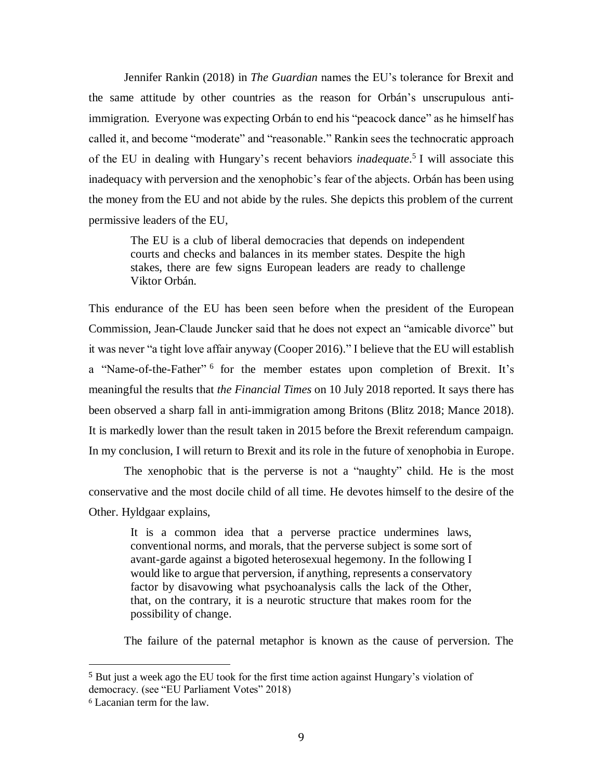Jennifer Rankin (2018) in *The Guardian* names the EU's tolerance for Brexit and the same attitude by other countries as the reason for Orbán's unscrupulous antiimmigration. Everyone was expecting Orbán to end his "peacock dance" as he himself has called it, and become "moderate" and "reasonable." Rankin sees the technocratic approach of the EU in dealing with Hungary's recent behaviors *inadequate*. 5 I will associate this inadequacy with perversion and the xenophobic's fear of the abjects. Orbán has been using the money from the EU and not abide by the rules. She depicts this problem of the current permissive leaders of the EU,

The EU is a club of liberal democracies that depends on independent courts and checks and balances in its member states. Despite the high stakes, there are few signs European leaders are ready to challenge Viktor Orbán.

This endurance of the EU has been seen before when the president of the European Commission, Jean-Claude Juncker said that he does not expect an "amicable divorce" but it was never "a tight love affair anyway (Cooper 2016)." I believe that the EU will establish a "Name-of-the-Father"<sup>6</sup> for the member estates upon completion of Brexit. It's meaningful the results that *the Financial Times* on 10 July 2018 reported. It says there has been observed a sharp fall in anti-immigration among Britons (Blitz 2018; Mance 2018). It is markedly lower than the result taken in 2015 before the Brexit referendum campaign. In my conclusion, I will return to Brexit and its role in the future of xenophobia in Europe.

The xenophobic that is the perverse is not a "naughty" child. He is the most conservative and the most docile child of all time. He devotes himself to the desire of the Other. Hyldgaar explains,

It is a common idea that a perverse practice undermines laws, conventional norms, and morals, that the perverse subject is some sort of avant-garde against a bigoted heterosexual hegemony. In the following I would like to argue that perversion, if anything, represents a conservatory factor by disavowing what psychoanalysis calls the lack of the Other, that, on the contrary, it is a neurotic structure that makes room for the possibility of change.

The failure of the paternal metaphor is known as the cause of perversion. The

l

<sup>5</sup> But just a week ago the EU took for the first time action against Hungary's violation of democracy. (see "EU Parliament Votes" 2018)

<sup>6</sup> Lacanian term for the law.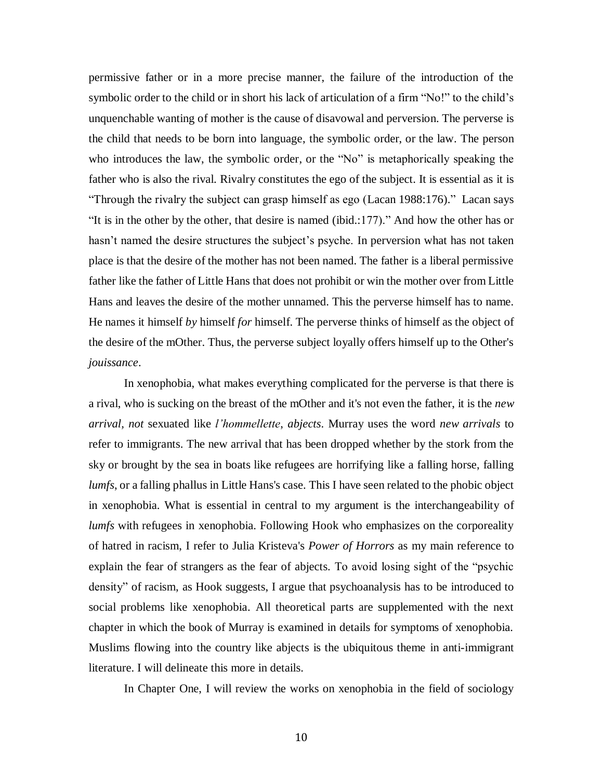permissive father or in a more precise manner, the failure of the introduction of the symbolic order to the child or in short his lack of articulation of a firm "No!" to the child's unquenchable wanting of mother is the cause of disavowal and perversion. The perverse is the child that needs to be born into language, the symbolic order, or the law. The person who introduces the law, the symbolic order, or the "No" is metaphorically speaking the father who is also the rival. Rivalry constitutes the ego of the subject. It is essential as it is "Through the rivalry the subject can grasp himself as ego (Lacan 1988:176)." Lacan says "It is in the other by the other, that desire is named (ibid.:177)." And how the other has or hasn't named the desire structures the subject's psyche. In perversion what has not taken place is that the desire of the mother has not been named. The father is a liberal permissive father like the father of Little Hans that does not prohibit or win the mother over from Little Hans and leaves the desire of the mother unnamed. This the perverse himself has to name. He names it himself *by* himself *for* himself. The perverse thinks of himself as the object of the desire of the mOther. Thus, the perverse subject loyally offers himself up to the Other's *jouissance*.

In xenophobia, what makes everything complicated for the perverse is that there is a rival, who is sucking on the breast of the mOther and it's not even the father, it is the *new arrival, not* sexuated like *l'hommellette*, *abjects*. Murray uses the word *new arrivals* to refer to immigrants. The new arrival that has been dropped whether by the stork from the sky or brought by the sea in boats like refugees are horrifying like a falling horse, falling *lumfs*, or a falling phallus in Little Hans's case. This I have seen related to the phobic object in xenophobia. What is essential in central to my argument is the interchangeability of *lumfs* with refugees in xenophobia. Following Hook who emphasizes on the corporeality of hatred in racism, I refer to Julia Kristeva's *Power of Horrors* as my main reference to explain the fear of strangers as the fear of abjects. To avoid losing sight of the "psychic density" of racism, as Hook suggests, I argue that psychoanalysis has to be introduced to social problems like xenophobia. All theoretical parts are supplemented with the next chapter in which the book of Murray is examined in details for symptoms of xenophobia. Muslims flowing into the country like abjects is the ubiquitous theme in anti-immigrant literature. I will delineate this more in details.

In Chapter One, I will review the works on xenophobia in the field of sociology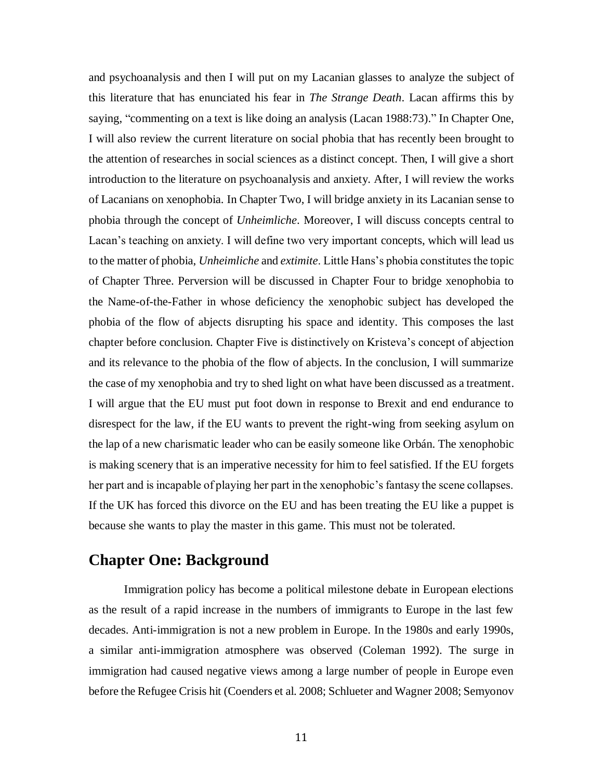and psychoanalysis and then I will put on my Lacanian glasses to analyze the subject of this literature that has enunciated his fear in *The Strange Death*. Lacan affirms this by saying, "commenting on a text is like doing an analysis (Lacan 1988:73)." In Chapter One, I will also review the current literature on social phobia that has recently been brought to the attention of researches in social sciences as a distinct concept. Then, I will give a short introduction to the literature on psychoanalysis and anxiety. After, I will review the works of Lacanians on xenophobia. In Chapter Two, I will bridge anxiety in its Lacanian sense to phobia through the concept of *Unheimliche*. Moreover, I will discuss concepts central to Lacan's teaching on anxiety. I will define two very important concepts, which will lead us to the matter of phobia, *Unheimliche* and *extimite*. Little Hans's phobia constitutes the topic of Chapter Three. Perversion will be discussed in Chapter Four to bridge xenophobia to the Name-of-the-Father in whose deficiency the xenophobic subject has developed the phobia of the flow of abjects disrupting his space and identity. This composes the last chapter before conclusion. Chapter Five is distinctively on Kristeva's concept of abjection and its relevance to the phobia of the flow of abjects. In the conclusion, I will summarize the case of my xenophobia and try to shed light on what have been discussed as a treatment. I will argue that the EU must put foot down in response to Brexit and end endurance to disrespect for the law, if the EU wants to prevent the right-wing from seeking asylum on the lap of a new charismatic leader who can be easily someone like Orbán. The xenophobic is making scenery that is an imperative necessity for him to feel satisfied. If the EU forgets her part and is incapable of playing her part in the xenophobic's fantasy the scene collapses. If the UK has forced this divorce on the EU and has been treating the EU like a puppet is because she wants to play the master in this game. This must not be tolerated.

## **Chapter One: Background**

Immigration policy has become a political milestone debate in European elections as the result of a rapid increase in the numbers of immigrants to Europe in the last few decades. Anti-immigration is not a new problem in Europe. In the 1980s and early 1990s, a similar anti-immigration atmosphere was observed (Coleman 1992). The surge in immigration had caused negative views among a large number of people in Europe even before the Refugee Crisis hit (Coenders et al. 2008; Schlueter and Wagner 2008; Semyonov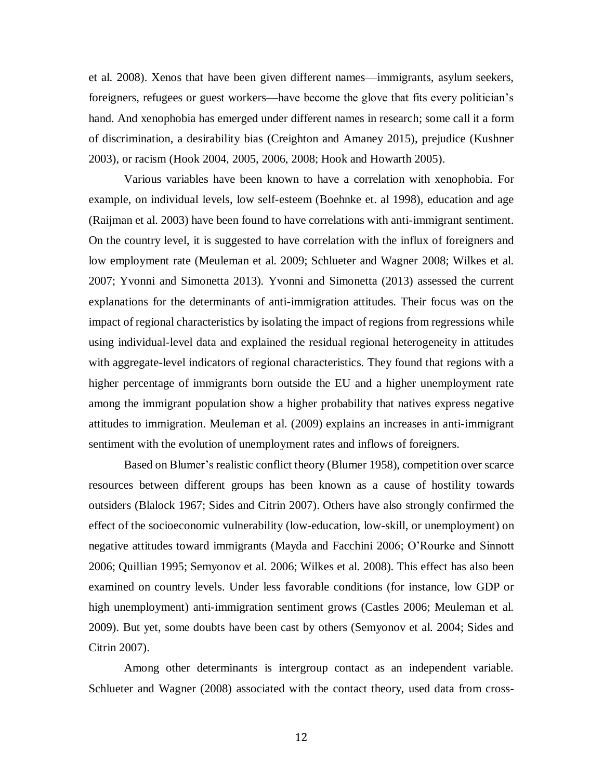et al. 2008). Xenos that have been given different names—immigrants, asylum seekers, foreigners, refugees or guest workers—have become the glove that fits every politician's hand. And xenophobia has emerged under different names in research; some call it a form of discrimination, a desirability bias (Creighton and Amaney 2015), prejudice (Kushner 2003), or racism (Hook 2004, 2005, 2006, 2008; Hook and Howarth 2005).

Various variables have been known to have a correlation with xenophobia. For example, on individual levels, low self-esteem (Boehnke et. al 1998), education and age (Raijman et al. 2003) have been found to have correlations with anti-immigrant sentiment. On the country level, it is suggested to have correlation with the influx of foreigners and low employment rate (Meuleman et al. 2009; Schlueter and Wagner 2008; Wilkes et al. 2007; Yvonni and Simonetta 2013). Yvonni and Simonetta (2013) assessed the current explanations for the determinants of anti-immigration attitudes. Their focus was on the impact of regional characteristics by isolating the impact of regions from regressions while using individual-level data and explained the residual regional heterogeneity in attitudes with aggregate-level indicators of regional characteristics. They found that regions with a higher percentage of immigrants born outside the EU and a higher unemployment rate among the immigrant population show a higher probability that natives express negative attitudes to immigration. Meuleman et al. (2009) explains an increases in anti-immigrant sentiment with the evolution of unemployment rates and inflows of foreigners.

Based on Blumer's realistic conflict theory (Blumer 1958), competition over scarce resources between different groups has been known as a cause of hostility towards outsiders (Blalock 1967; Sides and Citrin 2007). Others have also strongly confirmed the effect of the socioeconomic vulnerability (low-education, low-skill, or unemployment) on negative attitudes toward immigrants (Mayda and Facchini 2006; O'Rourke and Sinnott 2006; Quillian 1995; Semyonov et al. 2006; Wilkes et al. 2008). This effect has also been examined on country levels. Under less favorable conditions (for instance, low GDP or high unemployment) anti-immigration sentiment grows (Castles 2006; Meuleman et al. 2009). But yet, some doubts have been cast by others (Semyonov et al. 2004; Sides and Citrin 2007).

Among other determinants is intergroup contact as an independent variable. Schlueter and Wagner (2008) associated with the contact theory, used data from cross-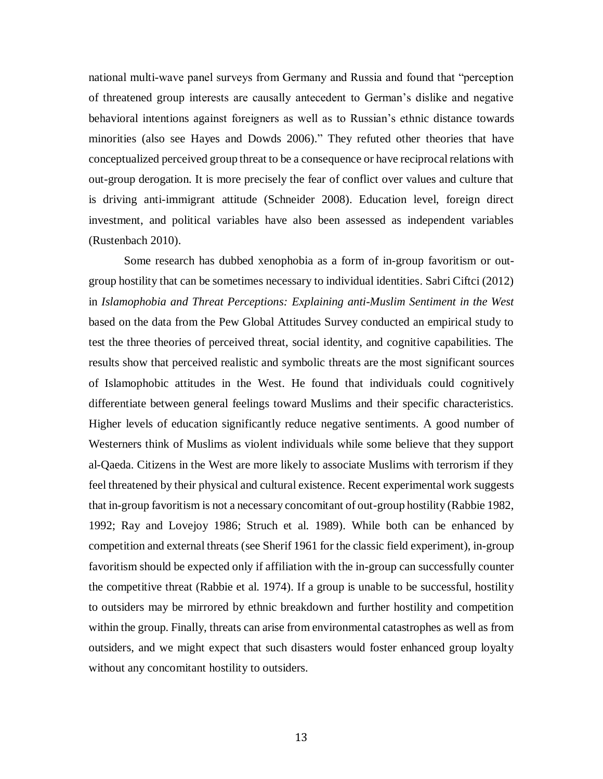national multi-wave panel surveys from Germany and Russia and found that "perception of threatened group interests are causally antecedent to German's dislike and negative behavioral intentions against foreigners as well as to Russian's ethnic distance towards minorities (also see Hayes and Dowds 2006)." They refuted other theories that have conceptualized perceived group threat to be a consequence or have reciprocal relations with out-group derogation. It is more precisely the fear of conflict over values and culture that is driving anti-immigrant attitude (Schneider 2008). Education level, foreign direct investment, and political variables have also been assessed as independent variables (Rustenbach 2010).

Some research has dubbed xenophobia as a form of in-group favoritism or outgroup hostility that can be sometimes necessary to individual identities. Sabri Ciftci (2012) in *Islamophobia and Threat Perceptions: Explaining anti-Muslim Sentiment in the West* based on the data from the Pew Global Attitudes Survey conducted an empirical study to test the three theories of perceived threat, social identity, and cognitive capabilities. The results show that perceived realistic and symbolic threats are the most significant sources of Islamophobic attitudes in the West. He found that individuals could cognitively differentiate between general feelings toward Muslims and their specific characteristics. Higher levels of education significantly reduce negative sentiments. A good number of Westerners think of Muslims as violent individuals while some believe that they support al-Qaeda. Citizens in the West are more likely to associate Muslims with terrorism if they feel threatened by their physical and cultural existence. Recent experimental work suggests that in-group favoritism is not a necessary concomitant of out-group hostility (Rabbie 1982, 1992; Ray and Lovejoy 1986; Struch et al. 1989). While both can be enhanced by competition and external threats (see Sherif 1961 for the classic field experiment), in-group favoritism should be expected only if affiliation with the in-group can successfully counter the competitive threat (Rabbie et al. 1974). If a group is unable to be successful, hostility to outsiders may be mirrored by ethnic breakdown and further hostility and competition within the group. Finally, threats can arise from environmental catastrophes as well as from outsiders, and we might expect that such disasters would foster enhanced group loyalty without any concomitant hostility to outsiders.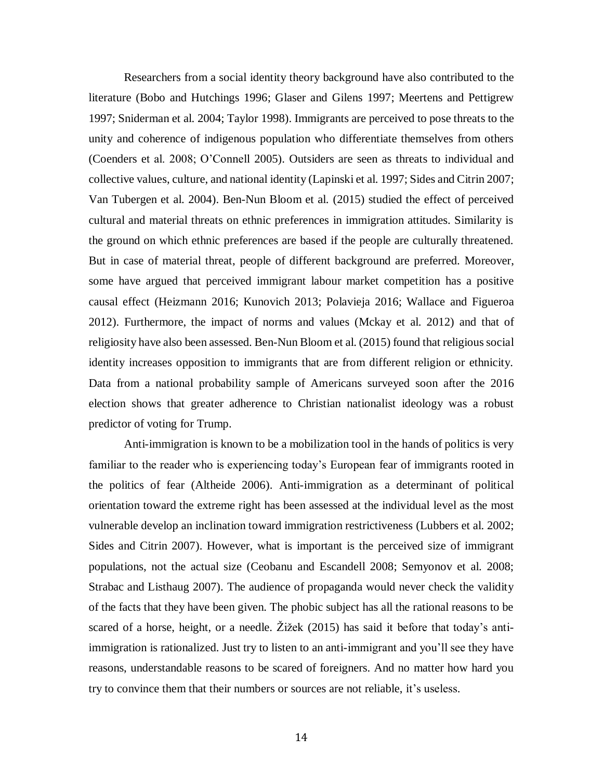Researchers from a social identity theory background have also contributed to the literature (Bobo and Hutchings 1996; Glaser and Gilens 1997; Meertens and Pettigrew 1997; Sniderman et al. 2004; Taylor 1998). Immigrants are perceived to pose threats to the unity and coherence of indigenous population who differentiate themselves from others (Coenders et al. 2008; O'Connell 2005). Outsiders are seen as threats to individual and collective values, culture, and national identity (Lapinski et al. 1997; Sides and Citrin 2007; Van Tubergen et al. 2004). Ben-Nun Bloom et al. (2015) studied the effect of perceived cultural and material threats on ethnic preferences in immigration attitudes. Similarity is the ground on which ethnic preferences are based if the people are culturally threatened. But in case of material threat, people of different background are preferred. Moreover, some have argued that perceived immigrant labour market competition has a positive causal effect (Heizmann 2016; Kunovich 2013; Polavieja 2016; Wallace and Figueroa 2012). Furthermore, the impact of norms and values (Mckay et al. 2012) and that of religiosity have also been assessed. Ben-Nun Bloom et al. (2015) found that religious social identity increases opposition to immigrants that are from different religion or ethnicity. Data from a national probability sample of Americans surveyed soon after the 2016 election shows that greater adherence to Christian nationalist ideology was a robust predictor of voting for Trump.

Anti-immigration is known to be a mobilization tool in the hands of politics is very familiar to the reader who is experiencing today's European fear of immigrants rooted in the politics of fear (Altheide 2006). Anti-immigration as a determinant of political orientation toward the extreme right has been assessed at the individual level as the most vulnerable develop an inclination toward immigration restrictiveness (Lubbers et al. 2002; Sides and Citrin 2007). However, what is important is the perceived size of immigrant populations, not the actual size (Ceobanu and Escandell 2008; Semyonov et al. 2008; Strabac and Listhaug 2007). The audience of propaganda would never check the validity of the facts that they have been given. The phobic subject has all the rational reasons to be scared of a horse, height, or a needle. Žižek (2015) has said it before that today's antiimmigration is rationalized. Just try to listen to an anti-immigrant and you'll see they have reasons, understandable reasons to be scared of foreigners. And no matter how hard you try to convince them that their numbers or sources are not reliable, it's useless.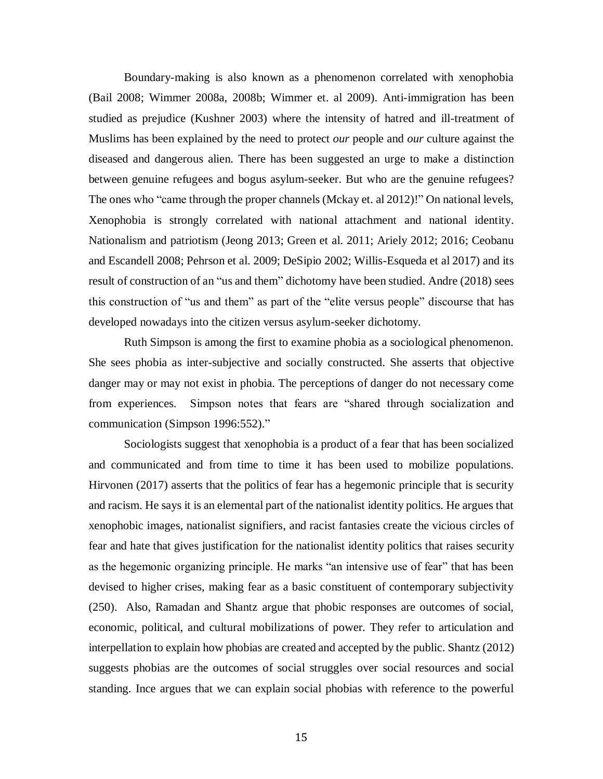Boundary-making is also known as a phenomenon correlated with xenophobia (Bail 2008; Wimmer 2008a, 2008b; Wimmer et. al 2009). Anti-immigration has been studied as prejudice (Kushner 2003) where the intensity of hatred and ill-treatment of Muslims has been explained by the need to protect *our* people and *our* culture against the diseased and dangerous alien. There has been suggested an urge to make a distinction between genuine refugees and bogus asylum-seeker. But who are the genuine refugees? The ones who "came through the proper channels (Mckay et. al 2012)!" On national levels, Xenophobia is strongly correlated with national attachment and national identity. Nationalism and patriotism (Jeong 2013; Green et al. 2011; Ariely 2012; 2016; Ceobanu and Escandell 2008; Pehrson et al. 2009; DeSipio 2002; Willis-Esqueda et al 2017) and its result of construction of an "us and them" dichotomy have been studied. Andre (2018) sees this construction of "us and them" as part of the "elite versus people" discourse that has developed nowadays into the citizen versus asylum-seeker dichotomy.

Ruth Simpson is among the first to examine phobia as a sociological phenomenon. She sees phobia as inter-subjective and socially constructed. She asserts that objective danger may or may not exist in phobia. The perceptions of danger do not necessary come from experiences. Simpson notes that fears are "shared through socialization and communication (Simpson 1996:552)."

Sociologists suggest that xenophobia is a product of a fear that has been socialized and communicated and from time to time it has been used to mobilize populations. Hirvonen (2017) asserts that the politics of fear has a hegemonic principle that is security and racism. He says it is an elemental part of the nationalist identity politics. He argues that xenophobic images, nationalist signifiers, and racist fantasies create the vicious circles of fear and hate that gives justification for the nationalist identity politics that raises security as the hegemonic organizing principle. He marks "an intensive use of fear" that has been devised to higher crises, making fear as a basic constituent of contemporary subjectivity (250). Also, Ramadan and Shantz argue that phobic responses are outcomes of social, economic, political, and cultural mobilizations of power. They refer to articulation and interpellation to explain how phobias are created and accepted by the public. Shantz (2012) suggests phobias are the outcomes of social struggles over social resources and social standing. Ince argues that we can explain social phobias with reference to the powerful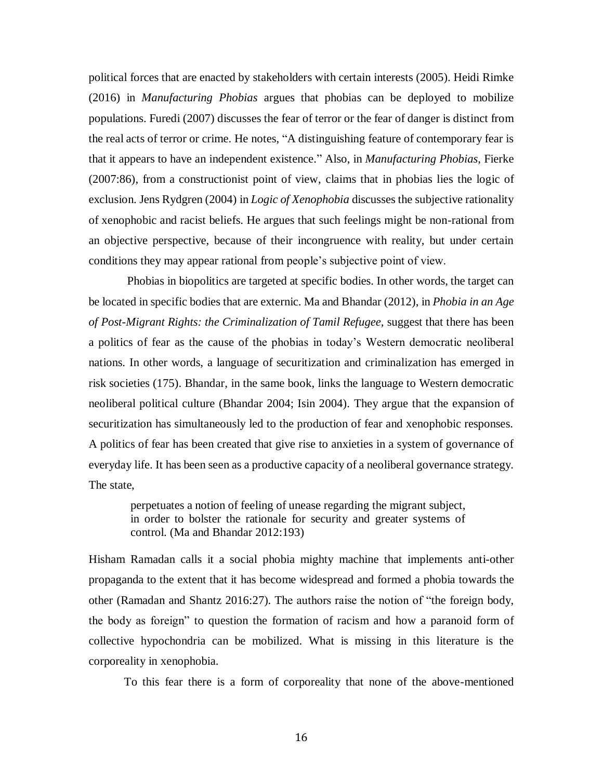political forces that are enacted by stakeholders with certain interests (2005). Heidi Rimke (2016) in *Manufacturing Phobias* argues that phobias can be deployed to mobilize populations. Furedi (2007) discusses the fear of terror or the fear of danger is distinct from the real acts of terror or crime. He notes, "A distinguishing feature of contemporary fear is that it appears to have an independent existence." Also, in *Manufacturing Phobias*, Fierke (2007:86), from a constructionist point of view, claims that in phobias lies the logic of exclusion. Jens Rydgren (2004) in *Logic of Xenophobia* discusses the subjective rationality of xenophobic and racist beliefs. He argues that such feelings might be non-rational from an objective perspective, because of their incongruence with reality, but under certain conditions they may appear rational from people's subjective point of view.

Phobias in biopolitics are targeted at specific bodies. In other words, the target can be located in specific bodies that are externic. Ma and Bhandar (2012), in *Phobia in an Age of Post-Migrant Rights: the Criminalization of Tamil Refugee,* suggest that there has been a politics of fear as the cause of the phobias in today's Western democratic neoliberal nations. In other words, a language of securitization and criminalization has emerged in risk societies (175). Bhandar, in the same book, links the language to Western democratic neoliberal political culture (Bhandar 2004; Isin 2004). They argue that the expansion of securitization has simultaneously led to the production of fear and xenophobic responses. A politics of fear has been created that give rise to anxieties in a system of governance of everyday life. It has been seen as a productive capacity of a neoliberal governance strategy. The state,

perpetuates a notion of feeling of unease regarding the migrant subject, in order to bolster the rationale for security and greater systems of control. (Ma and Bhandar 2012:193)

Hisham Ramadan calls it a social phobia mighty machine that implements anti-other propaganda to the extent that it has become widespread and formed a phobia towards the other (Ramadan and Shantz 2016:27). The authors raise the notion of "the foreign body, the body as foreign" to question the formation of racism and how a paranoid form of collective hypochondria can be mobilized. What is missing in this literature is the corporeality in xenophobia.

To this fear there is a form of corporeality that none of the above-mentioned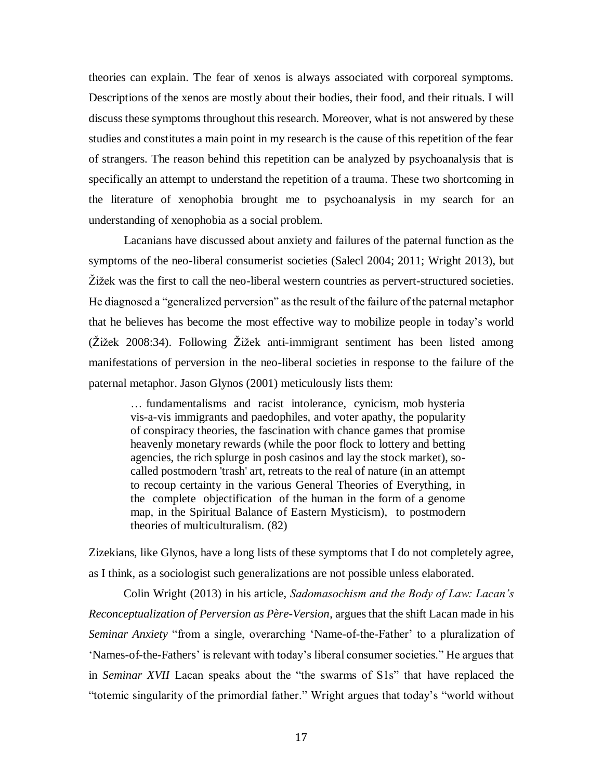theories can explain. The fear of xenos is always associated with corporeal symptoms. Descriptions of the xenos are mostly about their bodies, their food, and their rituals. I will discuss these symptoms throughout this research. Moreover, what is not answered by these studies and constitutes a main point in my research is the cause of this repetition of the fear of strangers. The reason behind this repetition can be analyzed by psychoanalysis that is specifically an attempt to understand the repetition of a trauma. These two shortcoming in the literature of xenophobia brought me to psychoanalysis in my search for an understanding of xenophobia as a social problem.

Lacanians have discussed about anxiety and failures of the paternal function as the symptoms of the neo-liberal consumerist societies (Salecl 2004; 2011; Wright 2013), but Žižek was the first to call the neo-liberal western countries as pervert-structured societies. He diagnosed a "generalized perversion" as the result of the failure of the paternal metaphor that he believes has become the most effective way to mobilize people in today's world (Žižek 2008:34). Following Žižek anti-immigrant sentiment has been listed among manifestations of perversion in the neo-liberal societies in response to the failure of the paternal metaphor. Jason Glynos (2001) meticulously lists them:

… fundamentalisms and racist intolerance, cynicism, mob hysteria vis-a-vis immigrants and paedophiles, and voter apathy, the popularity of conspiracy theories, the fascination with chance games that promise heavenly monetary rewards (while the poor flock to lottery and betting agencies, the rich splurge in posh casinos and lay the stock market), socalled postmodern 'trash' art, retreats to the real of nature (in an attempt to recoup certainty in the various General Theories of Everything, in the complete objectification of the human in the form of a genome map, in the Spiritual Balance of Eastern Mysticism), to postmodern theories of multiculturalism. (82)

Zizekians, like Glynos, have a long lists of these symptoms that I do not completely agree, as I think, as a sociologist such generalizations are not possible unless elaborated.

Colin Wright (2013) in his article, *Sadomasochism and the Body of Law: Lacan's Reconceptualization of Perversion as Père-Version*, argues that the shift Lacan made in his *Seminar Anxiety* "from a single, overarching 'Name-of-the-Father' to a pluralization of 'Names-of-the-Fathers' is relevant with today's liberal consumer societies." He argues that in *Seminar XVII* Lacan speaks about the "the swarms of S1s" that have replaced the "totemic singularity of the primordial father." Wright argues that today's "world without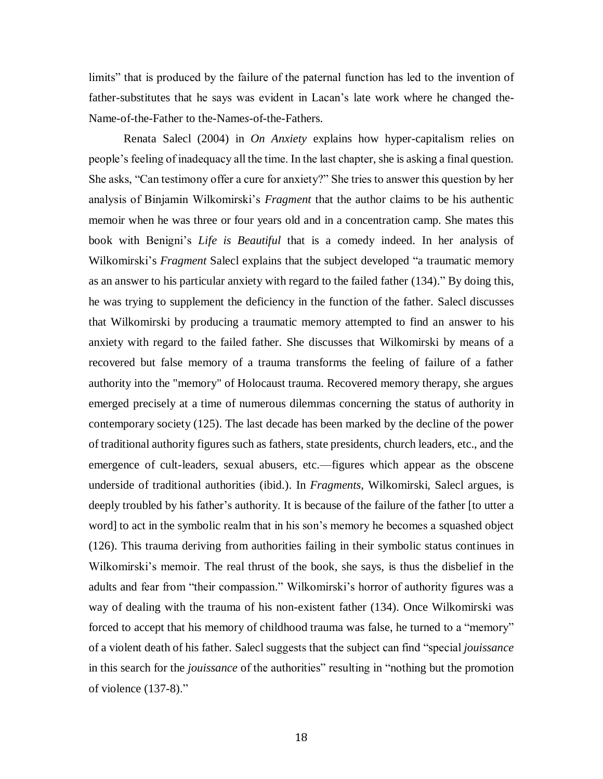limits" that is produced by the failure of the paternal function has led to the invention of father-substitutes that he says was evident in Lacan's late work where he changed the-Name-of-the-Father to the-Name*s*-of-the-Fathers.

Renata Salecl (2004) in *On Anxiety* explains how hyper-capitalism relies on people's feeling of inadequacy all the time. In the last chapter, she is asking a final question. She asks, "Can testimony offer a cure for anxiety?" She tries to answer this question by her analysis of Binjamin Wilkomirski's *Fragment* that the author claims to be his authentic memoir when he was three or four years old and in a concentration camp. She mates this book with Benigni's *Life is Beautiful* that is a comedy indeed. In her analysis of Wilkomirski's *Fragment* Salecl explains that the subject developed "a traumatic memory as an answer to his particular anxiety with regard to the failed father (134)." By doing this, he was trying to supplement the deficiency in the function of the father. Salecl discusses that Wilkomirski by producing a traumatic memory attempted to find an answer to his anxiety with regard to the failed father. She discusses that Wilkomirski by means of a recovered but false memory of a trauma transforms the feeling of failure of a father authority into the "memory" of Holocaust trauma. Recovered memory therapy, she argues emerged precisely at a time of numerous dilemmas concerning the status of authority in contemporary society (125). The last decade has been marked by the decline of the power of traditional authority figures such as fathers, state presidents, church leaders, etc., and the emergence of cult-leaders, sexual abusers, etc.—figures which appear as the obscene underside of traditional authorities (ibid.). In *Fragments,* Wilkomirski, Salecl argues, is deeply troubled by his father's authority. It is because of the failure of the father [to utter a word] to act in the symbolic realm that in his son's memory he becomes a squashed object (126). This trauma deriving from authorities failing in their symbolic status continues in Wilkomirski's memoir. The real thrust of the book, she says, is thus the disbelief in the adults and fear from "their compassion." Wilkomirski's horror of authority figures was a way of dealing with the trauma of his non-existent father (134). Once Wilkomirski was forced to accept that his memory of childhood trauma was false, he turned to a "memory" of a violent death of his father. Salecl suggests that the subject can find "special *jouissance* in this search for the *jouissance* of the authorities" resulting in "nothing but the promotion of violence (137-8)."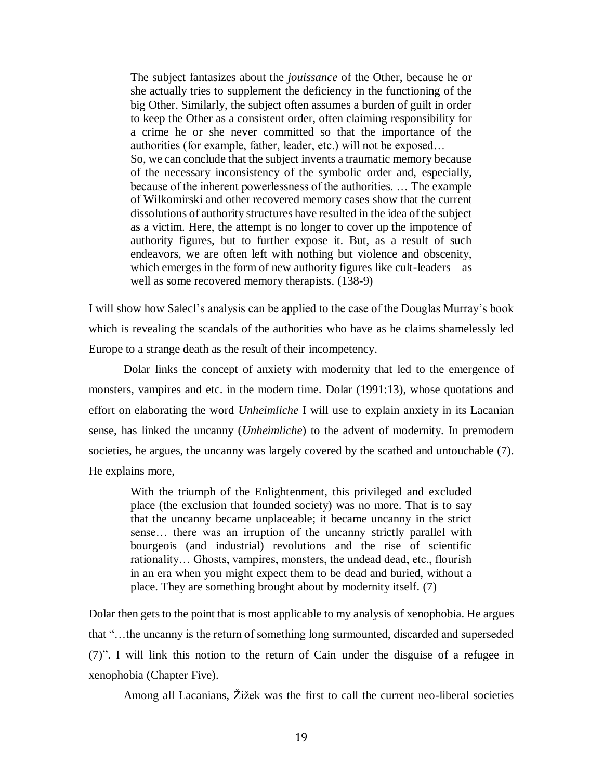The subject fantasizes about the *jouissance* of the Other, because he or she actually tries to supplement the deficiency in the functioning of the big Other. Similarly, the subject often assumes a burden of guilt in order to keep the Other as a consistent order, often claiming responsibility for a crime he or she never committed so that the importance of the authorities (for example, father, leader, etc.) will not be exposed… So, we can conclude that the subject invents a traumatic memory because of the necessary inconsistency of the symbolic order and, especially, because of the inherent powerlessness of the authorities. … The example of Wilkomirski and other recovered memory cases show that the current dissolutions of authority structures have resulted in the idea of the subject as a victim. Here, the attempt is no longer to cover up the impotence of authority figures, but to further expose it. But, as a result of such endeavors, we are often left with nothing but violence and obscenity, which emerges in the form of new authority figures like cult-leaders – as well as some recovered memory therapists. (138-9)

I will show how Salecl's analysis can be applied to the case of the Douglas Murray's book which is revealing the scandals of the authorities who have as he claims shamelessly led Europe to a strange death as the result of their incompetency.

Dolar links the concept of anxiety with modernity that led to the emergence of monsters, vampires and etc. in the modern time. Dolar (1991:13), whose quotations and effort on elaborating the word *Unheimliche* I will use to explain anxiety in its Lacanian sense, has linked the uncanny (*Unheimliche*) to the advent of modernity. In premodern societies, he argues, the uncanny was largely covered by the scathed and untouchable (7). He explains more,

With the triumph of the Enlightenment, this privileged and excluded place (the exclusion that founded society) was no more. That is to say that the uncanny became unplaceable; it became uncanny in the strict sense… there was an irruption of the uncanny strictly parallel with bourgeois (and industrial) revolutions and the rise of scientific rationality… Ghosts, vampires, monsters, the undead dead, etc., flourish in an era when you might expect them to be dead and buried, without a place. They are something brought about by modernity itself. (7)

Dolar then gets to the point that is most applicable to my analysis of xenophobia. He argues that "…the uncanny is the return of something long surmounted, discarded and superseded (7)". I will link this notion to the return of Cain under the disguise of a refugee in xenophobia (Chapter Five).

Among all Lacanians, Žižek was the first to call the current neo-liberal societies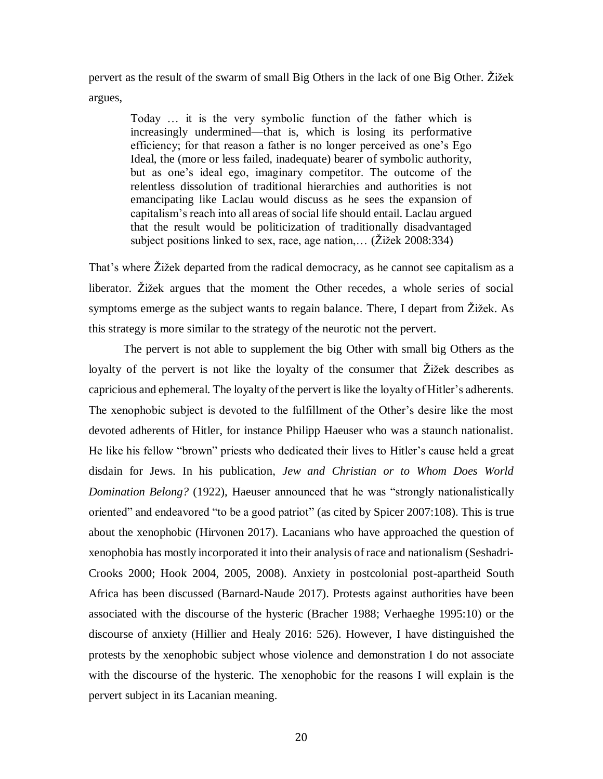pervert as the result of the swarm of small Big Others in the lack of one Big Other. Žižek argues,

Today … it is the very symbolic function of the father which is increasingly undermined—that is, which is losing its performative efficiency; for that reason a father is no longer perceived as one's Ego Ideal, the (more or less failed, inadequate) bearer of symbolic authority, but as one's ideal ego, imaginary competitor. The outcome of the relentless dissolution of traditional hierarchies and authorities is not emancipating like Laclau would discuss as he sees the expansion of capitalism's reach into all areas of social life should entail. Laclau argued that the result would be politicization of traditionally disadvantaged subject positions linked to sex, race, age nation,… (Žižek 2008:334)

That's where Žižek departed from the radical democracy, as he cannot see capitalism as a liberator. Žižek argues that the moment the Other recedes, a whole series of social symptoms emerge as the subject wants to regain balance. There, I depart from Žižek. As this strategy is more similar to the strategy of the neurotic not the pervert.

The pervert is not able to supplement the big Other with small big Others as the loyalty of the pervert is not like the loyalty of the consumer that Žižek describes as capricious and ephemeral. The loyalty of the pervert is like the loyalty of Hitler's adherents. The xenophobic subject is devoted to the fulfillment of the Other's desire like the most devoted adherents of Hitler, for instance Philipp Haeuser who was a staunch nationalist. He like his fellow "brown" priests who dedicated their lives to Hitler's cause held a great disdain for Jews. In his publication, *Jew and Christian or to Whom Does World Domination Belong?* (1922), Haeuser announced that he was "strongly nationalistically oriented" and endeavored "to be a good patriot" (as cited by Spicer 2007:108). This is true about the xenophobic (Hirvonen 2017). Lacanians who have approached the question of xenophobia has mostly incorporated it into their analysis of race and nationalism (Seshadri-Crooks 2000; Hook 2004, 2005, 2008). Anxiety in postcolonial post-apartheid South Africa has been discussed (Barnard-Naude 2017). Protests against authorities have been associated with the discourse of the hysteric (Bracher 1988; Verhaeghe 1995:10) or the discourse of anxiety (Hillier and Healy 2016: 526). However, I have distinguished the protests by the xenophobic subject whose violence and demonstration I do not associate with the discourse of the hysteric. The xenophobic for the reasons I will explain is the pervert subject in its Lacanian meaning.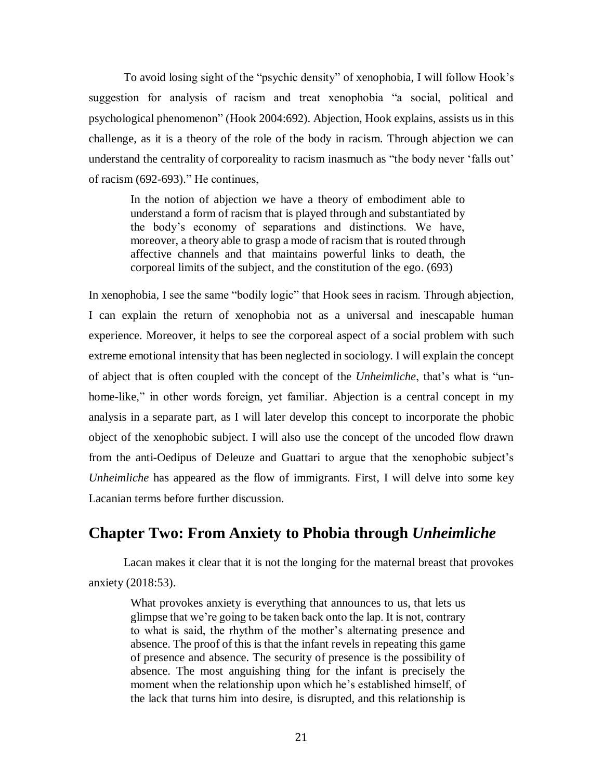To avoid losing sight of the "psychic density" of xenophobia, I will follow Hook's suggestion for analysis of racism and treat xenophobia "a social, political and psychological phenomenon" (Hook 2004:692). Abjection, Hook explains, assists us in this challenge, as it is a theory of the role of the body in racism. Through abjection we can understand the centrality of corporeality to racism inasmuch as "the body never 'falls out' of racism (692-693)." He continues,

In the notion of abjection we have a theory of embodiment able to understand a form of racism that is played through and substantiated by the body's economy of separations and distinctions. We have, moreover, a theory able to grasp a mode of racism that is routed through affective channels and that maintains powerful links to death, the corporeal limits of the subject, and the constitution of the ego. (693)

In xenophobia, I see the same "bodily logic" that Hook sees in racism. Through abjection, I can explain the return of xenophobia not as a universal and inescapable human experience. Moreover, it helps to see the corporeal aspect of a social problem with such extreme emotional intensity that has been neglected in sociology. I will explain the concept of abject that is often coupled with the concept of the *Unheimliche*, that's what is "unhome-like," in other words foreign, yet familiar. Abjection is a central concept in my analysis in a separate part, as I will later develop this concept to incorporate the phobic object of the xenophobic subject. I will also use the concept of the uncoded flow drawn from the anti-Oedipus of Deleuze and Guattari to argue that the xenophobic subject's *Unheimliche* has appeared as the flow of immigrants. First, I will delve into some key Lacanian terms before further discussion.

## **Chapter Two: From Anxiety to Phobia through** *Unheimliche*

Lacan makes it clear that it is not the longing for the maternal breast that provokes anxiety (2018:53).

What provokes anxiety is everything that announces to us, that lets us glimpse that we're going to be taken back onto the lap. It is not, contrary to what is said, the rhythm of the mother's alternating presence and absence. The proof of this is that the infant revels in repeating this game of presence and absence. The security of presence is the possibility of absence. The most anguishing thing for the infant is precisely the moment when the relationship upon which he's established himself, of the lack that turns him into desire, is disrupted, and this relationship is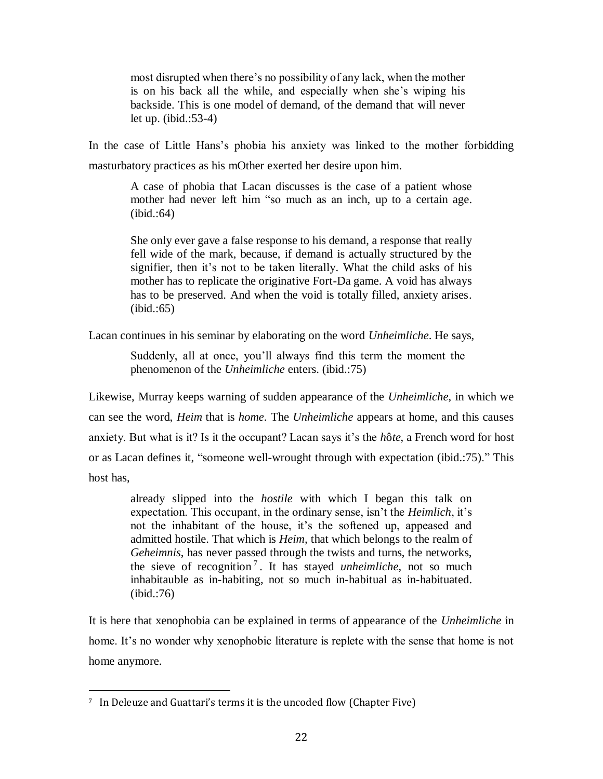most disrupted when there's no possibility of any lack, when the mother is on his back all the while, and especially when she's wiping his backside. This is one model of demand, of the demand that will never let up. (ibid.:53-4)

In the case of Little Hans's phobia his anxiety was linked to the mother forbidding masturbatory practices as his mOther exerted her desire upon him.

A case of phobia that Lacan discusses is the case of a patient whose mother had never left him "so much as an inch, up to a certain age. (ibid.:64)

She only ever gave a false response to his demand, a response that really fell wide of the mark, because, if demand is actually structured by the signifier, then it's not to be taken literally. What the child asks of his mother has to replicate the originative Fort-Da game. A void has always has to be preserved. And when the void is totally filled, anxiety arises. (ibid.:65)

Lacan continues in his seminar by elaborating on the word *Unheimliche*. He says,

Suddenly, all at once, you'll always find this term the moment the phenomenon of the *Unheimliche* enters. (ibid.:75)

Likewise, Murray keeps warning of sudden appearance of the *Unheimliche*, in which we can see the word, *Heim* that is *home*. The *Unheimliche* appears at home, and this causes anxiety. But what is it? Is it the occupant? Lacan says it's the *h*ô*te*, a French word for host or as Lacan defines it, "someone well-wrought through with expectation (ibid.:75)." This host has,

already slipped into the *hostile* with which I began this talk on expectation. This occupant, in the ordinary sense, isn't the *Heimlich*, it's not the inhabitant of the house, it's the softened up, appeased and admitted hostile. That which is *Heim,* that which belongs to the realm of *Geheimnis*, has never passed through the twists and turns, the networks, the sieve of recognition <sup>7</sup> . It has stayed *unheimliche*, not so much inhabitauble as in-habiting, not so much in-habitual as in-habituated. (ibid.:76)

It is here that xenophobia can be explained in terms of appearance of the *Unheimliche* in home. It's no wonder why xenophobic literature is replete with the sense that home is not home anymore.

l

<sup>7</sup> In Deleuze and Guattari's terms it is the uncoded flow (Chapter Five)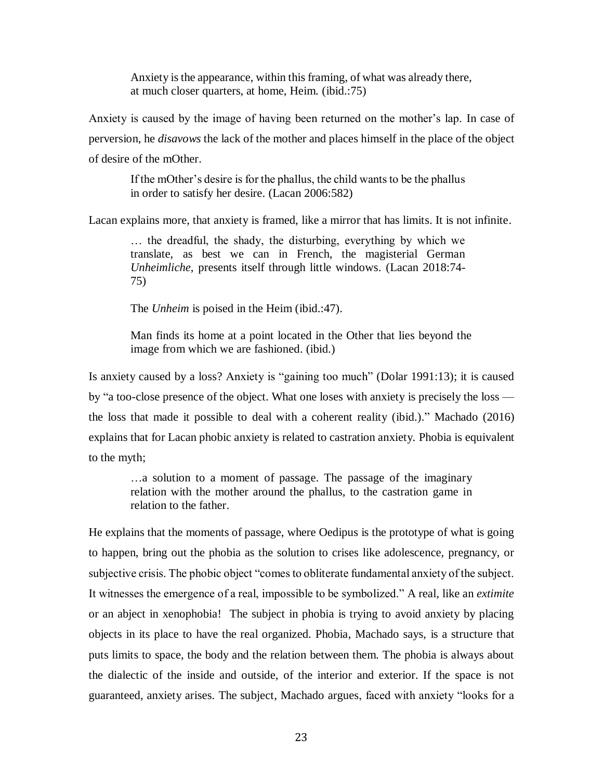Anxiety is the appearance, within this framing, of what was already there, at much closer quarters, at home, Heim. (ibid.:75)

Anxiety is caused by the image of having been returned on the mother's lap. In case of perversion, he *disavows* the lack of the mother and places himself in the place of the object of desire of the mOther.

If the mOther's desire is for the phallus, the child wants to be the phallus in order to satisfy her desire. (Lacan 2006:582)

Lacan explains more, that anxiety is framed, like a mirror that has limits. It is not infinite.

… the dreadful, the shady, the disturbing, everything by which we translate, as best we can in French, the magisterial German *Unheimliche*, presents itself through little windows. (Lacan 2018:74- 75)

The *Unheim* is poised in the Heim (ibid.:47).

Man finds its home at a point located in the Other that lies beyond the image from which we are fashioned. (ibid.)

Is anxiety caused by a loss? Anxiety is "gaining too much" (Dolar 1991:13); it is caused by "a too-close presence of the object. What one loses with anxiety is precisely the loss the loss that made it possible to deal with a coherent reality (ibid.)." Machado (2016) explains that for Lacan phobic anxiety is related to castration anxiety. Phobia is equivalent to the myth;

…a solution to a moment of passage. The passage of the imaginary relation with the mother around the phallus, to the castration game in relation to the father.

He explains that the moments of passage, where Oedipus is the prototype of what is going to happen, bring out the phobia as the solution to crises like adolescence, pregnancy, or subjective crisis. The phobic object "comes to obliterate fundamental anxiety of the subject. It witnesses the emergence of a real, impossible to be symbolized." A real, like an *extimite* or an abject in xenophobia! The subject in phobia is trying to avoid anxiety by placing objects in its place to have the real organized. Phobia, Machado says, is a structure that puts limits to space, the body and the relation between them. The phobia is always about the dialectic of the inside and outside, of the interior and exterior. If the space is not guaranteed, anxiety arises. The subject, Machado argues, faced with anxiety "looks for a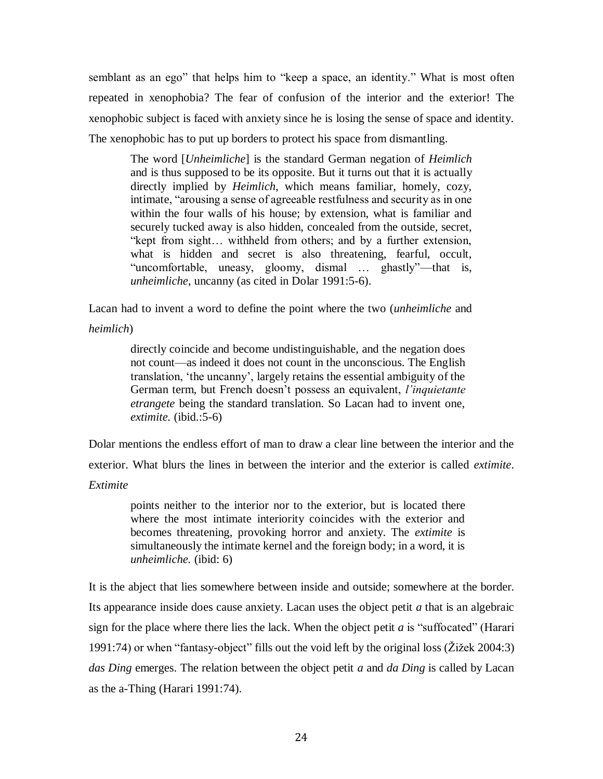semblant as an ego" that helps him to "keep a space, an identity." What is most often repeated in xenophobia? The fear of confusion of the interior and the exterior! The xenophobic subject is faced with anxiety since he is losing the sense of space and identity. The xenophobic has to put up borders to protect his space from dismantling.

The word [*Unheimliche*] is the standard German negation of *Heimlich* and is thus supposed to be its opposite. But it turns out that it is actually directly implied by *Heimlich*, which means familiar, homely, cozy, intimate, "arousing a sense of agreeable restfulness and security as in one within the four walls of his house; by extension, what is familiar and securely tucked away is also hidden, concealed from the outside, secret, "kept from sight… withheld from others; and by a further extension, what is hidden and secret is also threatening, fearful, occult, "uncomfortable, uneasy, gloomy, dismal … ghastly"—that is, *unheimliche*, uncanny (as cited in Dolar 1991:5-6).

Lacan had to invent a word to define the point where the two (*unheimliche* and

*heimlich*)

directly coincide and become undistinguishable, and the negation does not count—as indeed it does not count in the unconscious. The English translation, 'the uncanny', largely retains the essential ambiguity of the German term, but French doesn't possess an equivalent, *l'inquietante etrangete* being the standard translation. So Lacan had to invent one, *extimite.* (ibid.:5-6)

Dolar mentions the endless effort of man to draw a clear line between the interior and the

exterior. What blurs the lines in between the interior and the exterior is called *extimite*.

*Extimite*

points neither to the interior nor to the exterior, but is located there where the most intimate interiority coincides with the exterior and becomes threatening, provoking horror and anxiety. The *extimite* is simultaneously the intimate kernel and the foreign body; in a word, it is *unheimliche.* (ibid: 6)

It is the abject that lies somewhere between inside and outside; somewhere at the border. Its appearance inside does cause anxiety. Lacan uses the object petit *a* that is an algebraic sign for the place where there lies the lack. When the object petit *a* is "suffocated" (Harari 1991:74) or when "fantasy-object" fills out the void left by the original loss (Žižek 2004:3) *das Ding* emerges. The relation between the object petit *a* and *da Ding* is called by Lacan as the a-Thing (Harari 1991:74).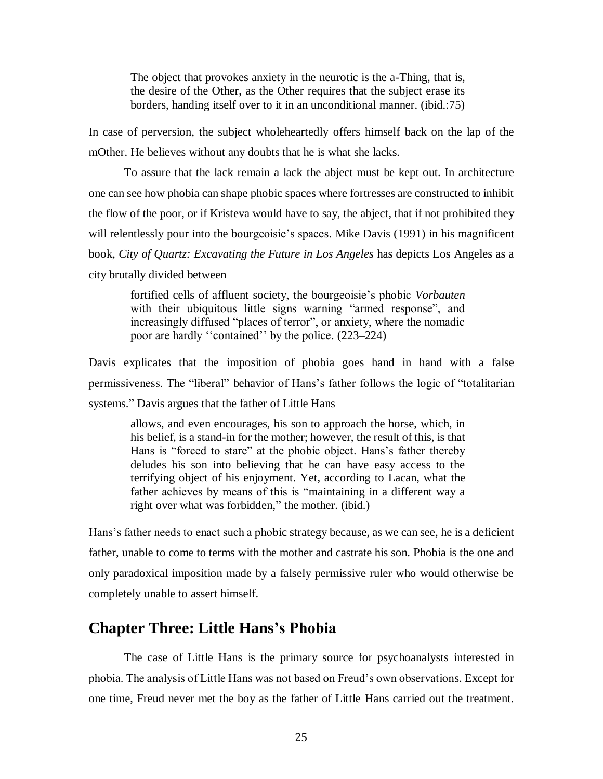The object that provokes anxiety in the neurotic is the a-Thing, that is, the desire of the Other, as the Other requires that the subject erase its borders, handing itself over to it in an unconditional manner. (ibid.:75)

In case of perversion, the subject wholeheartedly offers himself back on the lap of the mOther. He believes without any doubts that he is what she lacks.

To assure that the lack remain a lack the abject must be kept out. In architecture one can see how phobia can shape phobic spaces where fortresses are constructed to inhibit the flow of the poor, or if Kristeva would have to say, the abject, that if not prohibited they will relentlessly pour into the bourgeoisie's spaces. Mike Davis (1991) in his magnificent book, *City of Quartz: Excavating the Future in Los Angeles* has depicts Los Angeles as a city brutally divided between

fortified cells of affluent society, the bourgeoisie's phobic *Vorbauten* with their ubiquitous little signs warning "armed response", and increasingly diffused "places of terror", or anxiety, where the nomadic poor are hardly ''contained'' by the police. (223–224)

Davis explicates that the imposition of phobia goes hand in hand with a false permissiveness. The "liberal" behavior of Hans's father follows the logic of "totalitarian systems." Davis argues that the father of Little Hans

allows, and even encourages, his son to approach the horse, which, in his belief, is a stand-in for the mother; however, the result of this, is that Hans is "forced to stare" at the phobic object. Hans's father thereby deludes his son into believing that he can have easy access to the terrifying object of his enjoyment. Yet, according to Lacan, what the father achieves by means of this is "maintaining in a different way a right over what was forbidden," the mother. (ibid.)

Hans's father needs to enact such a phobic strategy because, as we can see, he is a deficient father, unable to come to terms with the mother and castrate his son. Phobia is the one and only paradoxical imposition made by a falsely permissive ruler who would otherwise be completely unable to assert himself.

#### **Chapter Three: Little Hans's Phobia**

The case of Little Hans is the primary source for psychoanalysts interested in phobia. The analysis of Little Hans was not based on Freud's own observations. Except for one time, Freud never met the boy as the father of Little Hans carried out the treatment.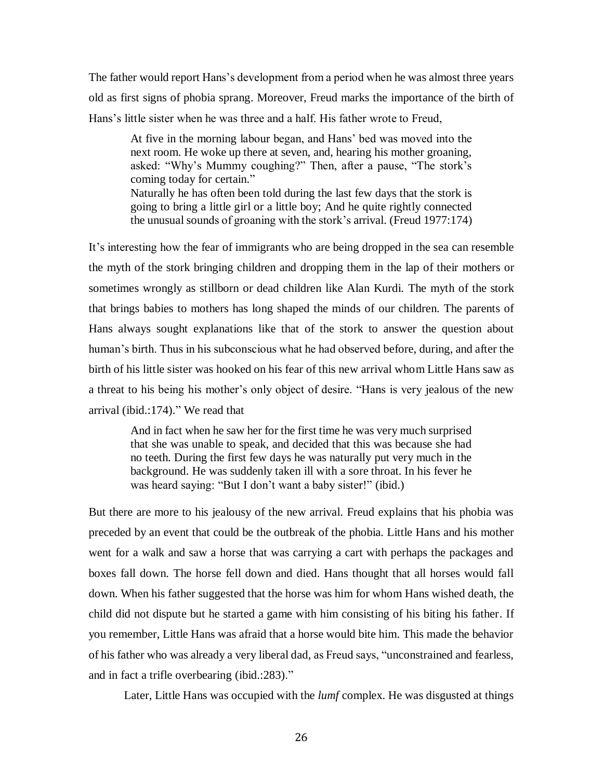The father would report Hans's development from a period when he was almost three years old as first signs of phobia sprang. Moreover, Freud marks the importance of the birth of Hans's little sister when he was three and a half. His father wrote to Freud,

At five in the morning labour began, and Hans' bed was moved into the next room. He woke up there at seven, and, hearing his mother groaning, asked: "Why's Mummy coughing?" Then, after a pause, "The stork's coming today for certain." Naturally he has often been told during the last few days that the stork is going to bring a little girl or a little boy; And he quite rightly connected the unusual sounds of groaning with the stork's arrival. (Freud 1977:174)

It's interesting how the fear of immigrants who are being dropped in the sea can resemble the myth of the stork bringing children and dropping them in the lap of their mothers or sometimes wrongly as stillborn or dead children like Alan Kurdi. The myth of the stork that brings babies to mothers has long shaped the minds of our children. The parents of Hans always sought explanations like that of the stork to answer the question about human's birth. Thus in his subconscious what he had observed before, during, and after the birth of his little sister was hooked on his fear of this new arrival whom Little Hans saw as a threat to his being his mother's only object of desire. "Hans is very jealous of the new arrival (ibid.:174)." We read that

And in fact when he saw her for the first time he was very much surprised that she was unable to speak, and decided that this was because she had no teeth. During the first few days he was naturally put very much in the background. He was suddenly taken ill with a sore throat. In his fever he was heard saying: "But I don't want a baby sister!" (ibid.)

But there are more to his jealousy of the new arrival. Freud explains that his phobia was preceded by an event that could be the outbreak of the phobia. Little Hans and his mother went for a walk and saw a horse that was carrying a cart with perhaps the packages and boxes fall down. The horse fell down and died. Hans thought that all horses would fall down. When his father suggested that the horse was him for whom Hans wished death, the child did not dispute but he started a game with him consisting of his biting his father. If you remember, Little Hans was afraid that a horse would bite him. This made the behavior of his father who was already a very liberal dad, as Freud says, "unconstrained and fearless, and in fact a trifle overbearing (ibid.:283)."

Later, Little Hans was occupied with the *lumf* complex. He was disgusted at things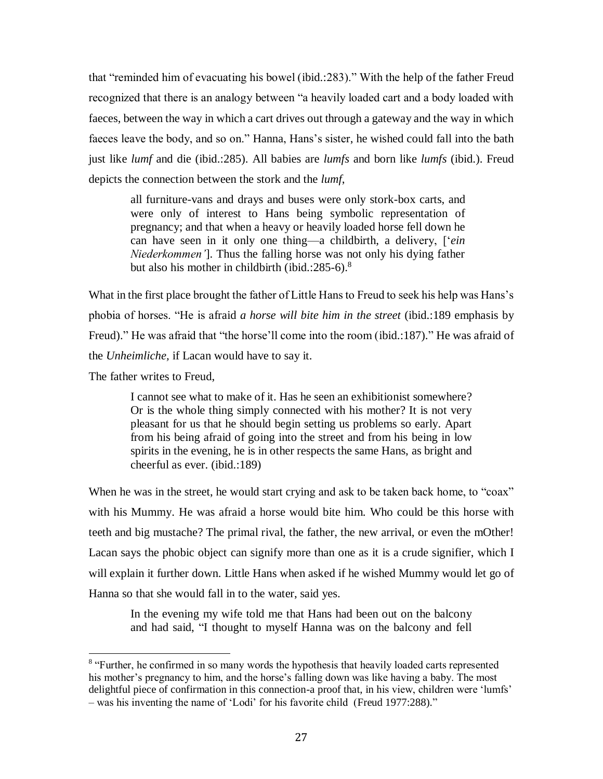that "reminded him of evacuating his bowel (ibid.:283)." With the help of the father Freud recognized that there is an analogy between "a heavily loaded cart and a body loaded with faeces, between the way in which a cart drives out through a gateway and the way in which faeces leave the body, and so on." Hanna, Hans's sister, he wished could fall into the bath just like *lumf* and die (ibid.:285). All babies are *lumfs* and born like *lumfs* (ibid.). Freud depicts the connection between the stork and the *lumf*,

all furniture-vans and drays and buses were only stork-box carts, and were only of interest to Hans being symbolic representation of pregnancy; and that when a heavy or heavily loaded horse fell down he can have seen in it only one thing—a childbirth, a delivery, ['*ein Niederkommen'*]. Thus the falling horse was not only his dying father but also his mother in childbirth (ibid.:285-6). $8$ 

What in the first place brought the father of Little Hans to Freud to seek his help was Hans's phobia of horses. "He is afraid *a horse will bite him in the street* (ibid.:189 emphasis by Freud)." He was afraid that "the horse'll come into the room (ibid.:187)." He was afraid of the *Unheimliche,* if Lacan would have to say it.

The father writes to Freud,

 $\overline{a}$ 

I cannot see what to make of it. Has he seen an exhibitionist somewhere? Or is the whole thing simply connected with his mother? It is not very pleasant for us that he should begin setting us problems so early. Apart from his being afraid of going into the street and from his being in low spirits in the evening, he is in other respects the same Hans, as bright and cheerful as ever. (ibid.:189)

When he was in the street, he would start crying and ask to be taken back home, to "coax" with his Mummy. He was afraid a horse would bite him. Who could be this horse with teeth and big mustache? The primal rival, the father, the new arrival, or even the mOther! Lacan says the phobic object can signify more than one as it is a crude signifier, which I will explain it further down. Little Hans when asked if he wished Mummy would let go of Hanna so that she would fall in to the water, said yes.

In the evening my wife told me that Hans had been out on the balcony and had said, "I thought to myself Hanna was on the balcony and fell

<sup>&</sup>lt;sup>8</sup> "Further, he confirmed in so many words the hypothesis that heavily loaded carts represented his mother's pregnancy to him, and the horse's falling down was like having a baby. The most delightful piece of confirmation in this connection-a proof that, in his view, children were 'lumfs' – was his inventing the name of 'Lodi' for his favorite child (Freud 1977:288)."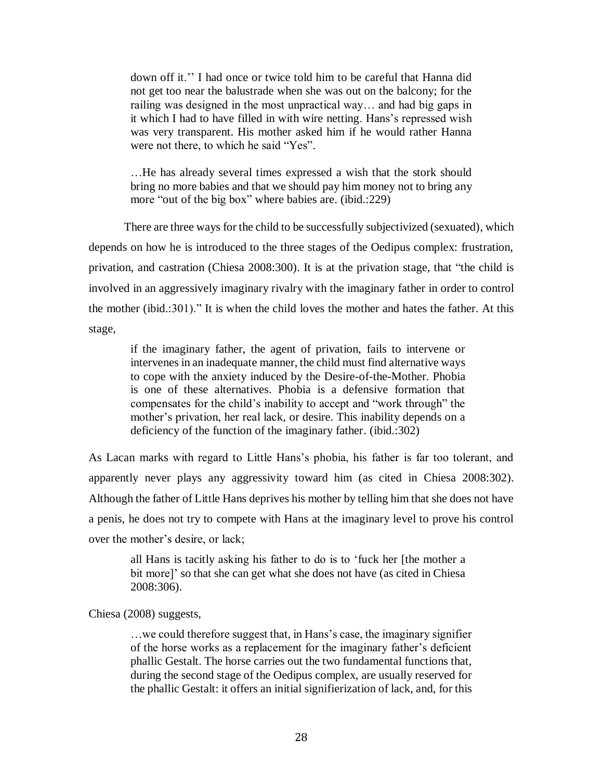down off it.'' I had once or twice told him to be careful that Hanna did not get too near the balustrade when she was out on the balcony; for the railing was designed in the most unpractical way… and had big gaps in it which I had to have filled in with wire netting. Hans's repressed wish was very transparent. His mother asked him if he would rather Hanna were not there, to which he said "Yes".

…He has already several times expressed a wish that the stork should bring no more babies and that we should pay him money not to bring any more "out of the big box" where babies are. (ibid.:229)

There are three ways for the child to be successfully subjectivized (sexuated), which depends on how he is introduced to the three stages of the Oedipus complex: frustration, privation, and castration (Chiesa 2008:300). It is at the privation stage, that "the child is involved in an aggressively imaginary rivalry with the imaginary father in order to control the mother (ibid.:301)." It is when the child loves the mother and hates the father. At this stage,

if the imaginary father, the agent of privation, fails to intervene or intervenes in an inadequate manner, the child must find alternative ways to cope with the anxiety induced by the Desire-of-the-Mother. Phobia is one of these alternatives. Phobia is a defensive formation that compensates for the child's inability to accept and "work through" the mother's privation, her real lack, or desire. This inability depends on a deficiency of the function of the imaginary father. (ibid.:302)

As Lacan marks with regard to Little Hans's phobia, his father is far too tolerant, and apparently never plays any aggressivity toward him (as cited in Chiesa 2008:302). Although the father of Little Hans deprives his mother by telling him that she does not have a penis, he does not try to compete with Hans at the imaginary level to prove his control over the mother's desire, or lack;

all Hans is tacitly asking his father to do is to 'fuck her [the mother a bit more]' so that she can get what she does not have (as cited in Chiesa 2008:306).

Chiesa (2008) suggests,

…we could therefore suggest that, in Hans's case, the imaginary signifier of the horse works as a replacement for the imaginary father's deficient phallic Gestalt. The horse carries out the two fundamental functions that, during the second stage of the Oedipus complex, are usually reserved for the phallic Gestalt: it offers an initial signifierization of lack, and, for this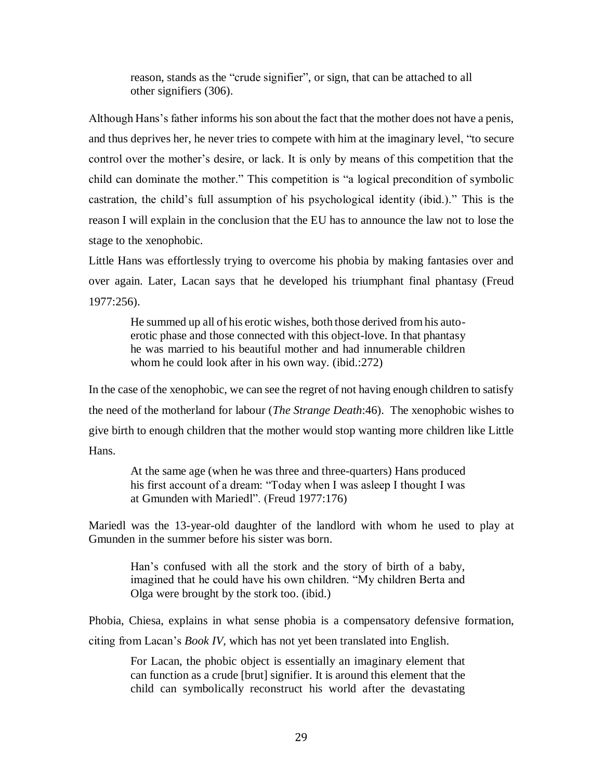reason, stands as the "crude signifier", or sign, that can be attached to all other signifiers (306).

Although Hans's father informs his son about the fact that the mother does not have a penis, and thus deprives her, he never tries to compete with him at the imaginary level, "to secure control over the mother's desire, or lack. It is only by means of this competition that the child can dominate the mother." This competition is "a logical precondition of symbolic castration, the child's full assumption of his psychological identity (ibid.)." This is the reason I will explain in the conclusion that the EU has to announce the law not to lose the stage to the xenophobic.

Little Hans was effortlessly trying to overcome his phobia by making fantasies over and over again. Later, Lacan says that he developed his triumphant final phantasy (Freud 1977:256).

He summed up all of his erotic wishes, both those derived from his autoerotic phase and those connected with this object-love. In that phantasy he was married to his beautiful mother and had innumerable children whom he could look after in his own way. (ibid.:272)

In the case of the xenophobic, we can see the regret of not having enough children to satisfy the need of the motherland for labour (*The Strange Death*:46). The xenophobic wishes to give birth to enough children that the mother would stop wanting more children like Little Hans.

At the same age (when he was three and three-quarters) Hans produced his first account of a dream: "Today when I was asleep I thought I was at Gmunden with Mariedl". (Freud 1977:176)

Mariedl was the 13-year-old daughter of the landlord with whom he used to play at Gmunden in the summer before his sister was born.

Han's confused with all the stork and the story of birth of a baby, imagined that he could have his own children. "My children Berta and Olga were brought by the stork too. (ibid.)

Phobia, Chiesa, explains in what sense phobia is a compensatory defensive formation, citing from Lacan's *Book IV*, which has not yet been translated into English.

For Lacan, the phobic object is essentially an imaginary element that can function as a crude [brut] signifier. It is around this element that the child can symbolically reconstruct his world after the devastating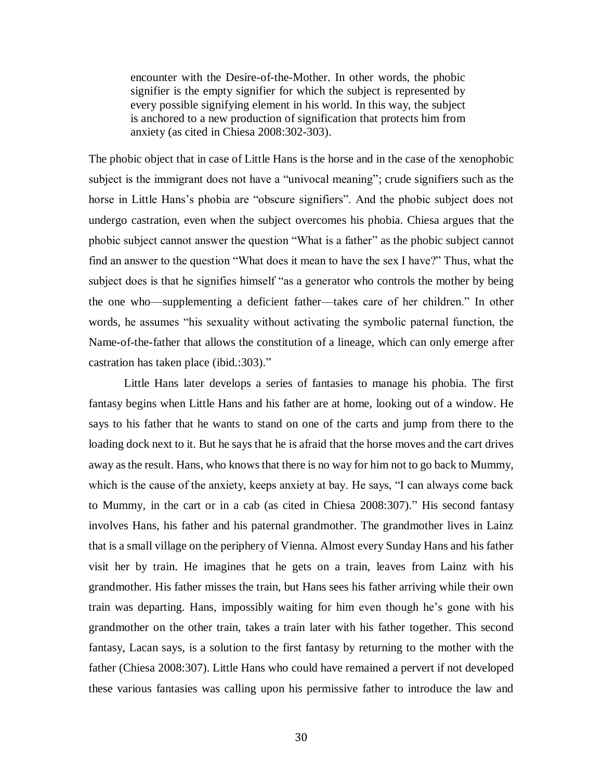encounter with the Desire-of-the-Mother. In other words, the phobic signifier is the empty signifier for which the subject is represented by every possible signifying element in his world. In this way, the subject is anchored to a new production of signification that protects him from anxiety (as cited in Chiesa 2008:302-303).

The phobic object that in case of Little Hans is the horse and in the case of the xenophobic subject is the immigrant does not have a "univocal meaning"; crude signifiers such as the horse in Little Hans's phobia are "obscure signifiers". And the phobic subject does not undergo castration, even when the subject overcomes his phobia. Chiesa argues that the phobic subject cannot answer the question "What is a father" as the phobic subject cannot find an answer to the question "What does it mean to have the sex I have?" Thus, what the subject does is that he signifies himself "as a generator who controls the mother by being the one who—supplementing a deficient father—takes care of her children." In other words, he assumes "his sexuality without activating the symbolic paternal function, the Name-of-the-father that allows the constitution of a lineage, which can only emerge after castration has taken place (ibid.:303)."

Little Hans later develops a series of fantasies to manage his phobia. The first fantasy begins when Little Hans and his father are at home, looking out of a window. He says to his father that he wants to stand on one of the carts and jump from there to the loading dock next to it. But he says that he is afraid that the horse moves and the cart drives away as the result. Hans, who knows that there is no way for him not to go back to Mummy, which is the cause of the anxiety, keeps anxiety at bay. He says, "I can always come back to Mummy, in the cart or in a cab (as cited in Chiesa 2008:307)." His second fantasy involves Hans, his father and his paternal grandmother. The grandmother lives in Lainz that is a small village on the periphery of Vienna. Almost every Sunday Hans and his father visit her by train. He imagines that he gets on a train, leaves from Lainz with his grandmother. His father misses the train, but Hans sees his father arriving while their own train was departing. Hans, impossibly waiting for him even though he's gone with his grandmother on the other train, takes a train later with his father together. This second fantasy, Lacan says, is a solution to the first fantasy by returning to the mother with the father (Chiesa 2008:307). Little Hans who could have remained a pervert if not developed these various fantasies was calling upon his permissive father to introduce the law and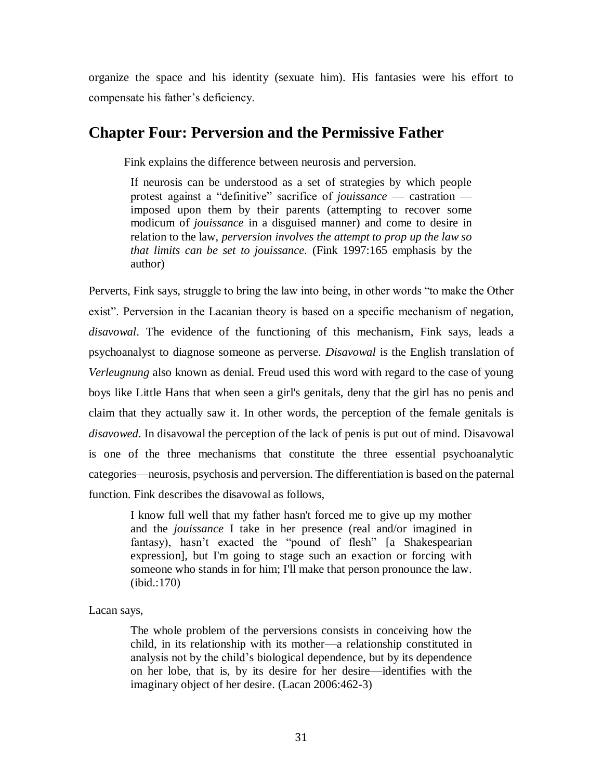organize the space and his identity (sexuate him). His fantasies were his effort to compensate his father's deficiency.

#### **Chapter Four: Perversion and the Permissive Father**

Fink explains the difference between neurosis and perversion.

If neurosis can be understood as a set of strategies by which people protest against a "definitive" sacrifice of *jouissance* — castration imposed upon them by their parents (attempting to recover some modicum of *jouissance* in a disguised manner) and come to desire in relation to the law, *perversion involves the attempt to prop up the law so that limits can be set to jouissance.* (Fink 1997:165 emphasis by the author)

Perverts, Fink says, struggle to bring the law into being, in other words "to make the Other exist". Perversion in the Lacanian theory is based on a specific mechanism of negation, *disavowal*. The evidence of the functioning of this mechanism, Fink says, leads a psychoanalyst to diagnose someone as perverse. *Disavowal* is the English translation of *Verleugnung* also known as denial. Freud used this word with regard to the case of young boys like Little Hans that when seen a girl's genitals, deny that the girl has no penis and claim that they actually saw it. In other words, the perception of the female genitals is *disavowed*. In disavowal the perception of the lack of penis is put out of mind. Disavowal is one of the three mechanisms that constitute the three essential psychoanalytic categories—neurosis, psychosis and perversion. The differentiation is based on the paternal function. Fink describes the disavowal as follows,

I know full well that my father hasn't forced me to give up my mother and the *jouissance* I take in her presence (real and/or imagined in fantasy), hasn't exacted the "pound of flesh" [a Shakespearian expression], but I'm going to stage such an exaction or forcing with someone who stands in for him; I'll make that person pronounce the law. (ibid.:170)

Lacan says,

The whole problem of the perversions consists in conceiving how the child, in its relationship with its mother—a relationship constituted in analysis not by the child's biological dependence, but by its dependence on her lobe, that is, by its desire for her desire—identifies with the imaginary object of her desire. (Lacan 2006:462-3)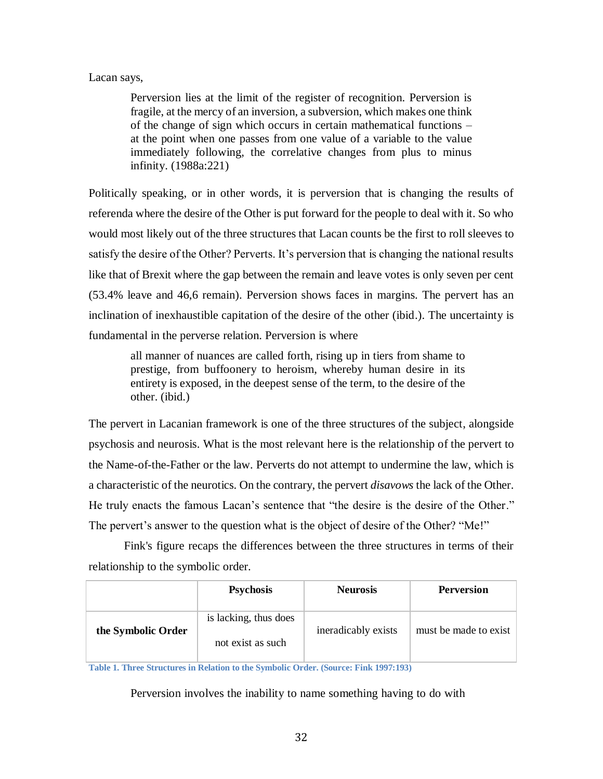#### Lacan says,

Perversion lies at the limit of the register of recognition. Perversion is fragile, at the mercy of an inversion, a subversion, which makes one think of the change of sign which occurs in certain mathematical functions – at the point when one passes from one value of a variable to the value immediately following, the correlative changes from plus to minus infinity. (1988a:221)

Politically speaking, or in other words, it is perversion that is changing the results of referenda where the desire of the Other is put forward for the people to deal with it. So who would most likely out of the three structures that Lacan counts be the first to roll sleeves to satisfy the desire of the Other? Perverts. It's perversion that is changing the national results like that of Brexit where the gap between the remain and leave votes is only seven per cent (53.4% leave and 46,6 remain). Perversion shows faces in margins. The pervert has an inclination of inexhaustible capitation of the desire of the other (ibid.). The uncertainty is fundamental in the perverse relation. Perversion is where

all manner of nuances are called forth, rising up in tiers from shame to prestige, from buffoonery to heroism, whereby human desire in its entirety is exposed, in the deepest sense of the term, to the desire of the other. (ibid.)

The pervert in Lacanian framework is one of the three structures of the subject, alongside psychosis and neurosis. What is the most relevant here is the relationship of the pervert to the Name-of-the-Father or the law. Perverts do not attempt to undermine the law, which is a characteristic of the neurotics. On the contrary, the pervert *disavows* the lack of the Other. He truly enacts the famous Lacan's sentence that "the desire is the desire of the Other." The pervert's answer to the question what is the object of desire of the Other? "Me!"

Fink's figure recaps the differences between the three structures in terms of their relationship to the symbolic order.

|                    | <b>Psychosis</b>                           | <b>Neurosis</b>     | <b>Perversion</b>     |
|--------------------|--------------------------------------------|---------------------|-----------------------|
| the Symbolic Order | is lacking, thus does<br>not exist as such | ineradicably exists | must be made to exist |

**Table 1. Three Structures in Relation to the Symbolic Order. (Source: Fink 1997:193)**

Perversion involves the inability to name something having to do with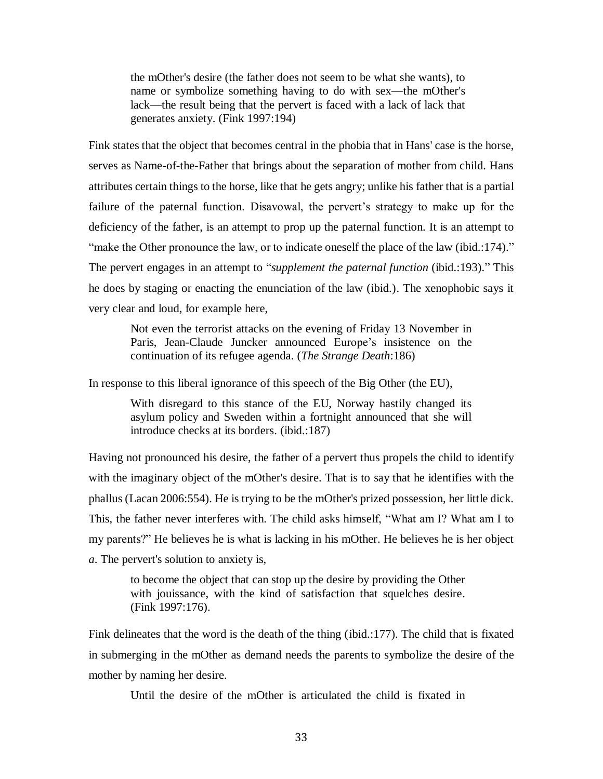the mOther's desire (the father does not seem to be what she wants), to name or symbolize something having to do with sex—the mOther's lack—the result being that the pervert is faced with a lack of lack that generates anxiety. (Fink 1997:194)

Fink states that the object that becomes central in the phobia that in Hans' case is the horse, serves as Name-of-the-Father that brings about the separation of mother from child. Hans attributes certain things to the horse, like that he gets angry; unlike his father that is a partial failure of the paternal function. Disavowal, the pervert's strategy to make up for the deficiency of the father, is an attempt to prop up the paternal function. It is an attempt to "make the Other pronounce the law, or to indicate oneself the place of the law (ibid.:174)." The pervert engages in an attempt to "*supplement the paternal function* (ibid.:193)." This he does by staging or enacting the enunciation of the law (ibid.). The xenophobic says it very clear and loud, for example here,

Not even the terrorist attacks on the evening of Friday 13 November in Paris, Jean-Claude Juncker announced Europe's insistence on the continuation of its refugee agenda. (*The Strange Death*:186)

In response to this liberal ignorance of this speech of the Big Other (the EU),

With disregard to this stance of the EU, Norway hastily changed its asylum policy and Sweden within a fortnight announced that she will introduce checks at its borders. (ibid.:187)

Having not pronounced his desire, the father of a pervert thus propels the child to identify with the imaginary object of the mOther's desire. That is to say that he identifies with the phallus (Lacan 2006:554). He is trying to be the mOther's prized possession, her little dick. This, the father never interferes with. The child asks himself, "What am I? What am I to my parents?" He believes he is what is lacking in his mOther. He believes he is her object *a*. The pervert's solution to anxiety is,

to become the object that can stop up the desire by providing the Other with jouissance, with the kind of satisfaction that squelches desire. (Fink 1997:176).

Fink delineates that the word is the death of the thing (ibid.:177). The child that is fixated in submerging in the mOther as demand needs the parents to symbolize the desire of the mother by naming her desire.

Until the desire of the mOther is articulated the child is fixated in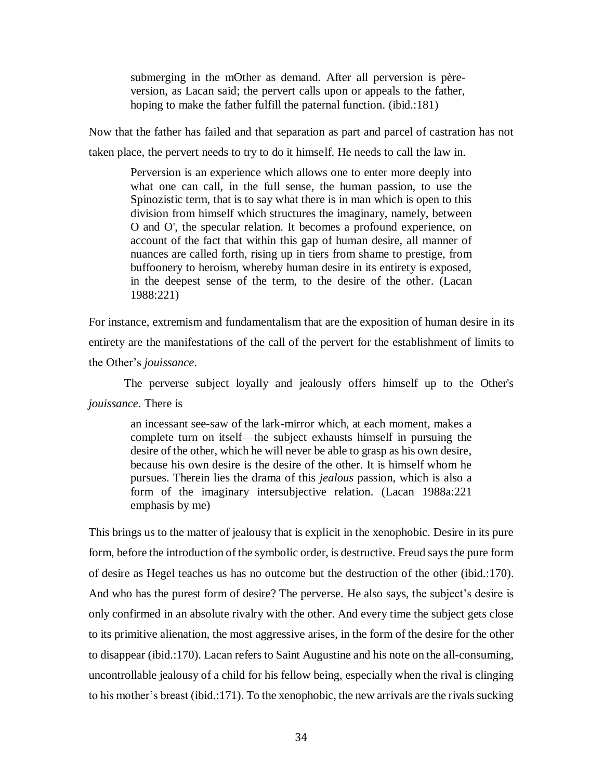submerging in the mOther as demand. After all perversion is pèreversion, as Lacan said; the pervert calls upon or appeals to the father, hoping to make the father fulfill the paternal function. (ibid.:181)

Now that the father has failed and that separation as part and parcel of castration has not taken place, the pervert needs to try to do it himself. He needs to call the law in.

Perversion is an experience which allows one to enter more deeply into what one can call, in the full sense, the human passion, to use the Spinozistic term, that is to say what there is in man which is open to this division from himself which structures the imaginary, namely, between O and O', the specular relation. It becomes a profound experience, on account of the fact that within this gap of human desire, all manner of nuances are called forth, rising up in tiers from shame to prestige, from buffoonery to heroism, whereby human desire in its entirety is exposed, in the deepest sense of the term, to the desire of the other. (Lacan 1988:221)

For instance, extremism and fundamentalism that are the exposition of human desire in its entirety are the manifestations of the call of the pervert for the establishment of limits to the Other's *jouissance*.

The perverse subject loyally and jealously offers himself up to the Other's *jouissance*. There is

> an incessant see-saw of the lark-mirror which, at each moment, makes a complete turn on itself—the subject exhausts himself in pursuing the desire of the other, which he will never be able to grasp as his own desire, because his own desire is the desire of the other. It is himself whom he pursues. Therein lies the drama of this *jealous* passion, which is also a form of the imaginary intersubjective relation. (Lacan 1988a:221 emphasis by me)

This brings us to the matter of jealousy that is explicit in the xenophobic. Desire in its pure form, before the introduction of the symbolic order, is destructive. Freud says the pure form of desire as Hegel teaches us has no outcome but the destruction of the other (ibid.:170). And who has the purest form of desire? The perverse. He also says, the subject's desire is only confirmed in an absolute rivalry with the other. And every time the subject gets close to its primitive alienation, the most aggressive arises, in the form of the desire for the other to disappear (ibid.:170). Lacan refers to Saint Augustine and his note on the all-consuming, uncontrollable jealousy of a child for his fellow being, especially when the rival is clinging to his mother's breast (ibid.:171). To the xenophobic, the new arrivals are the rivals sucking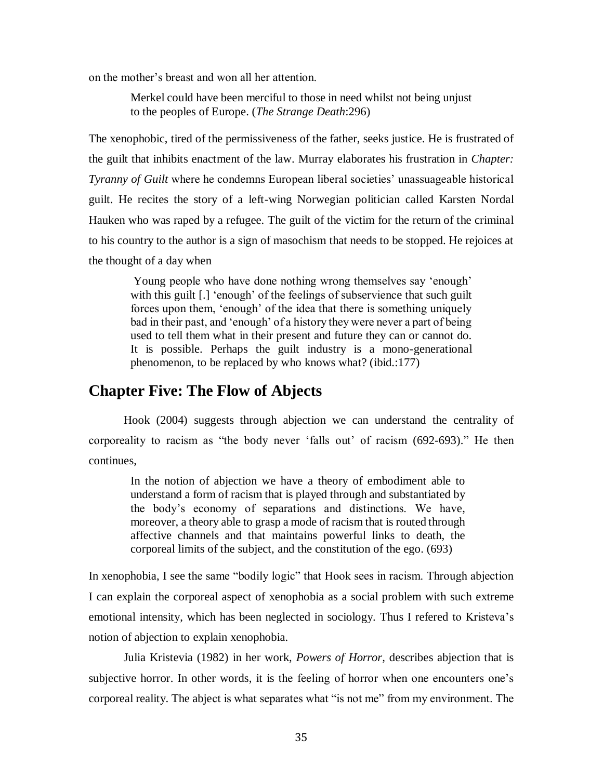on the mother's breast and won all her attention.

Merkel could have been merciful to those in need whilst not being unjust to the peoples of Europe. (*The Strange Death*:296)

The xenophobic, tired of the permissiveness of the father, seeks justice. He is frustrated of the guilt that inhibits enactment of the law. Murray elaborates his frustration in *Chapter: Tyranny of Guilt* where he condemns European liberal societies' unassuageable historical guilt. He recites the story of a left-wing Norwegian politician called Karsten Nordal Hauken who was raped by a refugee. The guilt of the victim for the return of the criminal to his country to the author is a sign of masochism that needs to be stopped. He rejoices at the thought of a day when

Young people who have done nothing wrong themselves say 'enough' with this guilt [.] 'enough' of the feelings of subservience that such guilt forces upon them, 'enough' of the idea that there is something uniquely bad in their past, and 'enough' of a history they were never a part of being used to tell them what in their present and future they can or cannot do. It is possible. Perhaps the guilt industry is a mono-generational phenomenon, to be replaced by who knows what? (ibid.:177)

### **Chapter Five: The Flow of Abjects**

Hook (2004) suggests through abjection we can understand the centrality of corporeality to racism as "the body never 'falls out' of racism (692-693)." He then continues,

In the notion of abjection we have a theory of embodiment able to understand a form of racism that is played through and substantiated by the body's economy of separations and distinctions. We have, moreover, a theory able to grasp a mode of racism that is routed through affective channels and that maintains powerful links to death, the corporeal limits of the subject, and the constitution of the ego. (693)

In xenophobia, I see the same "bodily logic" that Hook sees in racism. Through abjection I can explain the corporeal aspect of xenophobia as a social problem with such extreme emotional intensity, which has been neglected in sociology. Thus I refered to Kristeva's notion of abjection to explain xenophobia.

Julia Kristevia (1982) in her work, *Powers of Horror,* describes abjection that is subjective horror. In other words, it is the feeling of horror when one encounters one's corporeal reality. The abject is what separates what "is not me" from my environment. The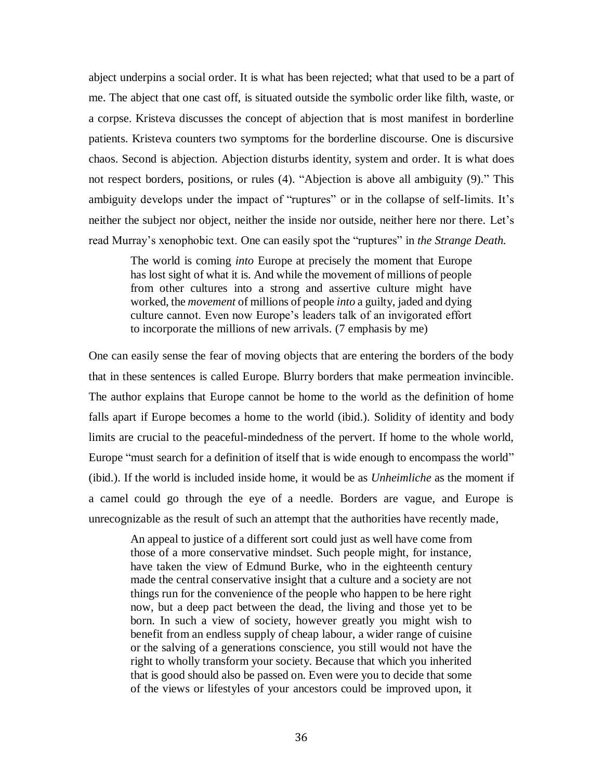abject underpins a social order. It is what has been rejected; what that used to be a part of me. The abject that one cast off, is situated outside the symbolic order like filth, waste, or a corpse. Kristeva discusses the concept of abjection that is most manifest in borderline patients. Kristeva counters two symptoms for the borderline discourse. One is discursive chaos. Second is abjection. Abjection disturbs identity, system and order. It is what does not respect borders, positions, or rules (4). "Abjection is above all ambiguity (9)." This ambiguity develops under the impact of "ruptures" or in the collapse of self-limits. It's neither the subject nor object, neither the inside nor outside, neither here nor there. Let's read Murray's xenophobic text. One can easily spot the "ruptures" in *the Strange Death.*

The world is coming *into* Europe at precisely the moment that Europe has lost sight of what it is. And while the movement of millions of people from other cultures into a strong and assertive culture might have worked, the *movement* of millions of people *into* a guilty, jaded and dying culture cannot. Even now Europe's leaders talk of an invigorated effort to incorporate the millions of new arrivals. (7 emphasis by me)

One can easily sense the fear of moving objects that are entering the borders of the body that in these sentences is called Europe. Blurry borders that make permeation invincible. The author explains that Europe cannot be home to the world as the definition of home falls apart if Europe becomes a home to the world (ibid.). Solidity of identity and body limits are crucial to the peaceful-mindedness of the pervert. If home to the whole world, Europe "must search for a definition of itself that is wide enough to encompass the world" (ibid.). If the world is included inside home, it would be as *Unheimliche* as the moment if a camel could go through the eye of a needle. Borders are vague, and Europe is unrecognizable as the result of such an attempt that the authorities have recently made,

An appeal to justice of a different sort could just as well have come from those of a more conservative mindset. Such people might, for instance, have taken the view of Edmund Burke, who in the eighteenth century made the central conservative insight that a culture and a society are not things run for the convenience of the people who happen to be here right now, but a deep pact between the dead, the living and those yet to be born. In such a view of society, however greatly you might wish to benefit from an endless supply of cheap labour, a wider range of cuisine or the salving of a generations conscience, you still would not have the right to wholly transform your society. Because that which you inherited that is good should also be passed on. Even were you to decide that some of the views or lifestyles of your ancestors could be improved upon, it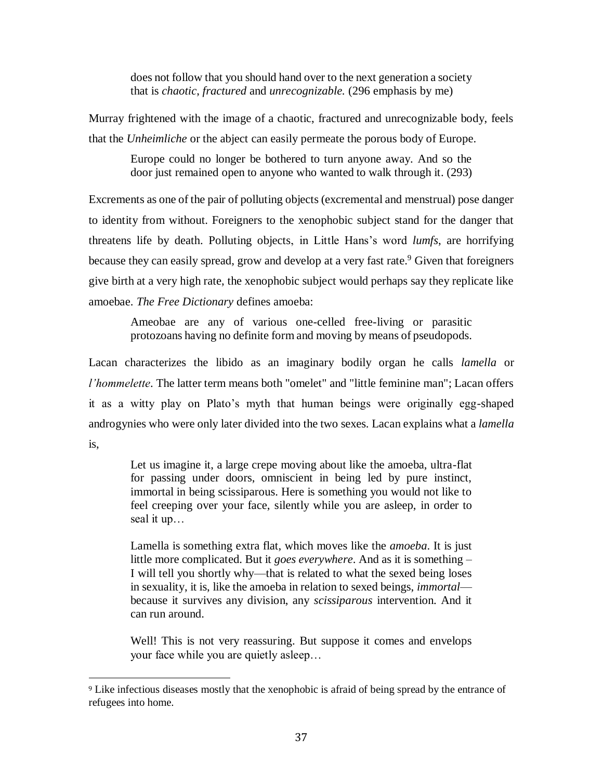does not follow that you should hand over to the next generation a society that is *chaotic*, *fractured* and *unrecognizable.* (296 emphasis by me)

Murray frightened with the image of a chaotic, fractured and unrecognizable body, feels that the *Unheimliche* or the abject can easily permeate the porous body of Europe.

Europe could no longer be bothered to turn anyone away. And so the door just remained open to anyone who wanted to walk through it. (293)

Excrements as one of the pair of polluting objects (excremental and menstrual) pose danger to identity from without. Foreigners to the xenophobic subject stand for the danger that threatens life by death. Polluting objects, in Little Hans's word *lumfs*, are horrifying because they can easily spread, grow and develop at a very fast rate.<sup>9</sup> Given that foreigners give birth at a very high rate, the xenophobic subject would perhaps say they replicate like amoebae. *The Free Dictionary* defines amoeba:

Ameobae are any of various one-celled free-living or parasitic protozoans having no definite form and moving by means of pseudopods.

Lacan characterizes the libido as an imaginary bodily organ he calls *lamella* or *l'hommelette*. The latter term means both "omelet" and "little feminine man"; Lacan offers it as a witty play on Plato's myth that human beings were originally egg-shaped androgynies who were only later divided into the two sexes. Lacan explains what a *lamella* is,

Let us imagine it, a large crepe moving about like the amoeba, ultra-flat for passing under doors, omniscient in being led by pure instinct, immortal in being scissiparous. Here is something you would not like to feel creeping over your face, silently while you are asleep, in order to seal it up…

Lamella is something extra flat, which moves like the *amoeba*. It is just little more complicated. But it *goes everywhere*. And as it is something – I will tell you shortly why—that is related to what the sexed being loses in sexuality, it is, like the amoeba in relation to sexed beings, *immortal* because it survives any division, any *scissiparous* intervention. And it can run around.

Well! This is not very reassuring. But suppose it comes and envelops your face while you are quietly asleep…

l

<sup>9</sup> Like infectious diseases mostly that the xenophobic is afraid of being spread by the entrance of refugees into home.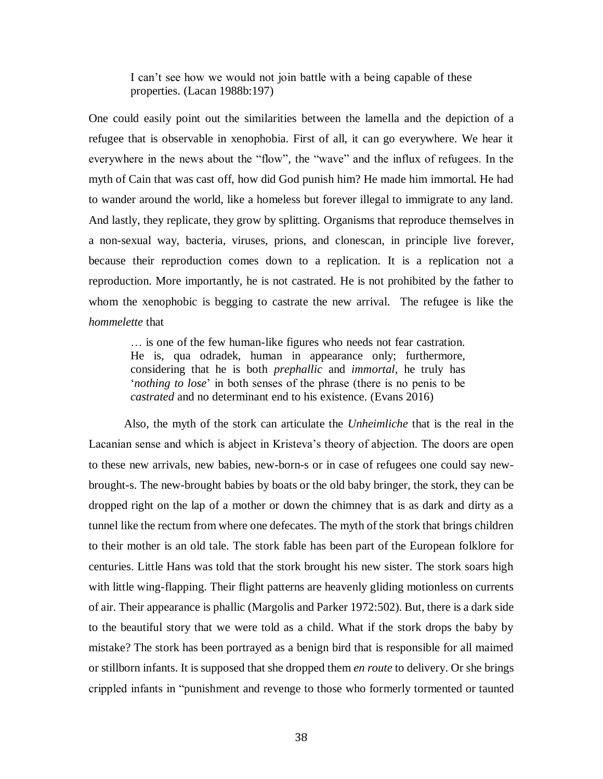I can't see how we would not join battle with a being capable of these properties. (Lacan 1988b:197)

One could easily point out the similarities between the lamella and the depiction of a refugee that is observable in xenophobia. First of all, it can go everywhere. We hear it everywhere in the news about the "flow", the "wave" and the influx of refugees. In the myth of Cain that was cast off, how did God punish him? He made him immortal. He had to wander around the world, like a homeless but forever illegal to immigrate to any land. And lastly, they replicate, they grow by splitting. Organisms that reproduce themselves in a non-sexual way, bacteria, viruses, prions, and clonescan, in principle live forever, because their reproduction comes down to a replication. It is a replication not a reproduction. More importantly, he is not castrated. He is not prohibited by the father to whom the xenophobic is begging to castrate the new arrival. The refugee is like the *hommelette* that

… is one of the few human-like figures who needs not fear castration. He is, qua odradek, human in appearance only; furthermore, considering that he is both *prephallic* and *immortal*, he truly has '*nothing to lose*' in both senses of the phrase (there is no penis to be *castrated* and no determinant end to his existence. (Evans 2016)

Also, the myth of the stork can articulate the *Unheimliche* that is the real in the Lacanian sense and which is abject in Kristeva's theory of abjection. The doors are open to these new arrivals, new babies, new-born-s or in case of refugees one could say newbrought-s. The new-brought babies by boats or the old baby bringer, the stork, they can be dropped right on the lap of a mother or down the chimney that is as dark and dirty as a tunnel like the rectum from where one defecates. The myth of the stork that brings children to their mother is an old tale. The stork fable has been part of the European folklore for centuries. Little Hans was told that the stork brought his new sister. The stork soars high with little wing-flapping. Their flight patterns are heavenly gliding motionless on currents of air. Their appearance is phallic (Margolis and Parker 1972:502). But, there is a dark side to the beautiful story that we were told as a child. What if the stork drops the baby by mistake? The stork has been portrayed as a benign bird that is responsible for all maimed or stillborn infants. It is supposed that she dropped them *en route* to delivery. Or she brings crippled infants in "punishment and revenge to those who formerly tormented or taunted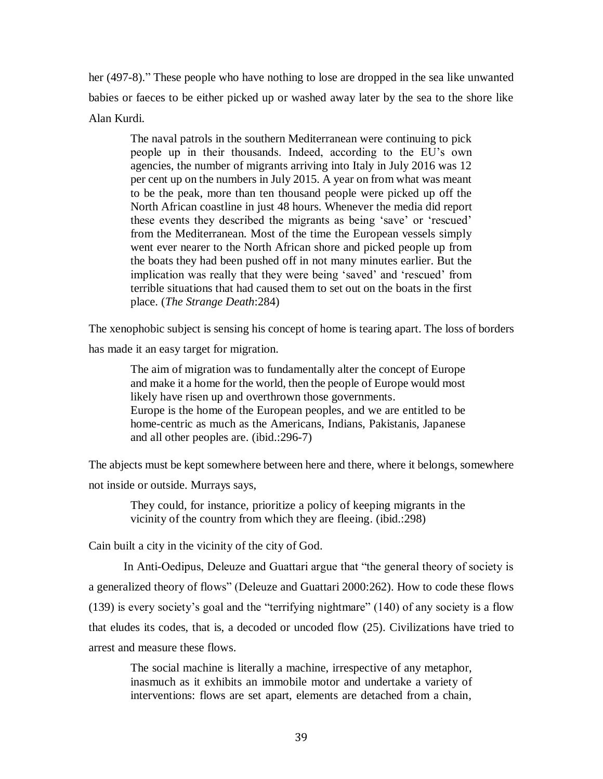her (497-8)." These people who have nothing to lose are dropped in the sea like unwanted babies or faeces to be either picked up or washed away later by the sea to the shore like Alan Kurdi.

The naval patrols in the southern Mediterranean were continuing to pick people up in their thousands. Indeed, according to the EU's own agencies, the number of migrants arriving into Italy in July 2016 was 12 per cent up on the numbers in July 2015. A year on from what was meant to be the peak, more than ten thousand people were picked up off the North African coastline in just 48 hours. Whenever the media did report these events they described the migrants as being 'save' or 'rescued' from the Mediterranean. Most of the time the European vessels simply went ever nearer to the North African shore and picked people up from the boats they had been pushed off in not many minutes earlier. But the implication was really that they were being 'saved' and 'rescued' from terrible situations that had caused them to set out on the boats in the first place. (*The Strange Death*:284)

The xenophobic subject is sensing his concept of home is tearing apart. The loss of borders

has made it an easy target for migration.

The aim of migration was to fundamentally alter the concept of Europe and make it a home for the world, then the people of Europe would most likely have risen up and overthrown those governments. Europe is the home of the European peoples, and we are entitled to be home-centric as much as the Americans, Indians, Pakistanis, Japanese and all other peoples are. (ibid.:296-7)

The abjects must be kept somewhere between here and there, where it belongs, somewhere not inside or outside. Murrays says,

They could, for instance, prioritize a policy of keeping migrants in the vicinity of the country from which they are fleeing. (ibid.:298)

Cain built a city in the vicinity of the city of God.

In Anti-Oedipus, Deleuze and Guattari argue that "the general theory of society is a generalized theory of flows" (Deleuze and Guattari 2000:262). How to code these flows (139) is every society's goal and the "terrifying nightmare" (140) of any society is a flow that eludes its codes, that is, a decoded or uncoded flow (25). Civilizations have tried to arrest and measure these flows.

The social machine is literally a machine, irrespective of any metaphor, inasmuch as it exhibits an immobile motor and undertake a variety of interventions: flows are set apart, elements are detached from a chain,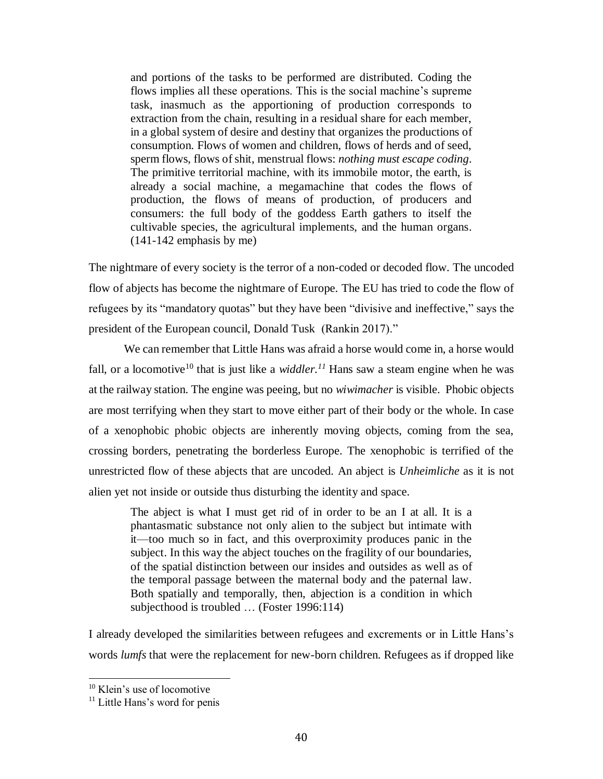and portions of the tasks to be performed are distributed. Coding the flows implies all these operations. This is the social machine's supreme task, inasmuch as the apportioning of production corresponds to extraction from the chain, resulting in a residual share for each member, in a global system of desire and destiny that organizes the productions of consumption. Flows of women and children, flows of herds and of seed, sperm flows, flows of shit, menstrual flows: *nothing must escape coding*. The primitive territorial machine, with its immobile motor, the earth, is already a social machine, a megamachine that codes the flows of production, the flows of means of production, of producers and consumers: the full body of the goddess Earth gathers to itself the cultivable species, the agricultural implements, and the human organs. (141-142 emphasis by me)

The nightmare of every society is the terror of a non-coded or decoded flow. The uncoded flow of abjects has become the nightmare of Europe. The EU has tried to code the flow of refugees by its "mandatory quotas" but they have been "divisive and ineffective," says the president of the European council, Donald Tusk (Rankin 2017)."

We can remember that Little Hans was afraid a horse would come in, a horse would fall, or a locomotive<sup>10</sup> that is just like a *widdler*.<sup>11</sup> Hans saw a steam engine when he was at the railway station. The engine was peeing, but no *wiwimacher* is visible. Phobic objects are most terrifying when they start to move either part of their body or the whole. In case of a xenophobic phobic objects are inherently moving objects, coming from the sea, crossing borders, penetrating the borderless Europe. The xenophobic is terrified of the unrestricted flow of these abjects that are uncoded. An abject is *Unheimliche* as it is not alien yet not inside or outside thus disturbing the identity and space.

The abject is what I must get rid of in order to be an I at all. It is a phantasmatic substance not only alien to the subject but intimate with it—too much so in fact, and this overproximity produces panic in the subject. In this way the abject touches on the fragility of our boundaries, of the spatial distinction between our insides and outsides as well as of the temporal passage between the maternal body and the paternal law. Both spatially and temporally, then, abjection is a condition in which subjecthood is troubled … (Foster 1996:114)

I already developed the similarities between refugees and excrements or in Little Hans's words *lumfs* that were the replacement for new-born children. Refugees as if dropped like

 $\overline{a}$ 

<sup>&</sup>lt;sup>10</sup> Klein's use of locomotive

 $11$  Little Hans's word for penis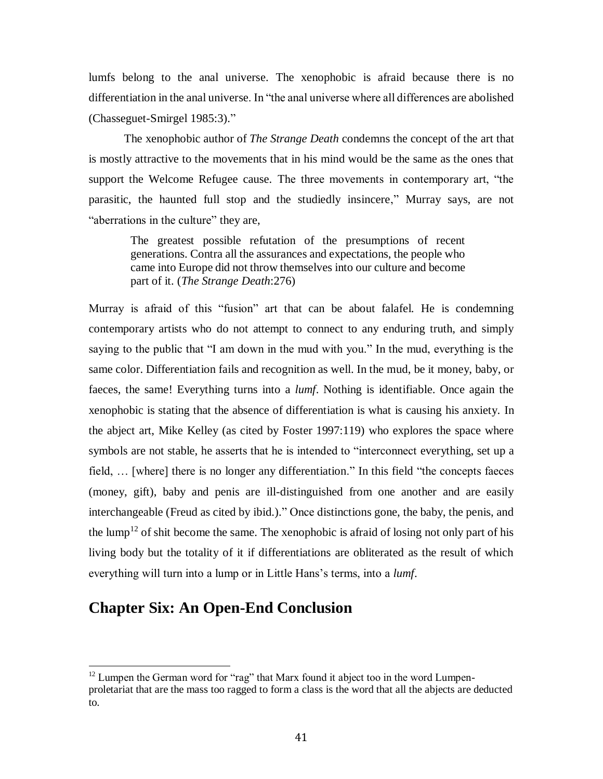lumfs belong to the anal universe. The xenophobic is afraid because there is no differentiation in the anal universe. In "the anal universe where all differences are abolished (Chasseguet-Smirgel 1985:3)."

The xenophobic author of *The Strange Death* condemns the concept of the art that is mostly attractive to the movements that in his mind would be the same as the ones that support the Welcome Refugee cause. The three movements in contemporary art, "the parasitic, the haunted full stop and the studiedly insincere," Murray says, are not "aberrations in the culture" they are,

The greatest possible refutation of the presumptions of recent generations. Contra all the assurances and expectations, the people who came into Europe did not throw themselves into our culture and become part of it. (*The Strange Death*:276)

Murray is afraid of this "fusion" art that can be about falafel. He is condemning contemporary artists who do not attempt to connect to any enduring truth, and simply saying to the public that "I am down in the mud with you." In the mud, everything is the same color. Differentiation fails and recognition as well. In the mud, be it money, baby, or faeces, the same! Everything turns into a *lumf*. Nothing is identifiable. Once again the xenophobic is stating that the absence of differentiation is what is causing his anxiety. In the abject art, Mike Kelley (as cited by Foster 1997:119) who explores the space where symbols are not stable, he asserts that he is intended to "interconnect everything, set up a field, … [where] there is no longer any differentiation." In this field "the concepts faeces (money, gift), baby and penis are ill-distinguished from one another and are easily interchangeable (Freud as cited by ibid.)." Once distinctions gone, the baby, the penis, and the lump<sup>12</sup> of shit become the same. The xenophobic is afraid of losing not only part of his living body but the totality of it if differentiations are obliterated as the result of which everything will turn into a lump or in Little Hans's terms, into a *lumf*.

## **Chapter Six: An Open-End Conclusion**

 $\overline{a}$ 

 $12$  Lumpen the German word for "rag" that Marx found it abject too in the word Lumpenproletariat that are the mass too ragged to form a class is the word that all the abjects are deducted to.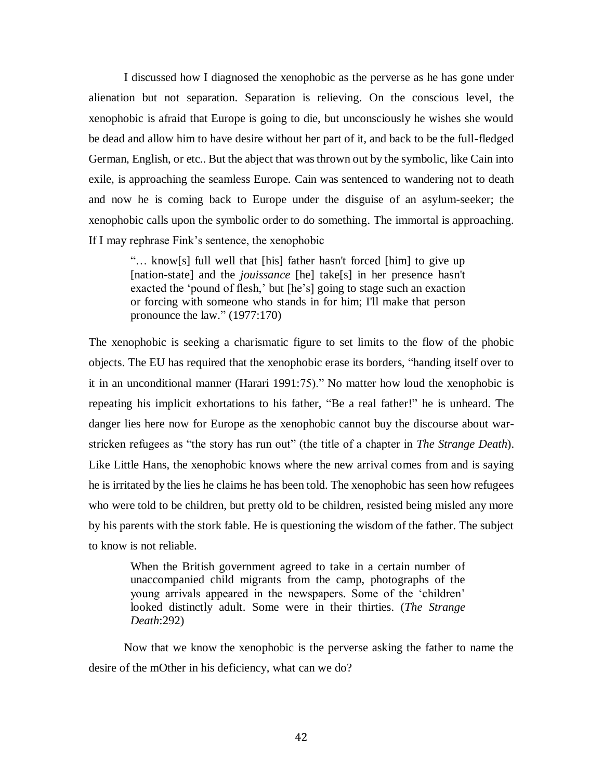I discussed how I diagnosed the xenophobic as the perverse as he has gone under alienation but not separation. Separation is relieving. On the conscious level, the xenophobic is afraid that Europe is going to die, but unconsciously he wishes she would be dead and allow him to have desire without her part of it, and back to be the full-fledged German, English, or etc.. But the abject that was thrown out by the symbolic, like Cain into exile, is approaching the seamless Europe. Cain was sentenced to wandering not to death and now he is coming back to Europe under the disguise of an asylum-seeker; the xenophobic calls upon the symbolic order to do something. The immortal is approaching. If I may rephrase Fink's sentence, the xenophobic

"… know[s] full well that [his] father hasn't forced [him] to give up [nation-state] and the *jouissance* [he] take[s] in her presence hasn't exacted the 'pound of flesh,' but [he's] going to stage such an exaction or forcing with someone who stands in for him; I'll make that person pronounce the law." (1977:170)

The xenophobic is seeking a charismatic figure to set limits to the flow of the phobic objects. The EU has required that the xenophobic erase its borders, "handing itself over to it in an unconditional manner (Harari 1991:75)." No matter how loud the xenophobic is repeating his implicit exhortations to his father, "Be a real father!" he is unheard. The danger lies here now for Europe as the xenophobic cannot buy the discourse about warstricken refugees as "the story has run out" (the title of a chapter in *The Strange Death*). Like Little Hans, the xenophobic knows where the new arrival comes from and is saying he is irritated by the lies he claims he has been told. The xenophobic has seen how refugees who were told to be children, but pretty old to be children, resisted being misled any more by his parents with the stork fable. He is questioning the wisdom of the father. The subject to know is not reliable.

When the British government agreed to take in a certain number of unaccompanied child migrants from the camp, photographs of the young arrivals appeared in the newspapers. Some of the 'children' looked distinctly adult. Some were in their thirties. (*The Strange Death*:292)

Now that we know the xenophobic is the perverse asking the father to name the desire of the mOther in his deficiency, what can we do?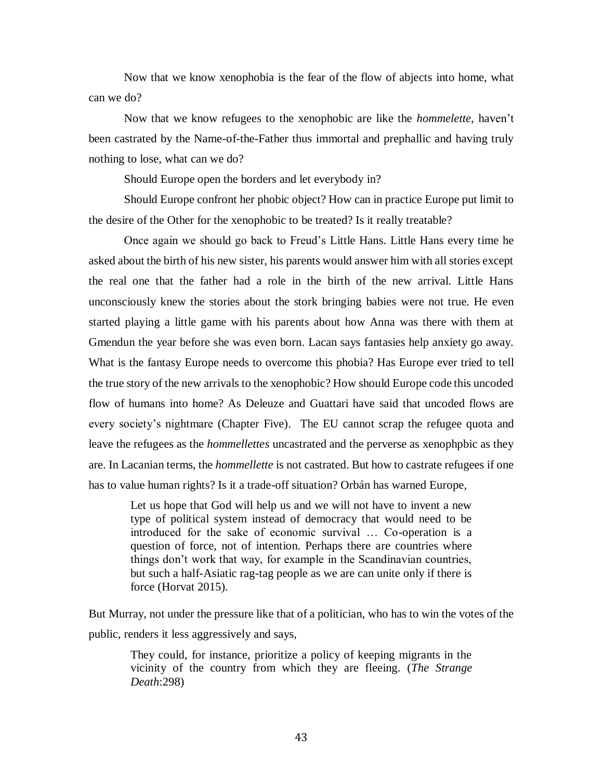Now that we know xenophobia is the fear of the flow of abjects into home, what can we do?

Now that we know refugees to the xenophobic are like the *hommelette*, haven't been castrated by the Name-of-the-Father thus immortal and prephallic and having truly nothing to lose, what can we do?

Should Europe open the borders and let everybody in?

Should Europe confront her phobic object? How can in practice Europe put limit to the desire of the Other for the xenophobic to be treated? Is it really treatable?

Once again we should go back to Freud's Little Hans. Little Hans every time he asked about the birth of his new sister, his parents would answer him with all stories except the real one that the father had a role in the birth of the new arrival. Little Hans unconsciously knew the stories about the stork bringing babies were not true. He even started playing a little game with his parents about how Anna was there with them at Gmendun the year before she was even born. Lacan says fantasies help anxiety go away. What is the fantasy Europe needs to overcome this phobia? Has Europe ever tried to tell the true story of the new arrivals to the xenophobic? How should Europe code this uncoded flow of humans into home? As Deleuze and Guattari have said that uncoded flows are every society's nightmare (Chapter Five). The EU cannot scrap the refugee quota and leave the refugees as the *hommellettes* uncastrated and the perverse as xenophpbic as they are. In Lacanian terms, the *hommellette* is not castrated. But how to castrate refugees if one has to value human rights? Is it a trade-off situation? Orbán has warned Europe,

Let us hope that God will help us and we will not have to invent a new type of political system instead of democracy that would need to be introduced for the sake of economic survival … Co-operation is a question of force, not of intention. Perhaps there are countries where things don't work that way, for example in the Scandinavian countries, but such a half-Asiatic rag-tag people as we are can unite only if there is force (Horvat 2015).

But Murray, not under the pressure like that of a politician, who has to win the votes of the public, renders it less aggressively and says,

They could, for instance, prioritize a policy of keeping migrants in the vicinity of the country from which they are fleeing. (*The Strange Death*:298)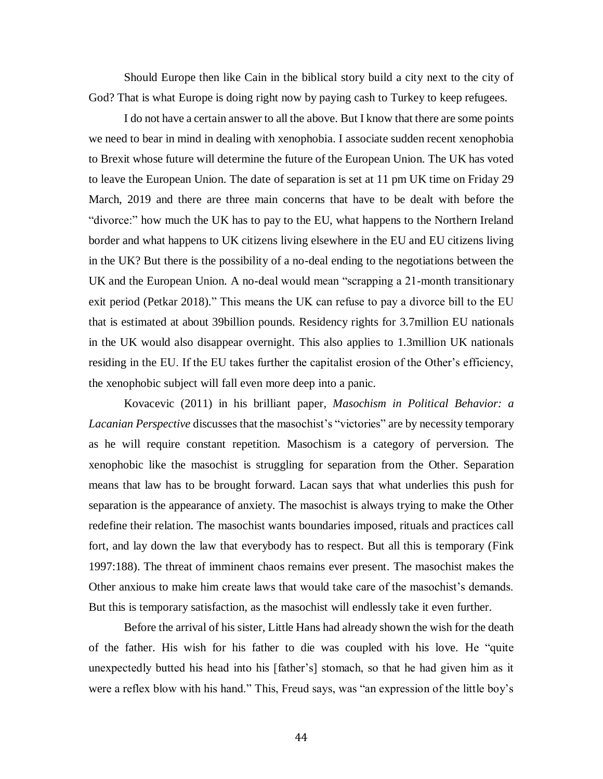Should Europe then like Cain in the biblical story build a city next to the city of God? That is what Europe is doing right now by paying cash to Turkey to keep refugees.

I do not have a certain answer to all the above. But I know that there are some points we need to bear in mind in dealing with xenophobia. I associate sudden recent xenophobia to Brexit whose future will determine the future of the European Union. The UK has voted to leave the European Union. The date of separation is set at 11 pm UK time on Friday 29 March, 2019 and there are three main concerns that have to be dealt with before the "divorce:" how much the UK has to pay to the EU, what happens to the Northern Ireland border and what happens to UK citizens living elsewhere in the EU and EU citizens living in the UK? But there is the possibility of a no-deal ending to the negotiations between the UK and the European Union. A no-deal would mean "scrapping a 21-month transitionary exit period (Petkar 2018)." This means the UK can refuse to pay a divorce bill to the EU that is estimated at about 39billion pounds. Residency rights for 3.7million EU nationals in the UK would also disappear overnight. This also applies to 1.3million UK nationals residing in the EU. If the EU takes further the capitalist erosion of the Other's efficiency, the xenophobic subject will fall even more deep into a panic.

Kovacevic (2011) in his brilliant paper*, Masochism in Political Behavior: a Lacanian Perspective* discusses that the masochist's "victories" are by necessity temporary as he will require constant repetition. Masochism is a category of perversion. The xenophobic like the masochist is struggling for separation from the Other. Separation means that law has to be brought forward. Lacan says that what underlies this push for separation is the appearance of anxiety. The masochist is always trying to make the Other redefine their relation. The masochist wants boundaries imposed, rituals and practices call fort, and lay down the law that everybody has to respect. But all this is temporary (Fink 1997:188). The threat of imminent chaos remains ever present. The masochist makes the Other anxious to make him create laws that would take care of the masochist's demands. But this is temporary satisfaction, as the masochist will endlessly take it even further.

Before the arrival of his sister, Little Hans had already shown the wish for the death of the father. His wish for his father to die was coupled with his love. He "quite unexpectedly butted his head into his [father's] stomach, so that he had given him as it were a reflex blow with his hand." This, Freud says, was "an expression of the little boy's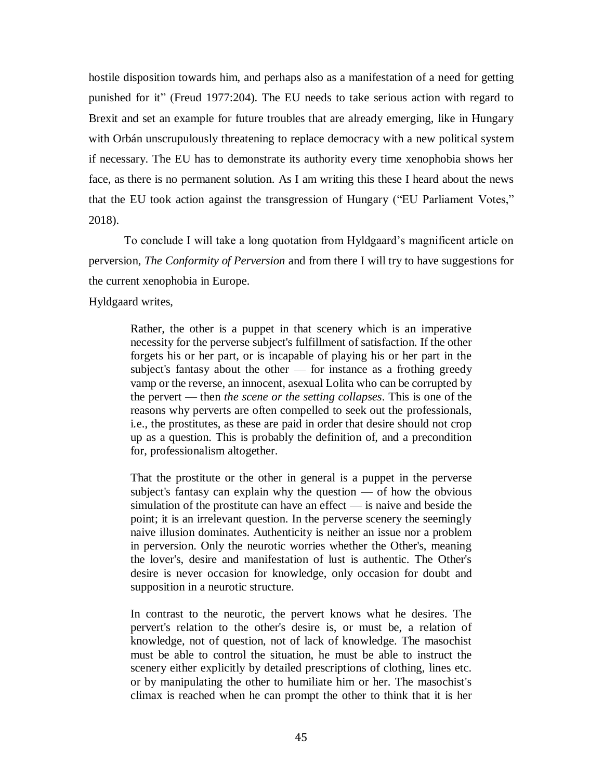hostile disposition towards him, and perhaps also as a manifestation of a need for getting punished for it" (Freud 1977:204). The EU needs to take serious action with regard to Brexit and set an example for future troubles that are already emerging, like in Hungary with Orbán unscrupulously threatening to replace democracy with a new political system if necessary. The EU has to demonstrate its authority every time xenophobia shows her face, as there is no permanent solution. As I am writing this these I heard about the news that the EU took action against the transgression of Hungary ("EU Parliament Votes," 2018).

To conclude I will take a long quotation from Hyldgaard's magnificent article on perversion, *The Conformity of Perversion* and from there I will try to have suggestions for the current xenophobia in Europe.

Hyldgaard writes,

Rather, the other is a puppet in that scenery which is an imperative necessity for the perverse subject's fulfillment of satisfaction. If the other forgets his or her part, or is incapable of playing his or her part in the subject's fantasy about the other  $\overline{\phantom{a}}$  for instance as a frothing greedy vamp or the reverse, an innocent, asexual Lolita who can be corrupted by the pervert — then *the scene or the setting collapses*. This is one of the reasons why perverts are often compelled to seek out the professionals, i.e., the prostitutes, as these are paid in order that desire should not crop up as a question. This is probably the definition of, and a precondition for, professionalism altogether.

That the prostitute or the other in general is a puppet in the perverse subject's fantasy can explain why the question — of how the obvious simulation of the prostitute can have an effect — is naive and beside the point; it is an irrelevant question. In the perverse scenery the seemingly naive illusion dominates. Authenticity is neither an issue nor a problem in perversion. Only the neurotic worries whether the Other's, meaning the lover's, desire and manifestation of lust is authentic. The Other's desire is never occasion for knowledge, only occasion for doubt and supposition in a neurotic structure.

In contrast to the neurotic, the pervert knows what he desires. The pervert's relation to the other's desire is, or must be, a relation of knowledge, not of question, not of lack of knowledge. The masochist must be able to control the situation, he must be able to instruct the scenery either explicitly by detailed prescriptions of clothing, lines etc. or by manipulating the other to humiliate him or her. The masochist's climax is reached when he can prompt the other to think that it is her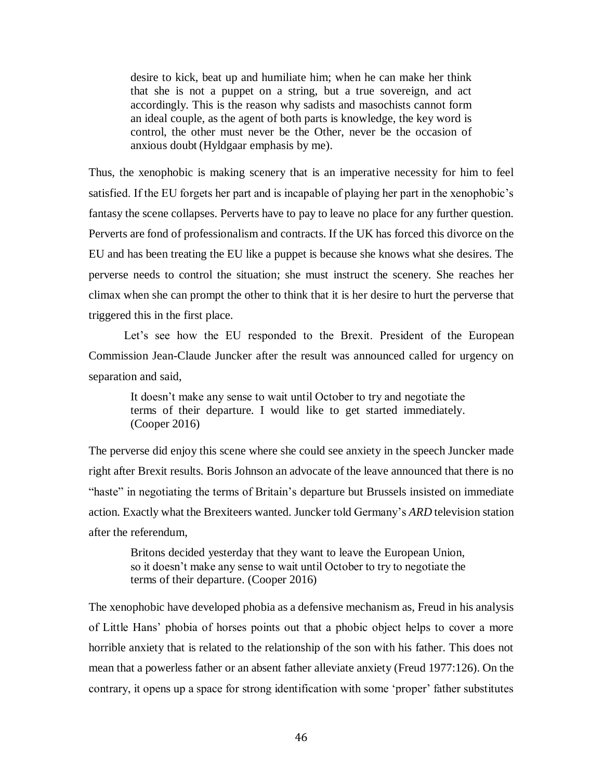desire to kick, beat up and humiliate him; when he can make her think that she is not a puppet on a string, but a true sovereign, and act accordingly. This is the reason why sadists and masochists cannot form an ideal couple, as the agent of both parts is knowledge, the key word is control, the other must never be the Other, never be the occasion of anxious doubt (Hyldgaar emphasis by me).

Thus, the xenophobic is making scenery that is an imperative necessity for him to feel satisfied. If the EU forgets her part and is incapable of playing her part in the xenophobic's fantasy the scene collapses. Perverts have to pay to leave no place for any further question. Perverts are fond of professionalism and contracts. If the UK has forced this divorce on the EU and has been treating the EU like a puppet is because she knows what she desires. The perverse needs to control the situation; she must instruct the scenery. She reaches her climax when she can prompt the other to think that it is her desire to hurt the perverse that triggered this in the first place.

Let's see how the EU responded to the Brexit. President of the European Commission Jean-Claude Juncker after the result was announced called for urgency on separation and said,

It doesn't make any sense to wait until October to try and negotiate the terms of their departure. I would like to get started immediately. (Cooper 2016)

The perverse did enjoy this scene where she could see anxiety in the speech Juncker made right after Brexit results. Boris Johnson an advocate of the leave announced that there is no "haste" in negotiating the terms of Britain's departure but Brussels insisted on immediate action. Exactly what the Brexiteers wanted. Juncker told Germany's *ARD* television station after the referendum,

Britons decided yesterday that they want to leave the European Union, so it doesn't make any sense to wait until October to try to negotiate the terms of their departure. (Cooper 2016)

The xenophobic have developed phobia as a defensive mechanism as, Freud in his analysis of Little Hans' phobia of horses points out that a phobic object helps to cover a more horrible anxiety that is related to the relationship of the son with his father. This does not mean that a powerless father or an absent father alleviate anxiety (Freud 1977:126). On the contrary, it opens up a space for strong identification with some 'proper' father substitutes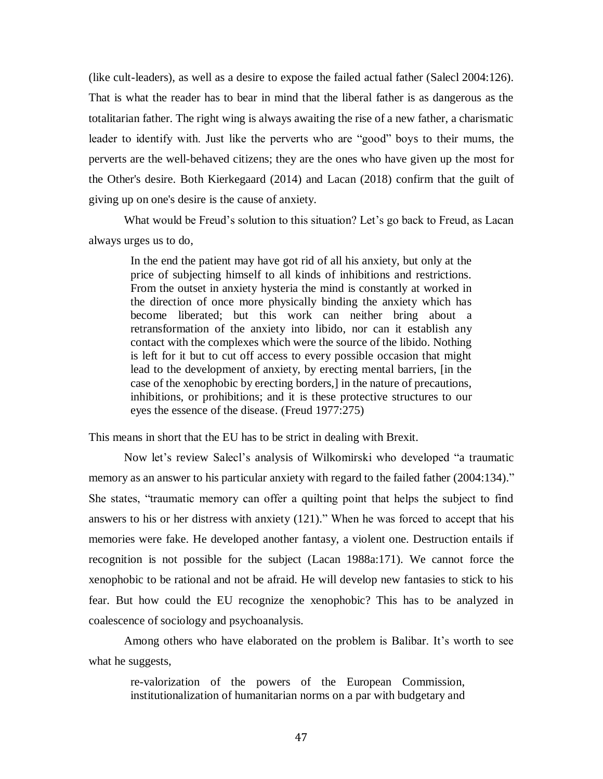(like cult-leaders), as well as a desire to expose the failed actual father (Salecl 2004:126). That is what the reader has to bear in mind that the liberal father is as dangerous as the totalitarian father. The right wing is always awaiting the rise of a new father, a charismatic leader to identify with. Just like the perverts who are "good" boys to their mums, the perverts are the well-behaved citizens; they are the ones who have given up the most for the Other's desire. Both Kierkegaard (2014) and Lacan (2018) confirm that the guilt of giving up on one's desire is the cause of anxiety.

What would be Freud's solution to this situation? Let's go back to Freud, as Lacan always urges us to do,

In the end the patient may have got rid of all his anxiety, but only at the price of subjecting himself to all kinds of inhibitions and restrictions. From the outset in anxiety hysteria the mind is constantly at worked in the direction of once more physically binding the anxiety which has become liberated; but this work can neither bring about a retransformation of the anxiety into libido, nor can it establish any contact with the complexes which were the source of the libido. Nothing is left for it but to cut off access to every possible occasion that might lead to the development of anxiety, by erecting mental barriers, [in the case of the xenophobic by erecting borders,] in the nature of precautions, inhibitions, or prohibitions; and it is these protective structures to our eyes the essence of the disease. (Freud 1977:275)

This means in short that the EU has to be strict in dealing with Brexit.

Now let's review Salecl's analysis of Wilkomirski who developed "a traumatic memory as an answer to his particular anxiety with regard to the failed father (2004:134)." She states, "traumatic memory can offer a quilting point that helps the subject to find answers to his or her distress with anxiety (121)." When he was forced to accept that his memories were fake. He developed another fantasy, a violent one. Destruction entails if recognition is not possible for the subject (Lacan 1988a:171). We cannot force the xenophobic to be rational and not be afraid. He will develop new fantasies to stick to his fear. But how could the EU recognize the xenophobic? This has to be analyzed in coalescence of sociology and psychoanalysis.

Among others who have elaborated on the problem is Balibar. It's worth to see what he suggests,

re-valorization of the powers of the European Commission, institutionalization of humanitarian norms on a par with budgetary and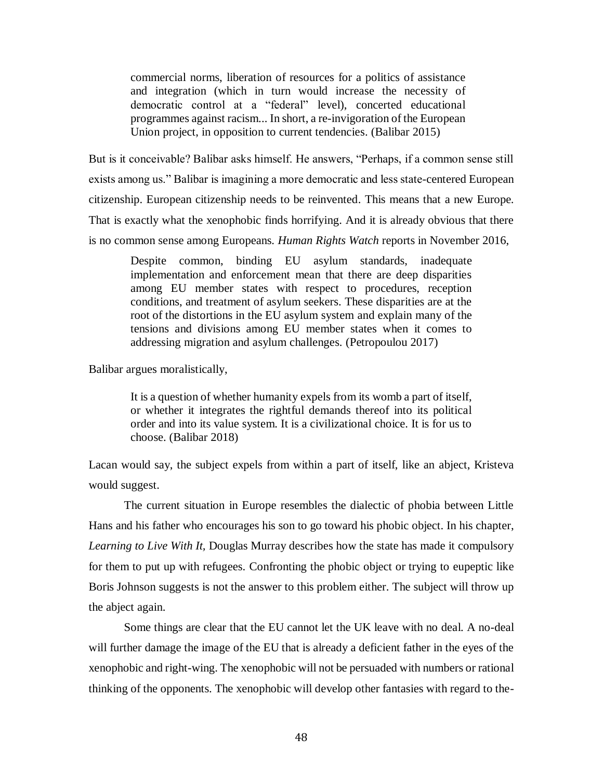commercial norms, liberation of resources for a politics of assistance and integration (which in turn would increase the necessity of democratic control at a "federal" level), concerted educational programmes against racism... In short, a re-invigoration of the European Union project, in opposition to current tendencies. (Balibar 2015)

But is it conceivable? Balibar asks himself. He answers, "Perhaps, if a common sense still exists among us." Balibar is imagining a more democratic and less state-centered European citizenship. European citizenship needs to be reinvented. This means that a new Europe. That is exactly what the xenophobic finds horrifying. And it is already obvious that there is no common sense among Europeans. *Human Rights Watch* reports in November 2016,

Despite common, binding EU asylum standards, inadequate implementation and enforcement mean that there are deep disparities among EU member states with respect to procedures, reception conditions, and treatment of asylum seekers. These disparities are at the root of the distortions in the EU asylum system and explain many of the tensions and divisions among EU member states when it comes to addressing migration and asylum challenges. (Petropoulou 2017)

Balibar argues moralistically,

It is a question of whether humanity expels from its womb a part of itself, or whether it integrates the rightful demands thereof into its political order and into its value system. It is a civilizational choice. It is for us to choose. (Balibar 2018)

Lacan would say, the subject expels from within a part of itself, like an abject, Kristeva would suggest.

The current situation in Europe resembles the dialectic of phobia between Little Hans and his father who encourages his son to go toward his phobic object. In his chapter, *Learning to Live With It,* Douglas Murray describes how the state has made it compulsory for them to put up with refugees. Confronting the phobic object or trying to eupeptic like Boris Johnson suggests is not the answer to this problem either. The subject will throw up the abject again.

Some things are clear that the EU cannot let the UK leave with no deal. A no-deal will further damage the image of the EU that is already a deficient father in the eyes of the xenophobic and right-wing. The xenophobic will not be persuaded with numbers or rational thinking of the opponents. The xenophobic will develop other fantasies with regard to the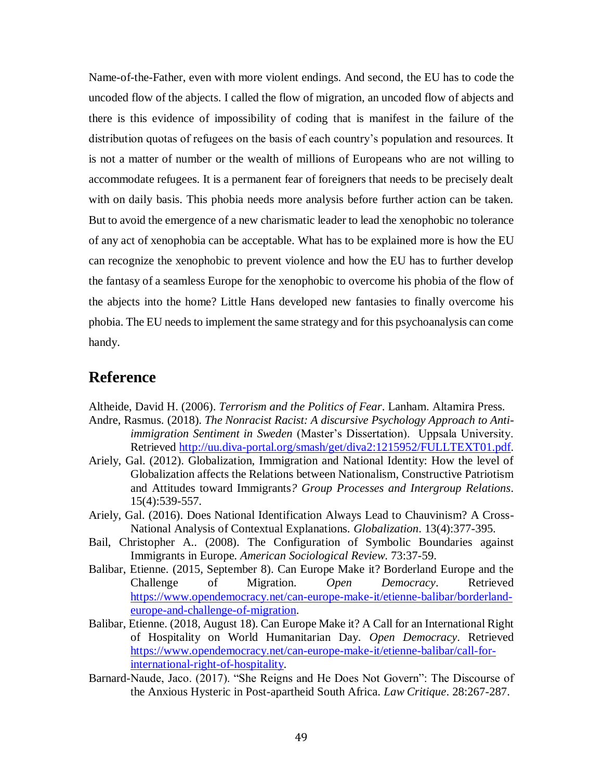Name-of-the-Father, even with more violent endings. And second, the EU has to code the uncoded flow of the abjects. I called the flow of migration, an uncoded flow of abjects and there is this evidence of impossibility of coding that is manifest in the failure of the distribution quotas of refugees on the basis of each country's population and resources. It is not a matter of number or the wealth of millions of Europeans who are not willing to accommodate refugees. It is a permanent fear of foreigners that needs to be precisely dealt with on daily basis. This phobia needs more analysis before further action can be taken. But to avoid the emergence of a new charismatic leader to lead the xenophobic no tolerance of any act of xenophobia can be acceptable. What has to be explained more is how the EU can recognize the xenophobic to prevent violence and how the EU has to further develop the fantasy of a seamless Europe for the xenophobic to overcome his phobia of the flow of the abjects into the home? Little Hans developed new fantasies to finally overcome his phobia. The EU needs to implement the same strategy and for this psychoanalysis can come handy.

## **Reference**

Altheide, David H. (2006). *Terrorism and the Politics of Fear*. Lanham. Altamira Press.

- Andre, Rasmus. (2018). *The Nonracist Racist: A discursive Psychology Approach to Antiimmigration Sentiment in Sweden* (Master's Dissertation). Uppsala University. Retrieved [http://uu.diva-portal.org/smash/get/diva2:1215952/FULLTEXT01.pdf.](http://uu.diva-portal.org/smash/get/diva2:1215952/FULLTEXT01.pdf)
- Ariely, Gal. (2012). Globalization, Immigration and National Identity: How the level of Globalization affects the Relations between Nationalism, Constructive Patriotism and Attitudes toward Immigrants*? Group Processes and Intergroup Relations*. 15(4):539-557.
- Ariely, Gal. (2016). Does National Identification Always Lead to Chauvinism? A Cross-National Analysis of Contextual Explanations. *Globalization*. 13(4):377-395.
- Bail, Christopher A.. (2008). The Configuration of Symbolic Boundaries against Immigrants in Europe. *American Sociological Review*. 73:37-59.
- Balibar, Etienne. (2015, September 8). Can Europe Make it? Borderland Europe and the Challenge of Migration. *Open Democracy*. Retrieved [https://www.opendemocracy.net/can-europe-make-it/etienne-balibar/borderland](https://www.opendemocracy.net/can-europe-make-it/etienne-balibar/borderland-europe-and-challenge-of-migration)[europe-and-challenge-of-migration.](https://www.opendemocracy.net/can-europe-make-it/etienne-balibar/borderland-europe-and-challenge-of-migration)
- Balibar, Etienne. (2018, August 18). Can Europe Make it? A Call for an International Right of Hospitality on World Humanitarian Day. *Open Democracy*. Retrieved [https://www.opendemocracy.net/can-europe-make-it/etienne-balibar/call-for](https://www.opendemocracy.net/can-europe-make-it/etienne-balibar/call-for-international-right-of-hospitality)[international-right-of-hospitality.](https://www.opendemocracy.net/can-europe-make-it/etienne-balibar/call-for-international-right-of-hospitality)
- Barnard-Naude, Jaco. (2017). "She Reigns and He Does Not Govern": The Discourse of the Anxious Hysteric in Post-apartheid South Africa. *Law Critique*. 28:267-287.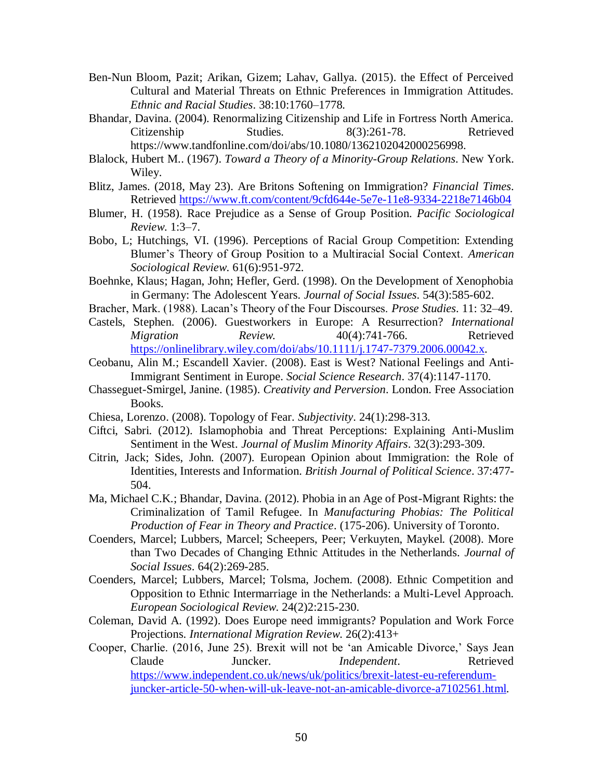- Ben-Nun Bloom, Pazit; Arikan, Gizem; Lahav, Gallya. (2015). the Effect of Perceived Cultural and Material Threats on Ethnic Preferences in Immigration Attitudes. *Ethnic and Racial Studies*. 38:10:1760–1778.
- Bhandar, Davina. (2004). Renormalizing Citizenship and Life in Fortress North America. Citizenship Studies. 8(3):261-78. Retrieved https://www.tandfonline.com/doi/abs/10.1080/1362102042000256998.
- Blalock, Hubert M.. (1967). *Toward a Theory of a Minority-Group Relations*. New York. Wiley.
- Blitz, James. (2018, May 23). Are Britons Softening on Immigration? *Financial Times*. Retrieved<https://www.ft.com/content/9cfd644e-5e7e-11e8-9334-2218e7146b04>
- Blumer, H. (1958). Race Prejudice as a Sense of Group Position. *Pacific Sociological Review*. 1:3–7.
- Bobo, L; Hutchings, VI. (1996). Perceptions of Racial Group Competition: Extending Blumer's Theory of Group Position to a Multiracial Social Context. *American Sociological Review*. 61(6):951-972.
- Boehnke, Klaus; Hagan, John; Hefler, Gerd. (1998). On the Development of Xenophobia in Germany: The Adolescent Years. *Journal of Social Issues*. 54(3):585-602.
- Bracher, Mark. (1988). Lacan's Theory of the Four Discourses. *Prose Studies*. 11: 32–49.
- Castels, Stephen. (2006). Guestworkers in Europe: A Resurrection? *International Migration Review.* 40(4):741-766. Retrieved [https://onlinelibrary.wiley.com/doi/abs/10.1111/j.1747-7379.2006.00042.x.](https://onlinelibrary.wiley.com/doi/abs/10.1111/j.1747-7379.2006.00042.x)
- Ceobanu, Alin M.; Escandell Xavier. (2008). East is West? National Feelings and Anti-Immigrant Sentiment in Europe. *Social Science Research*. 37(4):1147-1170.
- Chasseguet-Smirgel, Janine. (1985). *Creativity and Perversion*. London. Free Association Books.
- Chiesa, Lorenzo. (2008). Topology of Fear. *Subjectivity*. 24(1):298-313.
- Ciftci, Sabri. (2012). Islamophobia and Threat Perceptions: Explaining Anti-Muslim Sentiment in the West. *Journal of Muslim Minority Affairs*. 32(3):293-309.
- Citrin, Jack; Sides, John. (2007). European Opinion about Immigration: the Role of Identities, Interests and Information. *British Journal of Political Science*. 37:477- 504.
- Ma, Michael C.K.; Bhandar, Davina. (2012). Phobia in an Age of Post-Migrant Rights: the Criminalization of Tamil Refugee. In *Manufacturing Phobias: The Political Production of Fear in Theory and Practice*. (175-206). University of Toronto.
- Coenders, Marcel; Lubbers, Marcel; Scheepers, Peer; Verkuyten, Maykel. (2008). More than Two Decades of Changing Ethnic Attitudes in the Netherlands. *Journal of Social Issues*. 64(2):269-285.
- Coenders, Marcel; Lubbers, Marcel; Tolsma, Jochem. (2008). Ethnic Competition and Opposition to Ethnic Intermarriage in the Netherlands: a Multi-Level Approach. *European Sociological Review*. 24(2)2:215-230.
- Coleman, David A. (1992). Does Europe need immigrants? Population and Work Force Projections. *International Migration Review*. 26(2):413+
- Cooper, Charlie. (2016, June 25). Brexit will not be 'an Amicable Divorce,' Says Jean Claude Juncker. *Independent*. Retrieved [https://www.independent.co.uk/news/uk/politics/brexit-latest-eu-referendum](https://www.independent.co.uk/news/uk/politics/brexit-latest-eu-referendum-juncker-article-50-when-will-uk-leave-not-an-amicable-divorce-a7102561.html)[juncker-article-50-when-will-uk-leave-not-an-amicable-divorce-a7102561.html.](https://www.independent.co.uk/news/uk/politics/brexit-latest-eu-referendum-juncker-article-50-when-will-uk-leave-not-an-amicable-divorce-a7102561.html)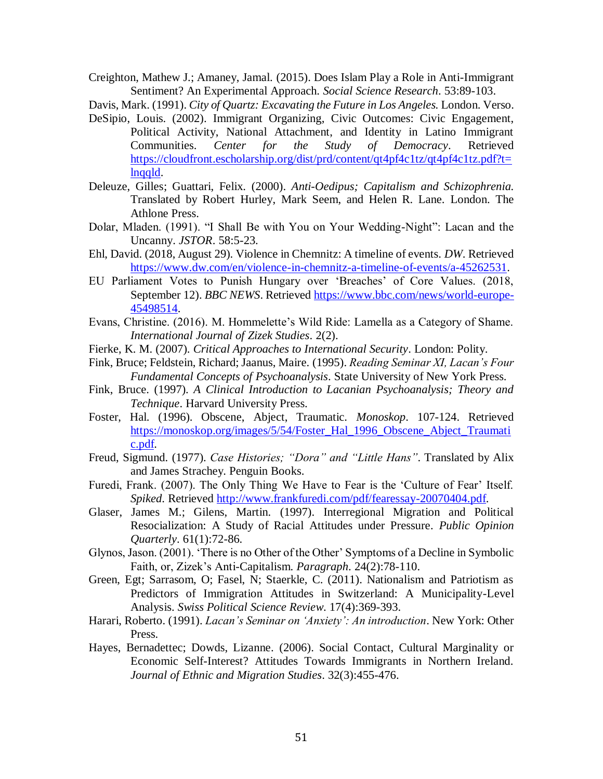Creighton, Mathew J.; Amaney, Jamal. (2015). Does Islam Play a Role in Anti-Immigrant Sentiment? An Experimental Approach. *Social Science Research*. 53:89-103.

Davis, Mark. (1991). *City of Quartz: Excavating the Future in Los Angeles.* London. Verso.

- DeSipio, Louis. (2002). Immigrant Organizing, Civic Outcomes: Civic Engagement, Political Activity, National Attachment, and Identity in Latino Immigrant Communities. *Center for the Study of Democracy*. Retrieved [https://cloudfront.escholarship.org/dist/prd/content/qt4pf4c1tz/qt4pf4c1tz.pdf?t=](https://cloudfront.escholarship.org/dist/prd/content/qt4pf4c1tz/qt4pf4c1tz.pdf?t=lnqqld) [lnqqld.](https://cloudfront.escholarship.org/dist/prd/content/qt4pf4c1tz/qt4pf4c1tz.pdf?t=lnqqld)
- Deleuze, Gilles; Guattari, Felix. (2000). *Anti-Oedipus; Capitalism and Schizophrenia.* Translated by Robert Hurley, Mark Seem, and Helen R. Lane. London. The Athlone Press.
- Dolar, Mladen. (1991). "I Shall Be with You on Your Wedding-Night": Lacan and the Uncanny. *JSTOR*. 58:5-23.
- Ehl, David. (2018, August 29). Violence in Chemnitz: A timeline of events. *DW*. Retrieved [https://www.dw.com/en/violence-in-chemnitz-a-timeline-of-events/a-45262531.](https://www.dw.com/en/violence-in-chemnitz-a-timeline-of-events/a-45262531)
- EU Parliament Votes to Punish Hungary over 'Breaches' of Core Values. (2018, September 12). *BBC NEWS*. Retrieved [https://www.bbc.com/news/world-europe-](https://www.bbc.com/news/world-europe-45498514)[45498514.](https://www.bbc.com/news/world-europe-45498514)
- Evans, Christine. (2016). M. Hommelette's Wild Ride: Lamella as a Category of Shame. *International Journal of Zizek Studies*. 2(2).
- Fierke, K. M. (2007). *Critical Approaches to International Security*. London: Polity.
- Fink, Bruce; Feldstein, Richard; Jaanus, Maire. (1995). *Reading Seminar XI, Lacan's Four Fundamental Concepts of Psychoanalysis*. State University of New York Press.
- Fink, Bruce. (1997). *A Clinical Introduction to Lacanian Psychoanalysis; Theory and Technique*. Harvard University Press.
- Foster, Hal. (1996). Obscene, Abject, Traumatic. *Monoskop*. 107-124. Retrieved [https://monoskop.org/images/5/54/Foster\\_Hal\\_1996\\_Obscene\\_Abject\\_Traumati](https://monoskop.org/images/5/54/Foster_Hal_1996_Obscene_Abject_Traumatic.pdf) [c.pdf.](https://monoskop.org/images/5/54/Foster_Hal_1996_Obscene_Abject_Traumatic.pdf)
- Freud, Sigmund. (1977). *Case Histories; "Dora" and "Little Hans"*. Translated by Alix and James Strachey. Penguin Books.
- Furedi, Frank. (2007). The Only Thing We Have to Fear is the 'Culture of Fear' Itself. *Spiked*. Retrieved [http://www.frankfuredi.com/pdf/fearessay-20070404.pdf.](http://www.frankfuredi.com/pdf/fearessay-20070404.pdf)
- Glaser, James M.; Gilens, Martin. (1997). Interregional Migration and Political Resocialization: A Study of Racial Attitudes under Pressure*. Public Opinion Quarterly*. 61(1):72-86.
- Glynos, Jason. (2001). 'There is no Other of the Other' Symptoms of a Decline in Symbolic Faith, or, Zizek's Anti-Capitalism. *Paragraph*. 24(2):78-110.
- Green, Egt; Sarrasom, O; Fasel, N; Staerkle, C. (2011). Nationalism and Patriotism as Predictors of Immigration Attitudes in Switzerland: A Municipality-Level Analysis. *Swiss Political Science Review*. 17(4):369-393.
- Harari, Roberto. (1991). *Lacan's Seminar on 'Anxiety': An introduction*. New York: Other Press.
- Hayes, Bernadettec; Dowds, Lizanne. (2006). Social Contact, Cultural Marginality or Economic Self-Interest? Attitudes Towards Immigrants in Northern Ireland. *Journal of Ethnic and Migration Studies*. 32(3):455-476.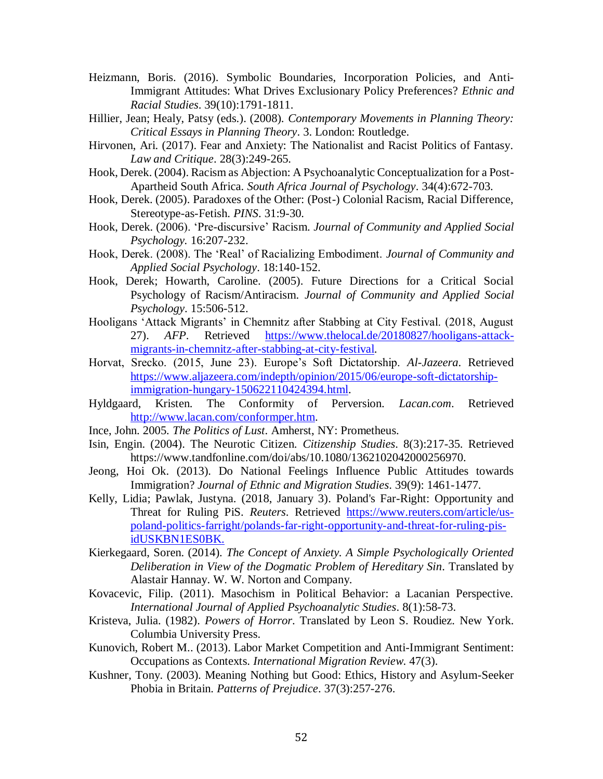- Heizmann, Boris. (2016). Symbolic Boundaries, Incorporation Policies, and Anti-Immigrant Attitudes: What Drives Exclusionary Policy Preferences? *Ethnic and Racial Studies*. 39(10):1791-1811.
- Hillier, Jean; Healy, Patsy (eds.). (2008). *Contemporary Movements in Planning Theory: Critical Essays in Planning Theory*. 3. London: Routledge.
- Hirvonen, Ari. (2017). Fear and Anxiety: The Nationalist and Racist Politics of Fantasy. *Law and Critique*. 28(3):249-265.
- Hook, Derek. (2004). Racism as Abjection: A Psychoanalytic Conceptualization for a Post-Apartheid South Africa. *South Africa Journal of Psychology*. 34(4):672-703.
- Hook, Derek. (2005). Paradoxes of the Other: (Post-) Colonial Racism, Racial Difference, Stereotype-as-Fetish. *PINS*. 31:9-30.
- Hook, Derek. (2006). 'Pre-discursive' Racism. *Journal of Community and Applied Social Psychology.* 16:207-232.
- Hook, Derek. (2008). The 'Real' of Racializing Embodiment. *Journal of Community and Applied Social Psychology*. 18:140-152.
- Hook, Derek; Howarth, Caroline. (2005). Future Directions for a Critical Social Psychology of Racism/Antiracism. *Journal of Community and Applied Social Psychology*. 15:506-512.
- Hooligans 'Attack Migrants' in Chemnitz after Stabbing at City Festival. (2018, August 27). *AFP*. Retrieved [https://www.thelocal.de/20180827/hooligans-attack](https://www.thelocal.de/20180827/hooligans-attack-migrants-in-chemnitz-after-stabbing-at-city-festival)[migrants-in-chemnitz-after-stabbing-at-city-festival.](https://www.thelocal.de/20180827/hooligans-attack-migrants-in-chemnitz-after-stabbing-at-city-festival)
- Horvat, Srecko. (2015, June 23). Europe's Soft Dictatorship. *Al-Jazeera*. Retrieved [https://www.aljazeera.com/indepth/opinion/2015/06/europe-soft-dictatorship](https://www.aljazeera.com/indepth/opinion/2015/06/europe-soft-dictatorship-immigration-hungary-150622110424394.html)[immigration-hungary-150622110424394.html.](https://www.aljazeera.com/indepth/opinion/2015/06/europe-soft-dictatorship-immigration-hungary-150622110424394.html)
- Hyldgaard, Kristen. The Conformity of Perversion. *Lacan.com*. Retrieved [http://www.lacan.com/conformper.htm.](http://www.lacan.com/conformper.htm)
- Ince, John. 2005*. The Politics of Lust*. Amherst, NY: Prometheus.
- Isin, Engin. (2004). The Neurotic Citizen. *Citizenship Studies*. 8(3):217-35. Retrieved https://www.tandfonline.com/doi/abs/10.1080/1362102042000256970.
- Jeong, Hoi Ok. (2013). Do National Feelings Influence Public Attitudes towards Immigration? *Journal of Ethnic and Migration Studies*. 39(9): 1461-1477.
- Kelly, Lidia; Pawlak, Justyna. (2018, January 3). Poland's Far-Right: Opportunity and Threat for Ruling PiS. *Reuters*. Retrieved [https://www.reuters.com/article/us](https://www.reuters.com/article/us-poland-politics-farright/polands-far-right-opportunity-and-threat-for-ruling-pis-idUSKBN1ES0BK)[poland-politics-farright/polands-far-right-opportunity-and-threat-for-ruling-pis](https://www.reuters.com/article/us-poland-politics-farright/polands-far-right-opportunity-and-threat-for-ruling-pis-idUSKBN1ES0BK)[idUSKBN1ES0BK.](https://www.reuters.com/article/us-poland-politics-farright/polands-far-right-opportunity-and-threat-for-ruling-pis-idUSKBN1ES0BK)
- Kierkegaard, Soren. (2014). *The Concept of Anxiety. A Simple Psychologically Oriented Deliberation in View of the Dogmatic Problem of Hereditary Sin*. Translated by Alastair Hannay. W. W. Norton and Company.
- Kovacevic, Filip. (2011). Masochism in Political Behavior: a Lacanian Perspective. *International Journal of Applied Psychoanalytic Studies*. 8(1):58-73.
- Kristeva, Julia. (1982). *Powers of Horror*. Translated by Leon S. Roudiez. New York. Columbia University Press.
- Kunovich, Robert M.. (2013). Labor Market Competition and Anti-Immigrant Sentiment: Occupations as Contexts. *International Migration Review*. 47(3).
- Kushner, Tony. (2003). Meaning Nothing but Good: Ethics, History and Asylum-Seeker Phobia in Britain. *Patterns of Prejudice*. 37(3):257-276.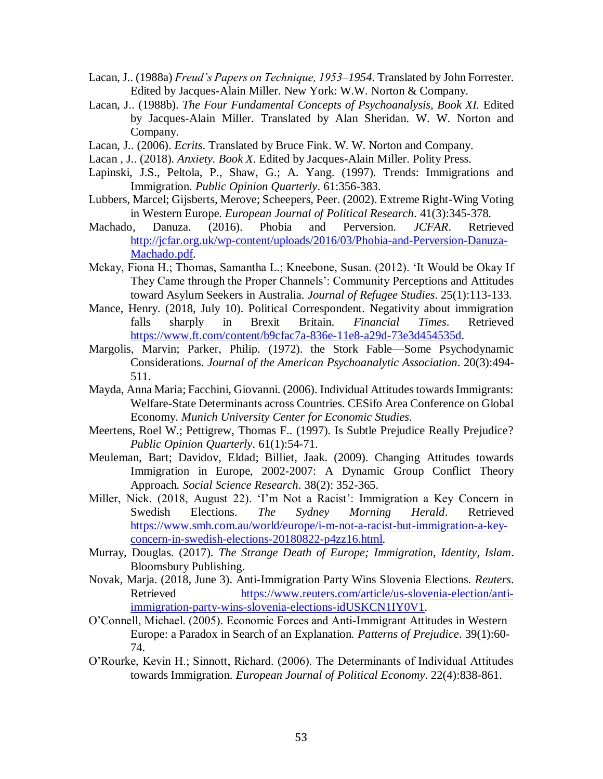- Lacan, J.. (1988a) *Freud's Papers on Technique, 1953–1954*. Translated by John Forrester. Edited by Jacques-Alain Miller. New York: W.W. Norton & Company.
- Lacan, J.. (1988b). *The Four Fundamental Concepts of Psychoanalysis, Book XI.* Edited by Jacques-Alain Miller. Translated by Alan Sheridan. W. W. Norton and Company.
- Lacan, J.. (2006). *Ecrits*. Translated by Bruce Fink. W. W. Norton and Company.
- Lacan , J.. (2018). *Anxiety. Book X*. Edited by Jacques-Alain Miller. Polity Press.
- Lapinski, J.S., Peltola, P., Shaw, G.; A. Yang. (1997). Trends: Immigrations and Immigration. *Public Opinion Quarterly*. 61:356-383.
- Lubbers, Marcel; Gijsberts, Merove; Scheepers, Peer. (2002). Extreme Right-Wing Voting in Western Europe. *European Journal of Political Research*. 41(3):345-378.
- Machado, Danuza. (2016). Phobia and Perversion. *JCFAR*. Retrieved [http://jcfar.org.uk/wp-content/uploads/2016/03/Phobia-and-Perversion-Danuza-](http://jcfar.org.uk/wp-content/uploads/2016/03/Phobia-and-Perversion-Danuza-Machado.pdf)[Machado.pdf.](http://jcfar.org.uk/wp-content/uploads/2016/03/Phobia-and-Perversion-Danuza-Machado.pdf)
- Mckay, Fiona H.; Thomas, Samantha L.; Kneebone, Susan. (2012). 'It Would be Okay If They Came through the Proper Channels': Community Perceptions and Attitudes toward Asylum Seekers in Australia. *Journal of Refugee Studies*. 25(1):113-133.
- Mance, Henry. (2018, July 10). Political Correspondent. Negativity about immigration falls sharply in Brexit Britain. *Financial Times*. Retrieved [https://www.ft.com/content/b9cfac7a-836e-11e8-a29d-73e3d454535d.](https://www.ft.com/content/b9cfac7a-836e-11e8-a29d-73e3d454535d)
- Margolis, Marvin; Parker, Philip. (1972). the Stork Fable—Some Psychodynamic Considerations. *Journal of the American Psychoanalytic Association*. 20(3):494- 511.
- Mayda, Anna Maria; Facchini, Giovanni. (2006). Individual Attitudes towards Immigrants: Welfare-State Determinants across Countries. CESifo Area Conference on Global Economy. *Munich University Center for Economic Studies*.
- Meertens, Roel W.; Pettigrew, Thomas F.. (1997). Is Subtle Prejudice Really Prejudice? *Public Opinion Quarterly*. 61(1):54-71.
- Meuleman, Bart; Davidov, Eldad; Billiet, Jaak. (2009). Changing Attitudes towards Immigration in Europe, 2002-2007: A Dynamic Group Conflict Theory Approach*. Social Science Research*. 38(2): 352-365.
- Miller, Nick. (2018, August 22). 'I'm Not a Racist': Immigration a Key Concern in Swedish Elections. *The Sydney Morning Herald*. Retrieved [https://www.smh.com.au/world/europe/i-m-not-a-racist-but-immigration-a-key](https://www.smh.com.au/world/europe/i-m-not-a-racist-but-immigration-a-key-concern-in-swedish-elections-20180822-p4zz16.html)[concern-in-swedish-elections-20180822-p4zz16.html.](https://www.smh.com.au/world/europe/i-m-not-a-racist-but-immigration-a-key-concern-in-swedish-elections-20180822-p4zz16.html)
- Murray, Douglas. (2017). *The Strange Death of Europe; Immigration, Identity, Islam*. Bloomsbury Publishing.
- Novak, Marja. (2018, June 3). Anti-Immigration Party Wins Slovenia Elections. *Reuters*. Retrieved [https://www.reuters.com/article/us-slovenia-election/anti](https://www.reuters.com/article/us-slovenia-election/anti-immigration-party-wins-slovenia-elections-idUSKCN1IY0V1)[immigration-party-wins-slovenia-elections-idUSKCN1IY0V1.](https://www.reuters.com/article/us-slovenia-election/anti-immigration-party-wins-slovenia-elections-idUSKCN1IY0V1)
- O'Connell, Michael. (2005). Economic Forces and Anti-Immigrant Attitudes in Western Europe: a Paradox in Search of an Explanation. *Patterns of Prejudice*. 39(1):60- 74.
- O'Rourke, Kevin H.; Sinnott, Richard. (2006). The Determinants of Individual Attitudes towards Immigration. *European Journal of Political Economy*. 22(4):838-861.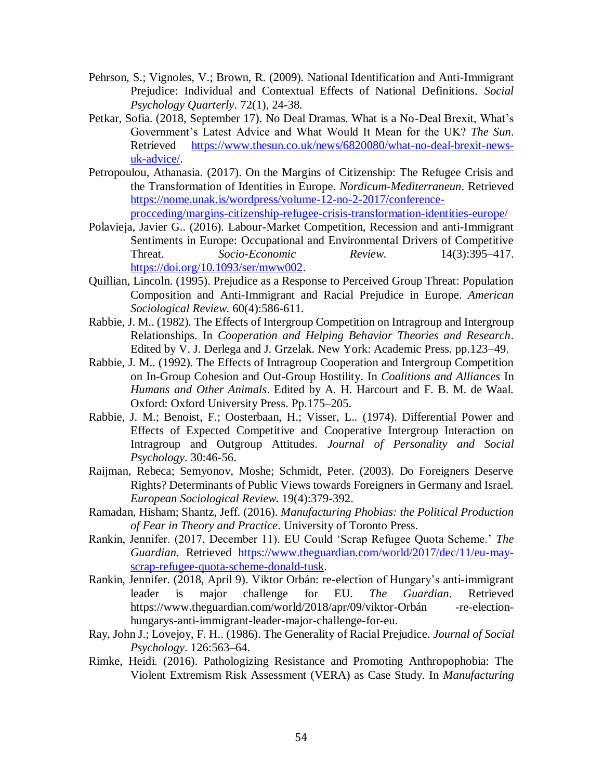- Pehrson, S.; Vignoles, V.; Brown, R. (2009). National Identification and Anti-Immigrant Prejudice: Individual and Contextual Effects of National Definitions. *Social Psychology Quarterly*. 72(1), 24-38.
- Petkar, Sofia. (2018, September 17). No Deal Dramas. What is a No-Deal Brexit, What's Government's Latest Advice and What Would It Mean for the UK? *The Sun*. Retrieved [https://www.thesun.co.uk/news/6820080/what-no-deal-brexit-news](https://www.thesun.co.uk/news/6820080/what-no-deal-brexit-news-uk-advice/)[uk-advice/.](https://www.thesun.co.uk/news/6820080/what-no-deal-brexit-news-uk-advice/)
- Petropoulou, Athanasia. (2017). On the Margins of Citizenship: The Refugee Crisis and the Transformation of Identities in Europe. *Nordicum-Mediterraneun*. Retrieved [https://nome.unak.is/wordpress/volume-12-no-2-2017/conference](https://nome.unak.is/wordpress/volume-12-no-2-2017/conference-procceding/margins-citizenship-refugee-crisis-transformation-identities-europe/)[procceding/margins-citizenship-refugee-crisis-transformation-identities-europe/](https://nome.unak.is/wordpress/volume-12-no-2-2017/conference-procceding/margins-citizenship-refugee-crisis-transformation-identities-europe/)
- Polavieja, Javier G.. (2016). Labour-Market Competition, Recession and anti-Immigrant Sentiments in Europe: Occupational and Environmental Drivers of Competitive Threat. *Socio-Economic Review*. 14(3):395–417. [https://doi.org/10.1093/ser/mww002.](https://doi.org/10.1093/ser/mww002)
- Quillian, Lincoln. (1995). Prejudice as a Response to Perceived Group Threat: Population Composition and Anti-Immigrant and Racial Prejudice in Europe. *American Sociological Review*. 60(4):586-611.
- Rabbie, J. M.. (1982). The Effects of Intergroup Competition on Intragroup and Intergroup Relationships. In *Cooperation and Helping Behavior Theories and Research*. Edited by V. J. Derlega and J. Grzelak. New York: Academic Press. pp.123–49.
- Rabbie, J. M.. (1992). The Effects of Intragroup Cooperation and Intergroup Competition on In-Group Cohesion and Out-Group Hostility. In *Coalitions and Alliances* In *Humans and Other Animals*. Edited by A. H. Harcourt and F. B. M. de Waal. Oxford: Oxford University Press. Pp.175–205.
- Rabbie, J. M.; Benoist, F.; Oosterbaan, H.; Visser, L.. (1974). Differential Power and Effects of Expected Competitive and Cooperative Intergroup Interaction on Intragroup and Outgroup Attitudes. *Journal of Personality and Social Psychology*. 30:46-56.
- Raijman, Rebeca; Semyonov, Moshe; Schmidt, Peter. (2003). Do Foreigners Deserve Rights? Determinants of Public Views towards Foreigners in Germany and Israel. *European Sociological Review*. 19(4):379-392.
- Ramadan, Hisham; Shantz, Jeff. (2016). *Manufacturing Phobias: the Political Production of Fear in Theory and Practice*. University of Toronto Press.
- Rankin, Jennifer. (2017, December 11). EU Could 'Scrap Refugee Quota Scheme.' *The Guardian*. Retrieved [https://www.theguardian.com/world/2017/dec/11/eu-may](https://www.theguardian.com/world/2017/dec/11/eu-may-scrap-refugee-quota-scheme-donald-tusk)[scrap-refugee-quota-scheme-donald-tusk.](https://www.theguardian.com/world/2017/dec/11/eu-may-scrap-refugee-quota-scheme-donald-tusk)
- Rankin, Jennifer. (2018, April 9). Viktor Orbán: re-election of Hungary's anti-immigrant leader is major challenge for EU. *The Guardian*. Retrieved https://www.theguardian.com/world/2018/apr/09/viktor-Orbán -re-electionhungarys-anti-immigrant-leader-major-challenge-for-eu.
- Ray, John J.; Lovejoy, F. H.. (1986). The Generality of Racial Prejudice. *Journal of Social Psychology*. 126:563–64.
- Rimke, Heidi. (2016). Pathologizing Resistance and Promoting Anthropophobia: The Violent Extremism Risk Assessment (VERA) as Case Study. In *Manufacturing*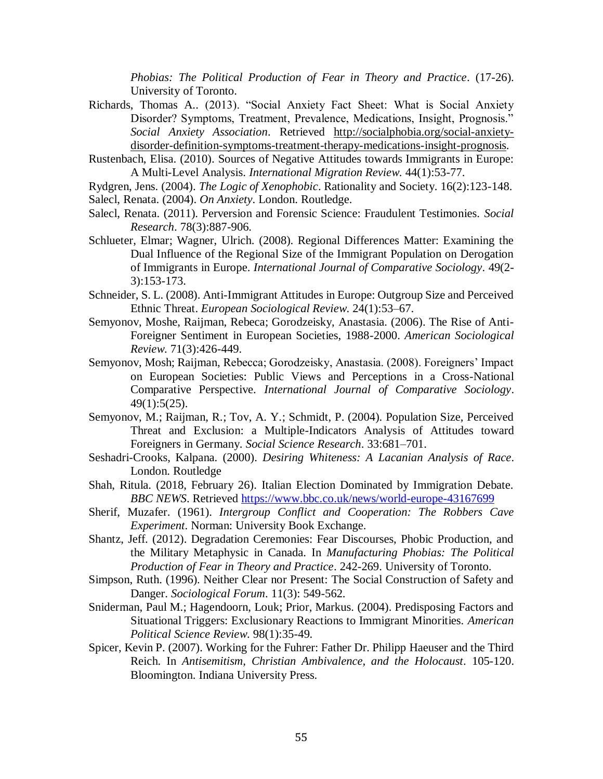*Phobias: The Political Production of Fear in Theory and Practice*. (17-26). University of Toronto.

- Richards, Thomas A.. (2013). "Social Anxiety Fact Sheet: What is Social Anxiety Disorder? Symptoms, Treatment, Prevalence, Medications, Insight, Prognosis." *Social Anxiety Association*. Retrieved [http://socialphobia.org/social-anxiety](http://socialphobia.org/social-anxiety-disorder-definition-symptoms-treatment-therapy-medications-insight-prognosis)[disorder-definition-symptoms-treatment-therapy-medications-insight-prognosis.](http://socialphobia.org/social-anxiety-disorder-definition-symptoms-treatment-therapy-medications-insight-prognosis)
- Rustenbach, Elisa. (2010). Sources of Negative Attitudes towards Immigrants in Europe: A Multi-Level Analysis. *International Migration Review*. 44(1):53-77.
- Rydgren, Jens. (2004). *The Logic of Xenophobic*. Rationality and Society. 16(2):123-148.
- Salecl, Renata. (2004). *On Anxiety*. London. Routledge.
- Salecl, Renata. (2011). Perversion and Forensic Science: Fraudulent Testimonies. *Social Research*. 78(3):887-906.
- Schlueter, Elmar; Wagner, Ulrich. (2008). Regional Differences Matter: Examining the Dual Influence of the Regional Size of the Immigrant Population on Derogation of Immigrants in Europe. *International Journal of Comparative Sociology*. 49(2- 3):153-173.
- Schneider, S. L. (2008). Anti-Immigrant Attitudes in Europe: Outgroup Size and Perceived Ethnic Threat. *European Sociological Review*. 24(1):53–67.
- Semyonov, Moshe, Raijman, Rebeca; Gorodzeisky, Anastasia. (2006). The Rise of Anti-Foreigner Sentiment in European Societies, 1988-2000. *American Sociological Review*. 71(3):426-449.
- Semyonov, Mosh; Raijman, Rebecca; Gorodzeisky, Anastasia. (2008). Foreigners' Impact on European Societies: Public Views and Perceptions in a Cross-National Comparative Perspective. *International Journal of Comparative Sociology*. 49(1):5(25).
- Semyonov, M.; Raijman, R.; Tov, A. Y.; Schmidt, P. (2004). Population Size, Perceived Threat and Exclusion: a Multiple-Indicators Analysis of Attitudes toward Foreigners in Germany. *Social Science Research*. 33:681–701.
- Seshadri-Crooks, Kalpana. (2000). *Desiring Whiteness: A Lacanian Analysis of Race*. London. Routledge
- Shah, Ritula. (2018, February 26). Italian Election Dominated by Immigration Debate. *BBC NEWS*. Retrieved<https://www.bbc.co.uk/news/world-europe-43167699>
- Sherif, Muzafer. (1961). *Intergroup Conflict and Cooperation: The Robbers Cave Experiment*. Norman: University Book Exchange.
- Shantz, Jeff. (2012). Degradation Ceremonies: Fear Discourses, Phobic Production, and the Military Metaphysic in Canada. In *Manufacturing Phobias: The Political Production of Fear in Theory and Practice*. 242-269. University of Toronto.
- Simpson, Ruth. (1996). Neither Clear nor Present: The Social Construction of Safety and Danger. *Sociological Forum*. 11(3): 549-562.
- Sniderman, Paul M.; Hagendoorn, Louk; Prior, Markus. (2004). Predisposing Factors and Situational Triggers: Exclusionary Reactions to Immigrant Minorities. *American Political Science Review*. 98(1):35-49.
- Spicer, Kevin P. (2007). Working for the Fuhrer: Father Dr. Philipp Haeuser and the Third Reich. In *Antisemitism, Christian Ambivalence, and the Holocaust*. 105-120. Bloomington. Indiana University Press.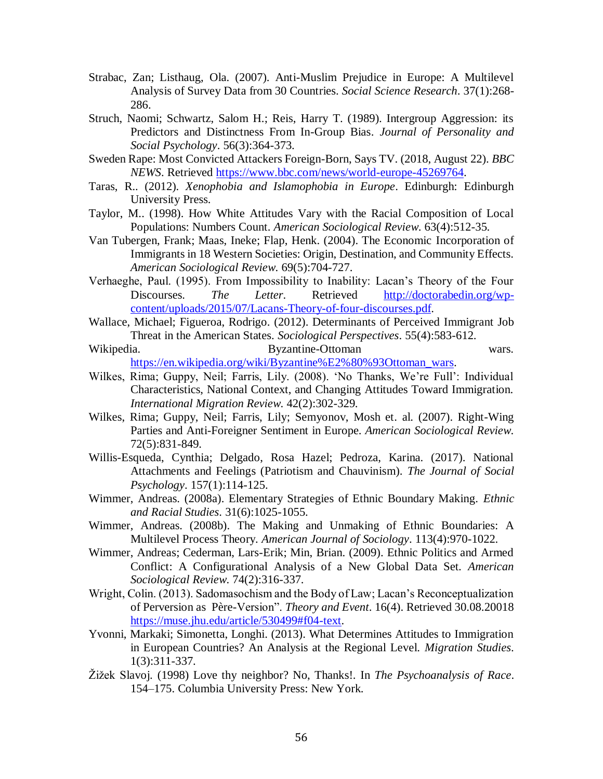- Strabac, Zan; Listhaug, Ola. (2007). Anti-Muslim Prejudice in Europe: A Multilevel Analysis of Survey Data from 30 Countries. *Social Science Research*. 37(1):268- 286.
- Struch, Naomi; Schwartz, Salom H.; Reis, Harry T. (1989). Intergroup Aggression: its Predictors and Distinctness From In-Group Bias. *Journal of Personality and Social Psychology*. 56(3):364-373.
- Sweden Rape: Most Convicted Attackers Foreign-Born, Says TV. (2018, August 22). *BBC NEWS*. Retrieved [https://www.bbc.com/news/world-europe-45269764.](https://www.bbc.com/news/world-europe-45269764)
- Taras, R.. (2012). *Xenophobia and Islamophobia in Europe*. Edinburgh: Edinburgh University Press.
- Taylor, M.. (1998). How White Attitudes Vary with the Racial Composition of Local Populations: Numbers Count. *American Sociological Review*. 63(4):512-35.
- Van Tubergen, Frank; Maas, Ineke; Flap, Henk. (2004). The Economic Incorporation of Immigrants in 18 Western Societies: Origin, Destination, and Community Effects. *American Sociological Review*. 69(5):704-727.
- Verhaeghe, Paul. (1995). From Impossibility to Inability: Lacan's Theory of the Four Discourses. *The Letter*. Retrieved [http://doctorabedin.org/wp](http://doctorabedin.org/wp-content/uploads/2015/07/Lacans-Theory-of-four-discourses.pdf)[content/uploads/2015/07/Lacans-Theory-of-four-discourses.pdf.](http://doctorabedin.org/wp-content/uploads/2015/07/Lacans-Theory-of-four-discourses.pdf)
- Wallace, Michael; Figueroa, Rodrigo. (2012). Determinants of Perceived Immigrant Job Threat in the American States. *Sociological Perspectives*. 55(4):583-612.
- Wikipedia. Byzantine-Ottoman wars. [https://en.wikipedia.org/wiki/Byzantine%E2%80%93Ottoman\\_wars.](https://en.wikipedia.org/wiki/Byzantine%E2%80%93Ottoman_wars)
- Wilkes, Rima; Guppy, Neil; Farris, Lily. (2008). 'No Thanks, We're Full': Individual Characteristics, National Context, and Changing Attitudes Toward Immigration. *International Migration Review*. 42(2):302-329.
- Wilkes, Rima; Guppy, Neil; Farris, Lily; Semyonov, Mosh et. al. (2007). Right-Wing Parties and Anti-Foreigner Sentiment in Europe. *American Sociological Review*. 72(5):831-849.
- Willis-Esqueda, Cynthia; Delgado, Rosa Hazel; Pedroza, Karina. (2017). National Attachments and Feelings (Patriotism and Chauvinism). *The Journal of Social Psychology*. 157(1):114-125.
- Wimmer, Andreas. (2008a). Elementary Strategies of Ethnic Boundary Making. *Ethnic and Racial Studies*. 31(6):1025-1055.
- Wimmer, Andreas. (2008b). The Making and Unmaking of Ethnic Boundaries: A Multilevel Process Theory. *American Journal of Sociology*. 113(4):970-1022.
- Wimmer, Andreas; Cederman, Lars-Erik; Min, Brian. (2009). Ethnic Politics and Armed Conflict: A Configurational Analysis of a New Global Data Set. *American Sociological Review*. 74(2):316-337.
- Wright, Colin. (2013). Sadomasochism and the Body of Law; Lacan's Reconceptualization of Perversion as Père-Version". *Theory and Event*. 16(4). Retrieved 30.08.20018 [https://muse.jhu.edu/article/530499#f04-text.](https://muse.jhu.edu/article/530499#f04-text)
- Yvonni, Markaki; Simonetta, Longhi. (2013). What Determines Attitudes to Immigration in European Countries? An Analysis at the Regional Level. *Migration Studies*. 1(3):311-337.
- Žižek Slavoj. (1998) Love thy neighbor? No, Thanks!. In *The Psychoanalysis of Race*. 154–175. Columbia University Press: New York.